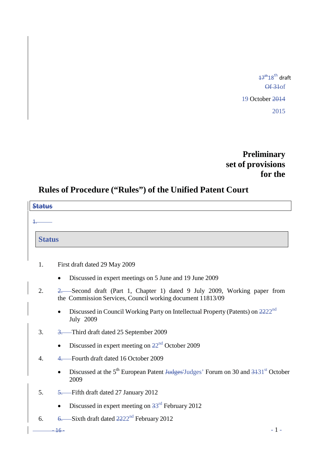# $17<sup>th</sup>18<sup>th</sup>$  draft Of 31of 19 October 2014 2015

# **Preliminary set of provisions for the**

# **Rules of Procedure ("Rules") of the Unified Patent Court**

| عبيثمثك       |                                                                                                                                         |
|---------------|-----------------------------------------------------------------------------------------------------------------------------------------|
|               |                                                                                                                                         |
| <b>Status</b> |                                                                                                                                         |
| 1.            | First draft dated 29 May 2009                                                                                                           |
|               | Discussed in expert meetings on 5 June and 19 June 2009                                                                                 |
| 2.            | 2. Second draft (Part 1, Chapter 1) dated 9 July 2009, Working paper from<br>the Commission Services, Council working document 11813/09 |
|               | Discussed in Council Working Party on Intellectual Property (Patents) on 2222 <sup>nd</sup><br>July 2009                                |
| 3.            | 3. Third draft dated 25 September 2009                                                                                                  |
|               | Discussed in expert meeting on $22nd$ October 2009                                                                                      |
| 4.            | 4. Fourth draft dated 16 October 2009                                                                                                   |
|               | Discussed at the $5th$ European Patent Judges' Judges' Forum on 30 and $3431st$ October<br>2009                                         |
| 5.            | 5. Fifth draft dated 27 January 2012                                                                                                    |
|               | Discussed in expert meeting on $33rd$ February 2012                                                                                     |
| 6.            | $6.$ Sixth draft dated $2222nd$ February 2012                                                                                           |
|               | - 1 -<br>-46                                                                                                                            |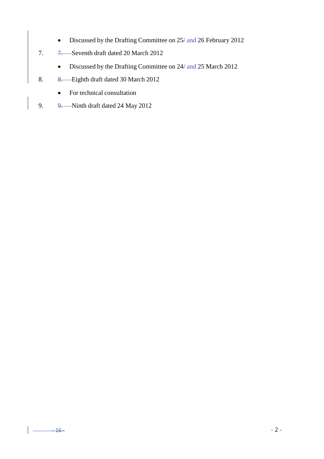- Discussed by the Drafting Committee on 25/ and 26 February 2012
- 7. 7. Seventh draft dated 20 March 2012
	- Discussed by the Drafting Committee on 24/ and 25 March 2012
- 8. 8. Eighth draft dated 30 March 2012
	- $\bullet$  For technical consultation
- 9. 9. Ninth draft dated 24 May 2012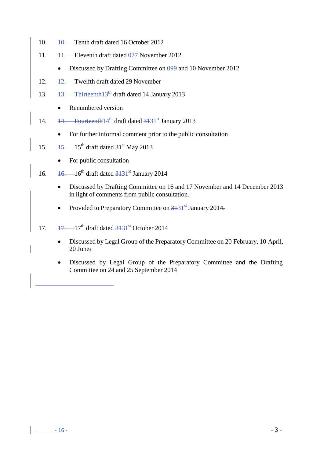- 10. 10. Tenth draft dated 16 October 2012
- 11. + <del>11.</del> Eleventh draft dated  $\frac{977}{100}$  November 2012
	- $\bullet$  Discussed by Drafting Committee on  $\theta$ 99 and 10 November 2012
- 12. 12. Twelfth draft dated 29 November
- 13.  $13.$  Thirteenth $13<sup>th</sup>$  draft dated 14 January 2013
	- Renumbered version
- 14. <del>14. Fourteenth</del>14<sup>th</sup> draft dated  $3431$ <sup>st</sup> January 2013
	- $\bullet$  For further informal comment prior to the public consultation
- 15.  $15. -15^{th}$  draft dated 31<sup>st</sup> May 2013
	- $\bullet$  For public consultation
- 16.  $16. 16$ <sup>th</sup> draft dated  $3131$ <sup>st</sup> January 2014
	- Discussed by Drafting Committee on 16 and 17 November and 14 December 2013 in light of comments from public consultation.
	- Provided to Preparatory Committee on  $3431<sup>st</sup>$  January 2014.
- 17.  $17. -17^{th}$  draft dated  $31^{st}$  October 2014

 $\overline{a}$ 

- Discussed by Legal Group of the Preparatory Committee on 20 February, 10 April, 20 June;
- Discussed by Legal Group of the Preparatory Committee and the Drafting Committee on 24 and 25 September 2014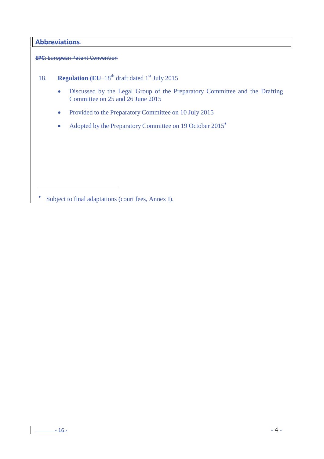# **Abbreviations**

#### **EPC**: European Patent Convention

- 18. **Regulation (EU** $-18^{th}$  draft dated  $1^{st}$  July 2015
	- Discussed by the Legal Group of the Preparatory Committee and the Drafting Committee on 25 and 26 June 2015
	- Provided to the Preparatory Committee on 10 July 2015
	- Adopted by the Preparatory Committee on 19 October 2015<sup>\*</sup>

Subject to final adaptations (court fees, Annex I).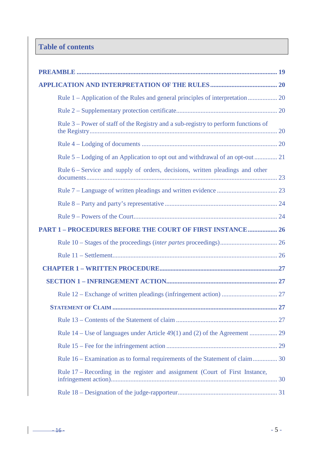# **Table of contents**

| Rule 3 – Power of staff of the Registry and a sub-registry to perform functions of |
|------------------------------------------------------------------------------------|
|                                                                                    |
|                                                                                    |
| Rule 6 – Service and supply of orders, decisions, written pleadings and other      |
|                                                                                    |
|                                                                                    |
|                                                                                    |
| <b>PART 1 - PROCEDURES BEFORE THE COURT OF FIRST INSTANCE 26</b>                   |
|                                                                                    |
|                                                                                    |
|                                                                                    |
|                                                                                    |
|                                                                                    |
|                                                                                    |
|                                                                                    |
|                                                                                    |
|                                                                                    |
| Rule 16 – Examination as to formal requirements of the Statement of claim 30       |
| Rule 17 – Recording in the register and assignment (Court of First Instance,       |
|                                                                                    |

 $\begin{array}{c} \hline \end{array}$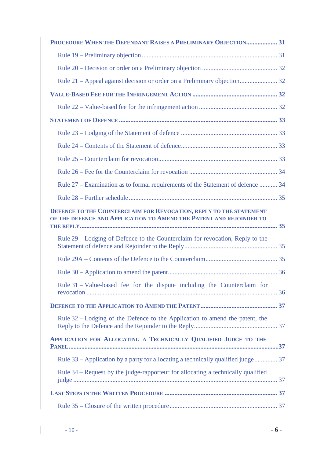| PROCEDURE WHEN THE DEFENDANT RAISES A PRELIMINARY OBJECTION 31                                                                                   |  |
|--------------------------------------------------------------------------------------------------------------------------------------------------|--|
|                                                                                                                                                  |  |
|                                                                                                                                                  |  |
|                                                                                                                                                  |  |
|                                                                                                                                                  |  |
|                                                                                                                                                  |  |
|                                                                                                                                                  |  |
|                                                                                                                                                  |  |
|                                                                                                                                                  |  |
|                                                                                                                                                  |  |
|                                                                                                                                                  |  |
| Rule 27 – Examination as to formal requirements of the Statement of defence  34                                                                  |  |
|                                                                                                                                                  |  |
| <b>DEFENCE TO THE COUNTERCLAIM FOR REVOCATION, REPLY TO THE STATEMENT</b><br>OF THE DEFENCE AND APPLICATION TO AMEND THE PATENT AND REJOINDER TO |  |
| Rule 29 – Lodging of Defence to the Counterclaim for revocation, Reply to the                                                                    |  |
|                                                                                                                                                  |  |
|                                                                                                                                                  |  |
| Rule 31 – Value-based fee for the dispute including the Counterclaim for                                                                         |  |
|                                                                                                                                                  |  |
| Rule 32 – Lodging of the Defence to the Application to amend the patent, the                                                                     |  |
| APPLICATION FOR ALLOCATING A TECHNICALLY QUALIFIED JUDGE TO THE                                                                                  |  |
| Rule 33 – Application by a party for allocating a technically qualified judge 37                                                                 |  |
| Rule 34 – Request by the judge-rapporteur for allocating a technically qualified                                                                 |  |
|                                                                                                                                                  |  |
|                                                                                                                                                  |  |

 $\overline{\phantom{a}}$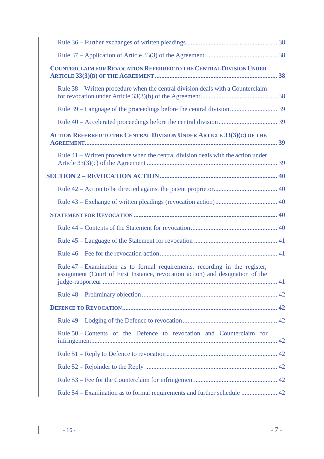| COUNTERCLAIM FOR REVOCATION REFERRED TO THE CENTRAL DIVISION UNDER                                                                                            |  |
|---------------------------------------------------------------------------------------------------------------------------------------------------------------|--|
| Rule 38 – Written procedure when the central division deals with a Counterclaim                                                                               |  |
|                                                                                                                                                               |  |
|                                                                                                                                                               |  |
| <b>ACTION REFERRED TO THE CENTRAL DIVISION UNDER ARTICLE 33(3)(C) OF THE</b>                                                                                  |  |
| Rule 41 – Written procedure when the central division deals with the action under                                                                             |  |
|                                                                                                                                                               |  |
|                                                                                                                                                               |  |
|                                                                                                                                                               |  |
|                                                                                                                                                               |  |
|                                                                                                                                                               |  |
|                                                                                                                                                               |  |
|                                                                                                                                                               |  |
|                                                                                                                                                               |  |
| Rule 47 – Examination as to formal requirements, recording in the register,<br>assignment (Court of First Instance, revocation action) and designation of the |  |
|                                                                                                                                                               |  |
|                                                                                                                                                               |  |
|                                                                                                                                                               |  |
| Rule 50 – Contents of the Defence to revocation and Counterclaim for                                                                                          |  |
|                                                                                                                                                               |  |
|                                                                                                                                                               |  |
|                                                                                                                                                               |  |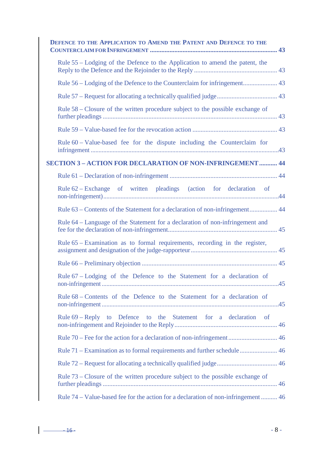| <b>DEFENCE TO THE APPLICATION TO AMEND THE PATENT AND DEFENCE TO THE</b>           |
|------------------------------------------------------------------------------------|
| Rule 55 – Lodging of the Defence to the Application to amend the patent, the       |
|                                                                                    |
|                                                                                    |
| Rule 58 – Closure of the written procedure subject to the possible exchange of     |
|                                                                                    |
| Rule 60 – Value-based fee for the dispute including the Counterclaim for           |
| <b>SECTION 3 - ACTION FOR DECLARATION OF NON-INFRINGEMENT  44</b>                  |
|                                                                                    |
| Rule 62 – Exchange of written pleadings (action for declaration of                 |
| Rule 63 – Contents of the Statement for a declaration of non-infringement 44       |
| Rule 64 – Language of the Statement for a declaration of non-infringement and      |
| Rule 65 – Examination as to formal requirements, recording in the register,        |
|                                                                                    |
| Rule 67 – Lodging of the Defence to the Statement for a declaration of             |
| Rule 68 – Contents of the Defence to the Statement for a declaration of            |
| Rule 69 – Reply to Defence to the Statement for a declaration of                   |
|                                                                                    |
| Rule 71 – Examination as to formal requirements and further schedule 46            |
|                                                                                    |
| Rule 73 – Closure of the written procedure subject to the possible exchange of     |
| Rule 74 – Value-based fee for the action for a declaration of non-infringement  46 |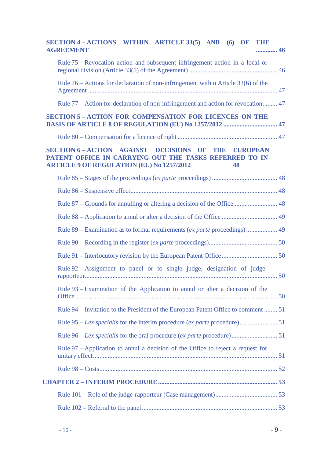| SECTION 4 - ACTIONS WITHIN ARTICLE 33(5) AND (6) OF THE<br><b>AGREEMENT</b><br>46                                                                                      |
|------------------------------------------------------------------------------------------------------------------------------------------------------------------------|
| Rule 75 – Revocation action and subsequent infringement action in a local or                                                                                           |
| Rule $76$ – Actions for declaration of non-infringement within Article 33(6) of the                                                                                    |
| Rule 77 – Action for declaration of non-infringement and action for revocation 47                                                                                      |
| <b>SECTION 5-ACTION FOR COMPENSATION FOR LICENCES ON THE</b>                                                                                                           |
|                                                                                                                                                                        |
| SECTION 6-ACTION AGAINST DECISIONS OF THE EUROPEAN<br>PATENT OFFICE IN CARRYING OUT THE TASKS REFERRED TO IN<br><b>ARTICLE 9 OF REGULATION (EU) No 1257/2012</b><br>48 |
|                                                                                                                                                                        |
|                                                                                                                                                                        |
| Rule 87 – Grounds for annulling or altering a decision of the Office 48                                                                                                |
|                                                                                                                                                                        |
| Rule 89 – Examination as to formal requirements (ex parte proceedings) 49                                                                                              |
|                                                                                                                                                                        |
|                                                                                                                                                                        |
| Rule 92 – Assignment to panel or to single judge, designation of judge-                                                                                                |
| Rule 93 – Examination of the Application to annul or alter a decision of the                                                                                           |
| Rule 94 – Invitation to the President of the European Patent Office to comment  51                                                                                     |
|                                                                                                                                                                        |
|                                                                                                                                                                        |
| Rule 97 – Application to annul a decision of the Office to reject a request for                                                                                        |
|                                                                                                                                                                        |
|                                                                                                                                                                        |
|                                                                                                                                                                        |
|                                                                                                                                                                        |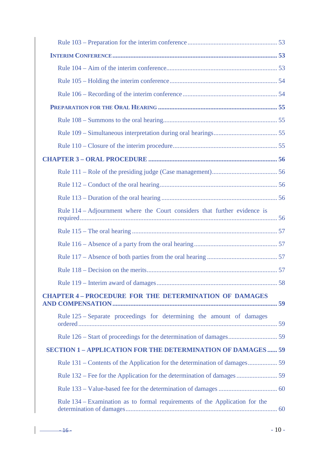| Rule 114 – Adjournment where the Court considers that further evidence is   |  |
|-----------------------------------------------------------------------------|--|
|                                                                             |  |
|                                                                             |  |
|                                                                             |  |
|                                                                             |  |
|                                                                             |  |
| <b>CHAPTER 4 - PROCEDURE FOR THE DETERMINATION OF DAMAGES</b>               |  |
| Rule 125 – Separate proceedings for determining the amount of damages       |  |
|                                                                             |  |
| <b>SECTION 1 - APPLICATION FOR THE DETERMINATION OF DAMAGES 59</b>          |  |
|                                                                             |  |
|                                                                             |  |
|                                                                             |  |
| Rule 134 – Examination as to formal requirements of the Application for the |  |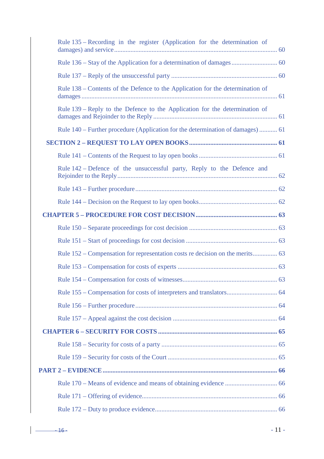| Rule 135 – Recording in the register (Application for the determination of      |  |
|---------------------------------------------------------------------------------|--|
|                                                                                 |  |
|                                                                                 |  |
| Rule 138 – Contents of the Defence to the Application for the determination of  |  |
| Rule 139 – Reply to the Defence to the Application for the determination of     |  |
| Rule 140 – Further procedure (Application for the determination of damages)  61 |  |
|                                                                                 |  |
|                                                                                 |  |
| Rule 142 – Defence of the unsuccessful party, Reply to the Defence and          |  |
|                                                                                 |  |
|                                                                                 |  |
|                                                                                 |  |
|                                                                                 |  |
|                                                                                 |  |
|                                                                                 |  |
|                                                                                 |  |
|                                                                                 |  |
|                                                                                 |  |
|                                                                                 |  |
|                                                                                 |  |
|                                                                                 |  |
|                                                                                 |  |
|                                                                                 |  |
|                                                                                 |  |
|                                                                                 |  |
|                                                                                 |  |
|                                                                                 |  |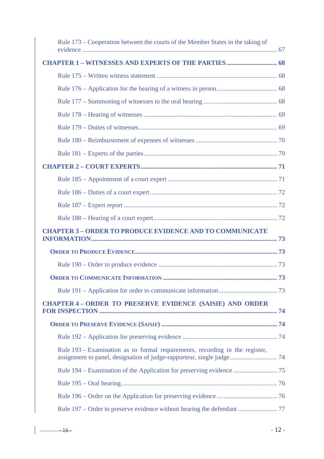| Rule 173 – Cooperation between the courts of the Member States in the taking of |  |
|---------------------------------------------------------------------------------|--|
| <b>CHAPTER 1 - WITNESSES AND EXPERTS OF THE PARTIES 68</b>                      |  |
|                                                                                 |  |
|                                                                                 |  |
|                                                                                 |  |
|                                                                                 |  |
|                                                                                 |  |
|                                                                                 |  |
|                                                                                 |  |
|                                                                                 |  |
|                                                                                 |  |
|                                                                                 |  |
|                                                                                 |  |
|                                                                                 |  |
|                                                                                 |  |
| <b>CHAPTER 3 - ORDER TO PRODUCE EVIDENCE AND TO COMMUNICATE</b>                 |  |
|                                                                                 |  |
|                                                                                 |  |
|                                                                                 |  |
|                                                                                 |  |
| <b>CHAPTER 4 - ORDER TO PRESERVE EVIDENCE (SAISIE) AND ORDER</b>                |  |
|                                                                                 |  |
|                                                                                 |  |
| Rule 193 – Examination as to formal requirements, recording in the register,    |  |
|                                                                                 |  |
|                                                                                 |  |
|                                                                                 |  |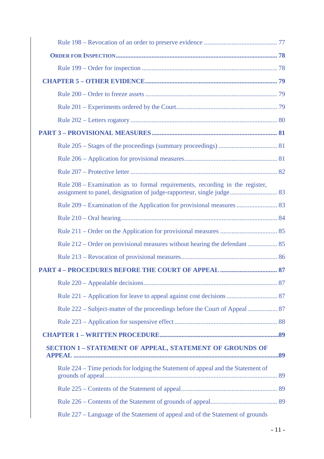| Rule 208 – Examination as to formal requirements, recording in the register,<br>assignment to panel, designation of judge-rapporteur, single judge 83 |  |
|-------------------------------------------------------------------------------------------------------------------------------------------------------|--|
|                                                                                                                                                       |  |
|                                                                                                                                                       |  |
|                                                                                                                                                       |  |
|                                                                                                                                                       |  |
|                                                                                                                                                       |  |
|                                                                                                                                                       |  |
|                                                                                                                                                       |  |
|                                                                                                                                                       |  |
|                                                                                                                                                       |  |
|                                                                                                                                                       |  |
|                                                                                                                                                       |  |
| <b>SECTION 1-STATEMENT OF APPEAL, STATEMENT OF GROUNDS OF</b>                                                                                         |  |
| Rule 224 – Time periods for lodging the Statement of appeal and the Statement of                                                                      |  |
|                                                                                                                                                       |  |
|                                                                                                                                                       |  |
| Rule 227 - Language of the Statement of appeal and of the Statement of grounds                                                                        |  |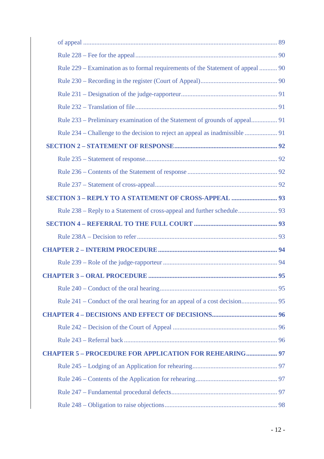| Rule 229 – Examination as to formal requirements of the Statement of appeal  90 |  |
|---------------------------------------------------------------------------------|--|
|                                                                                 |  |
|                                                                                 |  |
|                                                                                 |  |
| Rule 233 – Preliminary examination of the Statement of grounds of appeal 91     |  |
|                                                                                 |  |
|                                                                                 |  |
|                                                                                 |  |
|                                                                                 |  |
|                                                                                 |  |
| SECTION 3 - REPLY TO A STATEMENT OF CROSS-APPEAL  93                            |  |
|                                                                                 |  |
|                                                                                 |  |
|                                                                                 |  |
|                                                                                 |  |
|                                                                                 |  |
|                                                                                 |  |
|                                                                                 |  |
|                                                                                 |  |
|                                                                                 |  |
|                                                                                 |  |
|                                                                                 |  |
| <b>CHAPTER 5 - PROCEDURE FOR APPLICATION FOR REHEARING 97</b>                   |  |
|                                                                                 |  |
|                                                                                 |  |
|                                                                                 |  |
|                                                                                 |  |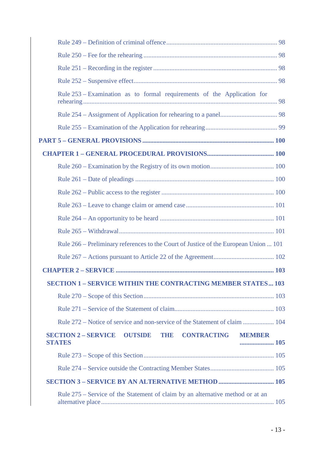| Rule 253 – Examination as to formal requirements of the Application for                                     |
|-------------------------------------------------------------------------------------------------------------|
|                                                                                                             |
|                                                                                                             |
|                                                                                                             |
|                                                                                                             |
|                                                                                                             |
|                                                                                                             |
|                                                                                                             |
|                                                                                                             |
|                                                                                                             |
|                                                                                                             |
| Rule 266 – Preliminary references to the Court of Justice of the European Union  101                        |
|                                                                                                             |
|                                                                                                             |
| <b>SECTION 1 - SERVICE WITHIN THE CONTRACTING MEMBER STATES 103</b>                                         |
|                                                                                                             |
|                                                                                                             |
|                                                                                                             |
| <b>SECTION 2 - SERVICE</b><br><b>OUTSIDE</b><br><b>CONTRACTING</b><br><b>MEMBER</b><br>THE<br><b>STATES</b> |
|                                                                                                             |
|                                                                                                             |
| <b>SECTION 3 - SERVICE BY AN ALTERNATIVE METHOD  105</b>                                                    |
| Rule 275 – Service of the Statement of claim by an alternative method or at an                              |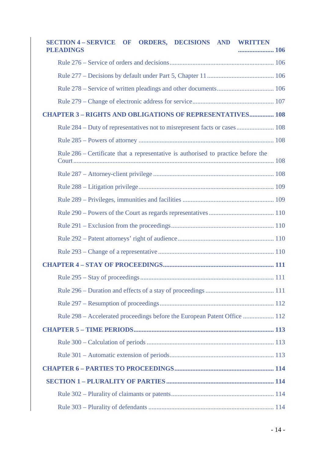| <b>PLEADINGS</b> | <b>SECTION 4 – SERVICE</b> |  | OF ORDERS, DECISIONS AND WRITTEN                                                  | 106                                                                       |
|------------------|----------------------------|--|-----------------------------------------------------------------------------------|---------------------------------------------------------------------------|
|                  |                            |  |                                                                                   |                                                                           |
|                  |                            |  |                                                                                   |                                                                           |
|                  |                            |  |                                                                                   |                                                                           |
|                  |                            |  |                                                                                   |                                                                           |
|                  |                            |  |                                                                                   | <b>CHAPTER 3 - RIGHTS AND OBLIGATIONS OF REPRESENTATIVES 108</b>          |
|                  |                            |  |                                                                                   |                                                                           |
|                  |                            |  |                                                                                   |                                                                           |
|                  |                            |  | Rule 286 – Certificate that a representative is authorised to practice before the |                                                                           |
|                  |                            |  |                                                                                   |                                                                           |
|                  |                            |  |                                                                                   |                                                                           |
|                  |                            |  |                                                                                   |                                                                           |
|                  |                            |  |                                                                                   |                                                                           |
|                  |                            |  |                                                                                   |                                                                           |
|                  |                            |  |                                                                                   |                                                                           |
|                  |                            |  |                                                                                   |                                                                           |
|                  |                            |  |                                                                                   |                                                                           |
|                  |                            |  |                                                                                   |                                                                           |
|                  |                            |  |                                                                                   |                                                                           |
|                  |                            |  |                                                                                   |                                                                           |
|                  |                            |  |                                                                                   | Rule 298 – Accelerated proceedings before the European Patent Office  112 |
|                  |                            |  |                                                                                   |                                                                           |
|                  |                            |  |                                                                                   |                                                                           |
|                  |                            |  |                                                                                   |                                                                           |
|                  |                            |  |                                                                                   |                                                                           |
|                  |                            |  |                                                                                   |                                                                           |
|                  |                            |  |                                                                                   |                                                                           |
|                  |                            |  |                                                                                   |                                                                           |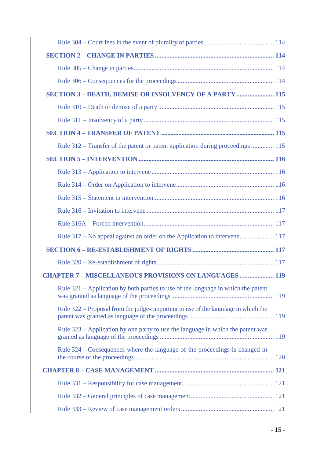| <b>SECTION 3 - DEATH, DEMISE OR INSOLVENCY OF A PARTY  115</b>                    |  |
|-----------------------------------------------------------------------------------|--|
|                                                                                   |  |
|                                                                                   |  |
|                                                                                   |  |
| Rule 312 – Transfer of the patent or patent application during proceedings  115   |  |
|                                                                                   |  |
|                                                                                   |  |
|                                                                                   |  |
|                                                                                   |  |
|                                                                                   |  |
|                                                                                   |  |
|                                                                                   |  |
|                                                                                   |  |
|                                                                                   |  |
| <b>CHAPTER 7 - MISCELLANEOUS PROVISIONS ON LANGUAGES  119</b>                     |  |
| Rule 321 – Application by both parties to use of the language in which the patent |  |
| Rule 322 – Proposal from the judge-rapporteur to use of the language in which the |  |
| Rule 323 – Application by one party to use the language in which the patent was   |  |
| Rule 324 – Consequences where the language of the proceedings is changed in       |  |
|                                                                                   |  |
|                                                                                   |  |
|                                                                                   |  |
|                                                                                   |  |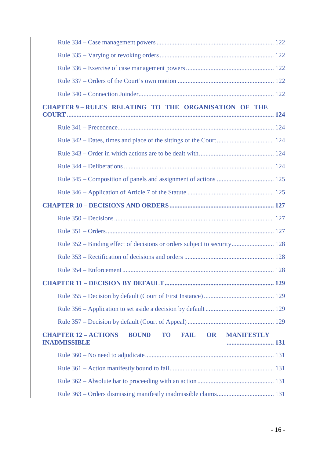| <b>CHAPTER 9-RULES RELATING TO THE ORGANISATION OF THE</b>                                                                |  |  |  |  |  |
|---------------------------------------------------------------------------------------------------------------------------|--|--|--|--|--|
|                                                                                                                           |  |  |  |  |  |
|                                                                                                                           |  |  |  |  |  |
|                                                                                                                           |  |  |  |  |  |
|                                                                                                                           |  |  |  |  |  |
|                                                                                                                           |  |  |  |  |  |
|                                                                                                                           |  |  |  |  |  |
|                                                                                                                           |  |  |  |  |  |
|                                                                                                                           |  |  |  |  |  |
|                                                                                                                           |  |  |  |  |  |
|                                                                                                                           |  |  |  |  |  |
|                                                                                                                           |  |  |  |  |  |
|                                                                                                                           |  |  |  |  |  |
|                                                                                                                           |  |  |  |  |  |
|                                                                                                                           |  |  |  |  |  |
|                                                                                                                           |  |  |  |  |  |
|                                                                                                                           |  |  |  |  |  |
| <b>CHAPTER 12 - ACTIONS</b><br><b>BOUND</b><br><b>TO</b><br><b>FAIL</b><br>OR<br><b>MANIFESTLY</b><br><b>INADMISSIBLE</b> |  |  |  |  |  |
|                                                                                                                           |  |  |  |  |  |
|                                                                                                                           |  |  |  |  |  |
|                                                                                                                           |  |  |  |  |  |
|                                                                                                                           |  |  |  |  |  |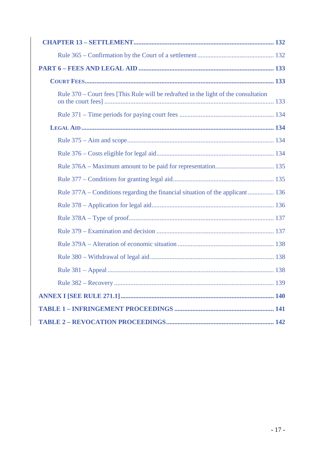| Rule 370 – Court fees [This Rule will be redrafted in the light of the consultation |
|-------------------------------------------------------------------------------------|
|                                                                                     |
|                                                                                     |
|                                                                                     |
|                                                                                     |
|                                                                                     |
|                                                                                     |
| Rule 377A – Conditions regarding the financial situation of the applicant  136      |
|                                                                                     |
|                                                                                     |
|                                                                                     |
|                                                                                     |
|                                                                                     |
|                                                                                     |
|                                                                                     |
|                                                                                     |
|                                                                                     |
|                                                                                     |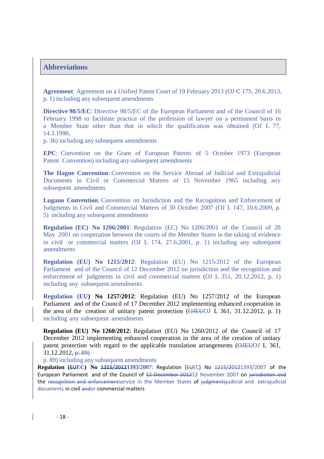### **Abbreviations**

**Agreement**: Agreement on a Unified Patent Court of 19 February 2013 (OJ C 175, 20.6.2013, p. 1) including any subsequent amendments

**Directive 98/5/EC**: Directive 98/5/EC of the European Parliament and of the Council of 16 February 1998 to facilitate practice of the profession of lawyer on a permanent basis in a Member State other than that in which the qualification was obtained (OJ L 77, 14.3.1998,

p. 36) including any subsequent amendments

**EPC**: Convention on the Grant of European Patents of 5 October 1973 (European Patent Convention) including any subsequent amendments

**The Hague Convention**: Convention on the Service Abroad of Judicial and Extrajudicial Documents in Civil or Commercial Matters of 15 November 1965 including any subsequent amendments

**Lugano Convention**: Convention on Jurisdiction and the Recognition and Enforcement of Judgments in Civil and Commercial Matters of 30 October 2007 (OJ L 147, 10.6.2009, p. 5) including any subsequent amendments

**Regulation (EC) No 1206/2001**: Regulation (EC) No 1206/2001 of the Council of 28 May 2001 on cooperation between the courts of the Member States in the taking of evidence in civil or commercial matters (OJ L 174, 27.6.2001, p. 1) including any subsequent amendments

**Regulation (EU) No 1215/2012**: Regulation (EU) No 1215/2012 of the European Parliament and of the Council of 12 December 2012 on jurisdiction and the recognition and enforcement of judgments in civil and commercial matters (OJ L 351, 20.12.2012, p. 1) including any subsequent amendments

**Regulation (EU) No 1257/2012**: Regulation (EU) No 1257/2012 of the European Parliament and of the Council of 17 December 2012 implementing enhanced cooperation in the area of the creation of unitary patent protection (OJEUOJ L 361, 31.12.2012, p. 1) including any subsequent amendments

**Regulation (EU) No 1260/2012**: Regulation (EU) No 1260/2012 of the Council of 17 December 2012 implementing enhanced cooperation in the area of the creation of unitary patent protection with regard to the applicable translation arrangements (OJEUOJ L 361,  $31.12.2012, \frac{p}{p}$ . 89)

p. 89) including any subsequent amendments

**Regulation (EUEC) No 1215/20121393/2007**: Regulation (EUEC) No 1215/20121393/2007 of the European Parliament and of the Council of 12 December 201213 November 2007 on jurisdiction and the recognition and enforcementservice in the Member States of judgmentsjudicial and extrajudicial documents in civil andor commercial matters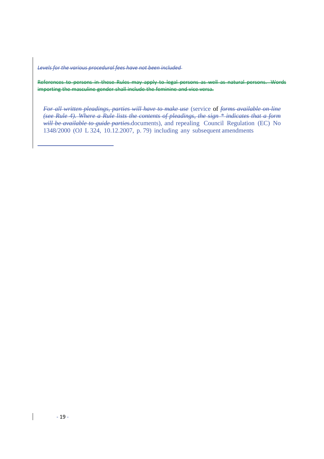*Levels for the various procedural fees have not been included* 

References to persons in these Rules may apply to legal persons as well as natural persons. Words importing the masculine gender shall include the feminine and vice versa.

*For all written pleadings, parties will have to make use* (service of *forms available on-line (see Rule 4). Where a Rule lists the contents of pleadings, the sign \* indicates that a form will be available to guide parties.*documents), and repealing Council Regulation (EC) No 1348/2000 (OJ L 324, 10.12.2007, p. 79) including any subsequent amendments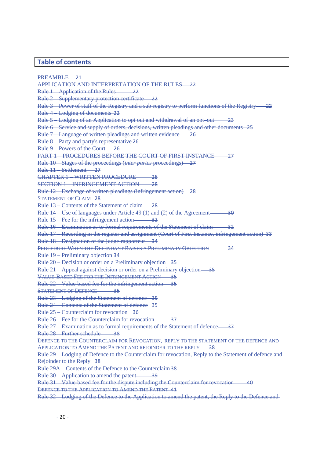#### **Table of contents**

PREAMBLE 21 APPLICATION AND INTERPRETATION OF THE RULES 22 Rule 1 – Application of the Rules 22 Rule 2 – Supplementary protection certificate 22 Rule 3 – Power of staff of the Registry and a sub-registry to perform functions of the Registry 22 Rule 4 – Lodging of documents 22 Rule 5 – Lodging of an Application to opt out and withdrawal of an opt–out 23 Rule 6 – Service and supply of orders, decisions, written pleadings and other documents 25 Rule 7 – Language of written pleadings and written evidence 26 Rule 8 – Party and party's representative 26 Rule 9 – Powers of the Court 26 PART 1 – PROCEDURES BEFORE THE COURT OF FIRST INSTANCE 27 Rule 10 – Stages of the proceedings (*inter partes* proceedings) 27 Rule 11 – Settlement 27 CHAPTER 1 – WRITTEN PROCEDURE 28 SECTION 1 **INFRINGEMENT ACTION** 28 Rule 12 – Exchange of written pleadings (infringement action) 28 STATEMENT OF CLAIM 28 Rule 13 – Contents of the Statement of claim 28 Rule 14 – Use of languages under Article 49 (1) and (2) of the Agreement 30 Rule 15 – Fee for the infringement action 32 Rule 16 Examination as to formal requirements of the Statement of claim 32 Rule 17 – Recording in the register and assignment (Court of First Instance, infringement action) 33 Rule 18 – Designation of the judge-rapporteur 34 PROCEDURE WHEN THE DEFENDANT RAISES A PRELIMINARY OBJECTION 34 Rule 19 – Preliminary objection 34 Rule 20 – Decision or order on a Preliminary objection 35 Rule 21 – Appeal against decision or order on a Preliminary objection 35 VALUE-BASED FEE FOR THE INFRINGEMENT ACTION 35 Rule 22 – Value-based fee for the infringement action 35 STATEMENT OF DEFENCE 35 Rule 23 – Lodging of the Statement of defence 35 Rule 24 – Contents of the Statement of defence 35 Rule 25 – Counterclaim for revocation 36 Rule 26 Fee for the Counterclaim for revocation 37 Rule 27 – Examination as to formal requirements of the Statement of defence 37 Rule 28 – Further schedule 38 DEFENCE TO THE COUNTERCLAIM FOR REVOCATION, REPLY TO THE STATEMENT OF THE DEFENCE AND APPLICATION TO AMEND THE PATENT AND REJOINDER TO THE REPLY 38 Rule 29 – Lodging of Defence to the Counterclaim for revocation, Reply to the Statement of defence and Rejoinder to the Reply 38 Rule 29A – Contents of the Defence to the Counterclaim 38 Rule 30 – Application to amend the patent 39 Rule 31 Value-based fee for the dispute including the Counterclaim for revocation 40 DEFENCE TO THE APPLICATION TO AMEND THE PATENT 41 Rule 32 – Lodging of the Defence to the Application to amend the patent, the Reply to the Defence and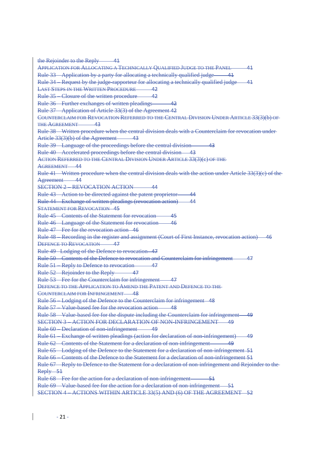the Rejoinder to the Reply 41 APPLICATION FOR ALLOCATING A TECHNICALLY QUALIFIED JUDGE TO THE PANEL 41 Rule 33 – Application by a party for allocating a technically qualified judge 44 Rule 34 – Request by the judge-rapporteur for allocating a technically qualified judge 41 LAST STEPS IN THE WRITTEN PROCEDURE 42 Rule 35 Closure of the written procedure 42 Rule 36 Further exchanges of written pleadings 42 Rule 37 – Application of Article 33(3) of the Agreement 42 COUNTERCLAIM FOR REVOCATION REFERRED TO THE CENTRAL DIVISION UNDER ARTICLE 33(3)(b) OF THE AGREEMENT 43 Rule 38 – Written procedure when the central division deals with a Counterclaim for revocation under Article 33(3)(b) of the Agreement 43 Rule 39 – Language of the proceedings before the central division 43 Rule 40 – Accelerated proceedings before the central division 43 ACTION REFERRED TO THE CENTRAL DIVISION UNDER ARTICLE 33(3)(c) OF THE AGREEMENT 44 Rule 41 – Written procedure when the central division deals with the action under Article 33(3)(c) of the Agreement 44 SECTION 2 REVOCATION ACTION 44 Rule 43 – Action to be directed against the patent proprietor-Rule 44 – Exchange of written pleadings (revocation action) 44 STATEMENT FOR REVOCATION 45 Rule 45 – Contents of the Statement for revocation 45 Rule 46 Language of the Statement for revocation 46 Rule 47 – Fee for the revocation action 46 Rule 48 – Recording in the register and assignment (Court of First Instance, revocation action) 46 DEFENCE TO REVOCATION 47 Rule 49– Lodging of the Defence to revocation 47 Rule 50 – Contents of the Defence to revocation and Counterclaim for infringement 47 Rule 51 – Reply to Defence to revocation 47 Rule 52 – Rejoinder to the Reply 47 Rule 53 – Fee for the Counterclaim for infringement 47 DEFENCE TO THE APPLICATION TO AMEND THE PATENT AND DEFENCE TO THE COUNTERCLAIM FOR INFRINGEMENT 48 Rule 56 – Lodging of the Defence to the Counterclaim for infringement 48 Rule 57 Value-based fee for the revocation action 48 Rule 58 – Value-based fee for the dispute including the Counterclaim for infringement 49 SECTION 3 – ACTION FOR DECLARATION OF NON-INFRINGEMENT – 49 Rule 60 – Declaration of non-infringement 49 Rule 61 – Exchange of written pleadings (action for declaration of non-infringement) 49 Rule 62 – Contents of the Statement for a declaration of non-infringement Rule 65 – Lodging of the Defence to the Statement for a declaration of non-infringement 51 Rule 66 – Contents of the Defence to the Statement for a declaration of non-infringement 51 Rule 67 – Reply to Defence to the Statement for a declaration of non-infringement and Rejoinder to the Reply 51 Rule 68 Fee for the action for a declaration of non-infringement 51 Rule 69 – Value-based fee for the action for a declaration of non-infringement 51 SECTION 4 – ACTIONS WITHIN ARTICLE 33(5) AND (6) OF THE AGREEMENT 52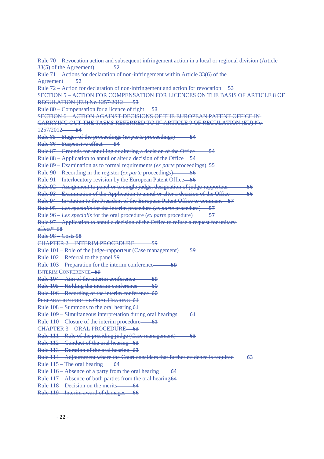Rule 70 – Revocation action and subsequent infringement action in a local or regional division (Article 33(5) of the Agreement). 52 Rule 71 – Actions for declaration of non-infringement within Article 33(6) of the Agreement 52 Rule 72 – Action for declaration of non-infringement and action for revocation 53 SECTION 5 – ACTION FOR COMPENSATION FOR LICENCES ON THE BASIS OF ARTICLE 8 OF REGULATION (EU) No 1257/2012 53 Rule 80 – Compensation for a licence of right – 53 SECTION 6 – ACTION AGAINST DECISIONS OF THE EUROPEAN PATENT OFFICE IN CARRYING OUT THE TASKS REFERRED TO IN ARTICLE 9 OF REGULATION (EU) No 1257/2012 54 Rule 85 – Stages of the proceedings (*ex parte* proceedings) 54 Rule 86 – Suspensive effect – 54 Rule 87 – Grounds for annulling or altering a decision of the Office 54 Rule 88 – Application to annul or alter a decision of the Office 54 Rule 89 – Examination as to formal requirements (*ex parte* proceedings) 55 Rule 90 – Recording in the register (*ex parte* proceedings) 56 Rule 91 – Interlocutory revision by the European Patent Office 56 Rule 92 Assignment to panel or to single judge, designation of judge-rapporteur 56 Rule 93 – Examination of the Application to annul or alter a decision of the Office 56 Rule 94 – Invitation to the President of the European Patent Office to comment 57 Rule 95 – *Lex specialis* for the interim procedure (*ex parte* procedure) 57 Rule 96 – *Lex specialis* for the oral procedure (*ex parte* procedure) 57 Rule 97 – Application to annul a decision of the Office to refuse a request for unitary effect\* 58 Rule 98 – Costs 58 CHAPTER 2 – INTERIM PROCEDURE 59 Rule 101 – Role of the judge-rapporteur (Case management) 59 Rule 102 – Referral to the panel 59 Rule 103 Preparation for the interim conference 59 INTERIM CONFERENCE 59 Rule 104 – Aim of the interim conference 59 Rule 105 – Holding the interim conference 60 Rule 106 – Recording of the interim conference 60 PREPARATION FOR THE ORAL HEARING 61 Rule 108 – Summons to the oral hearing 61 Rule 109 – Simultaneous interpretation during oral hearings – 61 Rule 110 – Closure of the interim procedure 61 CHAPTER 3 – ORAL PROCEDURE 63 Rule 111 – Role of the presiding judge (Case management) 63 Rule 112 – Conduct of the oral hearing 63 Rule 113 – Duration of the oral hearing 63 Rule 114 – Adjournment where the Court considers that further evidence is required 63 Rule 115 – The oral hearing 64 Rule 116 Absence of a party from the oral hearing 64 Rule 117 – Absence of both parties from the oral hearing 64 Rule 118 – Decision on the merits 64 Rule 119 – Interim award of damages 66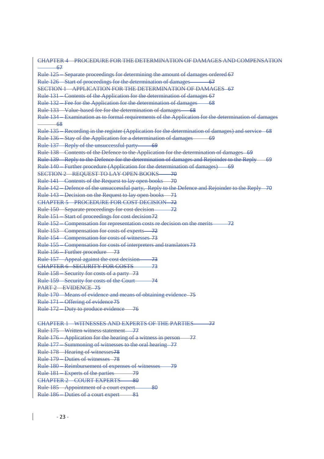CHAPTER 4 – PROCEDURE FOR THE DETERMINATION OF DAMAGES AND COMPENSATION 67 Rule 125 – Separate proceedings for determining the amount of damages ordered 67 Rule 126 – Start of proceedings for the determination of damages 67 SECTION 1 – APPLICATION FOR THE DETERMINATION OF DAMAGES 67 Rule 131 – Contents of the Application for the determination of damages 67 Rule 132 Fee for the Application for the determination of damages 68 Rule 133 Value-based fee for the determination of damages 68 Rule 134 – Examination as to formal requirements of the Application for the determination of damages  $68$ Rule 135 – Recording in the register (Application for the determination of damages) and service 68 Rule 136 – Stay of the Application for a determination of damages 69 Rule 137 – Reply of the unsuccessful party 69 Rule 138 – Contents of the Defence to the Application for the determination of damages 69 Rule 139 – Reply to the Defence for the determination of damages and Rejoinder to the Reply 69 Rule 140 – Further procedure (Application for the determination of damages) 69 SECTION 2 REQUEST TO LAY OPEN BOOKS 70 Rule 141 – Contents of the Request to lay open books – 70 Rule 142 – Defence of the unsuccessful party, Reply to the Defence and Rejoinder to the Reply 70 Rule 143 – Decision on the Request to lay open books – 71 CHAPTER 5 – PROCEDURE FOR COST DECISION 72 Rule 150 – Separate proceedings for cost decision 72 Rule 151 – Start of proceedings for cost decision 72 Rule 152 – Compensation for representation costs re decision on the merits 72 Rule 153 – Compensation for costs of experts 72 Rule 154 – Compensation for costs of witnesses 73 Rule 155 – Compensation for costs of interpreters and translators 73 Rule 156 – Further procedure 73 Rule 157 Appeal against the cost decision 73 CHAPTER 6 SECURITY FOR COSTS 73 Rule 158 – Security for costs of a party 73 Rule 159 – Security for costs of the Court 74 PART 2 – EVIDENCE 75 Rule 170 – Means of evidence and means of obtaining evidence 75 Rule 171 – Offering of evidence 75 Rule 172 – Duty to produce evidence 76 CHAPTER 1 – WITNESSES AND EXPERTS OF THE PARTIES 77 Rule 175 – Written witness statement 77 Rule 176 – Application for the hearing of a witness in person – 77 Rule 177 – Summoning of witnesses to the oral hearing 77 Rule 178 – Hearing of witnesses 78 Rule 179 – Duties of witnesses 78 Rule 180 – Reimbursement of expenses of witnesses 79 Rule 181 Experts of the parties 79 CHAPTER 2 – COURT EXPERTS 80 Rule 185 Appointment of a court expert 80 Rule 186 – Duties of a court expert 81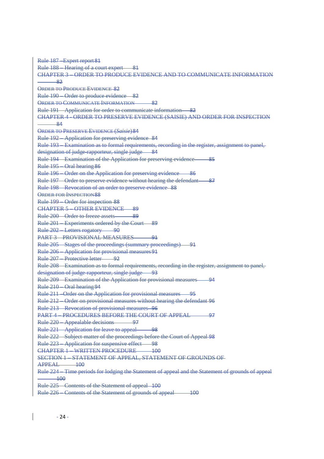Rule 187 –Expert report 81 Rule 188 Hearing of a court expert 81 CHAPTER 3 – ORDER TO PRODUCE EVIDENCE AND TO COMMUNICATE INFORMATION  $\overline{82}$ ORDER TO PRODUCE EVIDENCE 82 Rule 190 – Order to produce evidence 82 ORDER TO COMMUNICATE INFORMATION 82 Rule 191 – Application for order to communicate information 82 CHAPTER 4 - ORDER TO PRESERVE EVIDENCE (SAISIE) AND ORDER FOR INSPECTION  $\overline{\mathbf{84}}$ ORDER TO PRESERVE EVIDENCE (*Saisie*) 84 Rule 192 – Application for preserving evidence 84 Rule 193 – Examination as to formal requirements, recording in the register, assignment to panel, designation of judge-rapporteur, single judge 84 Rule 194 – Examination of the Application for preserving evidence 35 Rule 195 – Oral hearing 86 Rule 196 – Order on the Application for preserving evidence – 86 Rule 197 – Order to preserve evidence without hearing the defendant – 87 Rule 198 – Revocation of an order to preserve evidence 88 ORDER FOR INSPECTION 88 Rule 199 – Order for inspection 88 CHAPTER 5 – OTHER EVIDENCE – 89 Rule 200 Order to freeze assets 89 Rule 201 – Experiments ordered by the Court – 89 Rule 202 Letters rogatory 90 PART 3 – PROVISIONAL MEASURES 91 Rule 205 – Stages of the proceedings (summary proceedings) – 91 Rule 206 – Application for provisional measures 91 Rule 207 – Protective letter 92 Rule 208 – Examination as to formal requirements, recording in the register, assignment to panel, designation of judge-rapporteur, single judge 93 Rule 209 – Examination of the Application for provisional measures 94 Rule 210 – Oral hearing 94 Rule 211 – Order on the Application for provisional measures – 95 Rule 212 – Order on provisional measures without hearing the defendant 96 Rule 213 – Revocation of provisional measures 96 PART 4 – PROCEDURES BEFORE THE COURT OF APPEAL 97 Rule 220 – Appealable decisions 97 Rule 221 – Application for leave to appeal 98 Rule 222 – Subject-matter of the proceedings before the Court of Appeal 98 Rule 223 – Application for suspensive effect 98 CHAPTER 1 – WRITTEN PROCEDURE 100 SECTION 1 – STATEMENT OF APPEAL, STATEMENT OF GROUNDS OF APPEAL 100 Rule 224 – Time periods for lodging the Statement of appeal and the Statement of grounds of appeal  $-100$ Rule 225 – Contents of the Statement of appeal 100 Rule 226 – Contents of the Statement of grounds of appeal  $100$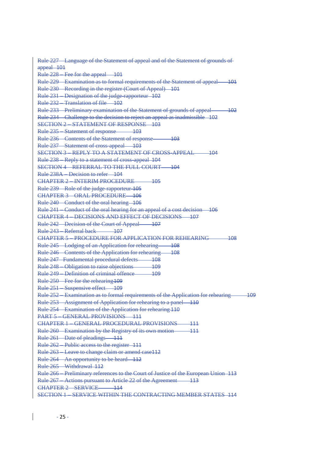Rule 227 – Language of the Statement of appeal and of the Statement of grounds of appeal 101 Rule 228 – Fee for the appeal – 101 Rule 229 – Examination as to formal requirements of the Statement of appeal 101 Rule 230 – Recording in the register (Court of Appeal) 101 Rule 231 – Designation of the judge-rapporteur 102 Rule 232 – Translation of file 102 Rule 233 Preliminary examination of the Statement of grounds of appeal 102 Rule 234 – Challenge to the decision to reject an appeal as inadmissible 102 SECTION 2 - STATEMENT OF RESPONSE 103 Rule 235 – Statement of response 103 Rule 236 – Contents of the Statement of response  $\hspace{1.5cm} 103$ Rule 237 – Statement of cross-appeal 103 SECTION 3 – REPLY TO A STATEMENT OF CROSS-APPEAL 104 Rule 238 – Reply to a statement of cross-appeal 104 SECTION 4 – REFERRAL TO THE FULL COURT 104 Rule 238A – Decision to refer 104 CHAPTER 2 – INTERIM PROCEDURE 105 Rule 239 – Role of the judge-rapporteur 105 CHAPTER 3 – ORAL PROCEDURE 106 Rule 240 – Conduct of the oral hearing 106 Rule 241 – Conduct of the oral hearing for an appeal of a cost decision 106 CHAPTER 4 – DECISIONS AND EFFECT OF DECISIONS 107 Rule 242 Decision of the Court of Appeal 107 Rule 243 – Referral back 107 CHAPTER 5 – PROCEDURE FOR APPLICATION FOR REHEARING 108 Rule 245 – Lodging of an Application for rehearing 108 Rule 246 – Contents of the Application for rehearing 108 Rule 247 Fundamental procedural defects 108 Rule 248 – Obligation to raise objections 109 Rule 249 – Definition of criminal offence 409 Rule 250 – Fee for the rehearing 109 Rule 251 – Suspensive effect 109 Rule 252 – Examination as to formal requirements of the Application for rehearing 109 Rule 253 – Assignment of Application for rehearing to a panel 110 Rule 254 – Examination of the Application for rehearing 110 PART 5 GENERAL PROVISIONS 111 CHAPTER 1 – GENERAL PROCEDURAL PROVISIONS 111 Rule 260 – Examination by the Registry of its own motion 111 Rule 261 Date of pleadings 111 Rule 262 – Public access to the register 111 Rule 263 – Leave to change claim or amend case 112 Rule 264 – An opportunity to be heard 112 Rule 265 – Withdrawal 112 Rule 266 – Preliminary references to the Court of Justice of the European Union 113 Rule 267 – Actions pursuant to Article 22 of the Agreement 113 CHAPTER 2 SERVICE 114 SECTION 1 – SERVICE WITHIN THE CONTRACTING MEMBER STATES 114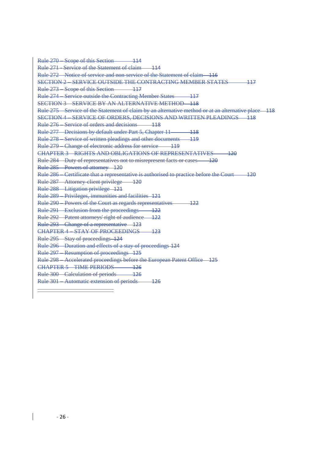Rule 270 Scope of this Section 114 Rule 271 - Service of the Statement of claim 114 Rule 272 – Notice of service and non-service of the Statement of claim 116 SECTION 2 - SERVICE OUTSIDE THE CONTRACTING MEMBER STATES 117 Rule 273 – Scope of this Section 117 Rule 274 – Service outside the Contracting Member States 117 SECTION 3 SERVICE BY AN ALTERNATIVE METHOD 118 Rule 275 – Service of the Statement of claim by an alternative method or at an alternative place 118 SECTION 4 – SERVICE OF ORDERS, DECISIONS AND WRITTEN PLEADINGS 118 Rule 276 – Service of orders and decisions 118 Rule 277 – Decisions by default under Part 5, Chapter 11 – 118 Rule 278 – Service of written pleadings and other documents 119 Rule 279 – Change of electronic address for service 119 CHAPTER 3 – RIGHTS AND OBLIGATIONS OF REPRESENTATIVES 120 Rule 284 – Duty of representatives not to misrepresent facts or cases 120 Rule 285 – Powers of attorney 120 Rule 286 – Certificate that a representative is authorised to practice before the Court 120 Rule 287 Attorney-client privilege 120 Rule 288 – Litigation privilege 121 Rule 289 – Privileges, immunities and facilities 121 Rule 290 – Powers of the Court as regards representatives 122 Rule 291 – Exclusion from the proceedings 122 Rule 292 – Patent attorneys' right of audience 122 Rule 293 – Change of a representative 123 CHAPTER 4 – STAY OF PROCEEDINGS 123 Rule 295 – Stay of proceedings 124 Rule 296 – Duration and effects of a stay of proceedings 124 Rule 297 – Resumption of proceedings 125 Rule 298 – Accelerated proceedings before the European Patent Office 125 CHAPTER 5 TIME PERIODS 126 Rule 300 Calculation of periods 126 Rule 301 – Automatic extension of periods 126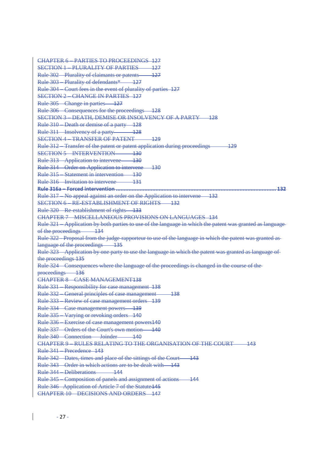CHAPTER 6 – PARTIES TO PROCEEDINGS 127 SECTION 1 PLURALITY OF PARTIES 127 Rule 302 Plurality of claimants or patents 127 Rule 303 – Plurality of defendants\* 127 Rule 304 – Court fees in the event of plurality of parties 127 SECTION 2 – CHANGE IN PARTIES 127 Rule 305 – Change in parties 127 Rule 306 – Consequences for the proceedings 128 SECTION 3 – DEATH, DEMISE OR INSOLVENCY OF A PARTY 128 Rule 310 – Death or demise of a party 128 Rule 311 – Insolvency of a party 128 SECTION 4 TRANSFER OF PATENT 129 Rule 312 Transfer of the patent or patent application during proceedings 129 SECTION 5 INTERVENTION 130 Rule 313 – Application to intervene 130 Rule 314 – Order on Application to intervene 130 Rule 315 – Statement in intervention 130 Rule 316 Invitation to intervene 131 **Rule 316a – Forced intervention ..................................................................................................... 132**  Rule 317 – No appeal against an order on the Application to intervene 132 SECTION 6 RE-ESTABLISHMENT OF RIGHTS 132 Rule 320 – Re-establishment of rights 133 CHAPTER 7 – MISCELLANEOUS PROVISIONS ON LANGUAGES 134 Rule 321 – Application by both parties to use of the language in which the patent was granted as language of the proceedings 134 Rule 322 - Proposal from the judge-rapporteur to use of the language in which the patent was granted as language of the proceedings 135 Rule 323 – Application by one party to use the language in which the patent was granted as language of the proceedings 135 Rule 324 – Consequences where the language of the proceedings is changed in the course of the proceedings 136 CHAPTER 8 – CASE MANAGEMENT138 Rule 331 – Responsibility for case management 138 Rule 332 General principles of case management 138 Rule 333 – Review of case management orders 139 Rule 334 – Case management powers 139 Rule 335 – Varying or revoking orders 140 Rule 336 – Exercise of case management powers140 Rule 337 – Orders of the Court's own motion 140 Rule 340 – Connection – Joinder 140 CHAPTER 9 – RULES RELATING TO THE ORGANISATION OF THE COURT 143 Rule 341 – Precedence 143 Rule 342 – Dates, times and place of the sittings of the Court – 143 Rule 343 – Order in which actions are to be dealt with 143 Rule 344 – Deliberations 144 Rule 345 – Composition of panels and assignment of actions 144 Rule 346 –Application of Article 7 of the Statute 145 CHAPTER 10 – DECISIONS AND ORDERS 147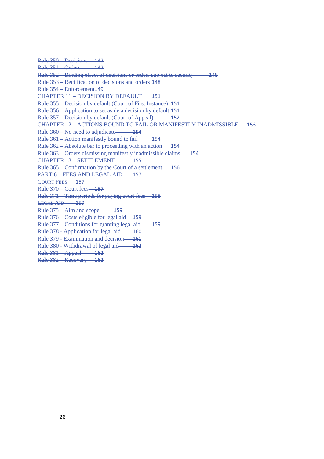Rule 350 – Decisions 147 Rule 351 – Orders 147 Rule 352 – Binding effect of decisions or orders subject to security 148 Rule 353 – Rectification of decisions and orders 148 Rule 354 – Enforcement 149 CHAPTER 11 DECISION BY DEFAULT 151 Rule 355 – Decision by default (Court of First Instance) 151 Rule 356 – Application to set aside a decision by default 151 Rule 357 – Decision by default (Court of Appeal) 152 CHAPTER 12 – ACTIONS BOUND TO FAIL OR MANIFESTLY INADMISSIBLE 153 Rule 360 – No need to adjudicate 154 Rule 361 – Action manifestly bound to fail 154 Rule 362 – Absolute bar to proceeding with an action 154 Rule 363 – Orders dismissing manifestly inadmissible claims 154 CHAPTER 13 SETTLEMENT 155 Rule 365 – Confirmation by the Court of a settlement 156 PART 6 – FEES AND LEGAL AID – 157 COURT FEES 157 Rule 370 Court fees 157 Rule 371 – Time periods for paying court fees 158 LEGAL AID 159 Rule 375 – Aim and scope 159 Rule 376 – Costs eligible for legal aid 159 Rule 377 Conditions for granting legal aid 159 Rule 378 - Application for legal aid 160 Rule 379 - Examination and decision 161 Rule 380 - Withdrawal of legal aid 162 Rule 381 – Appeal 162 Rule 382 – Recovery 162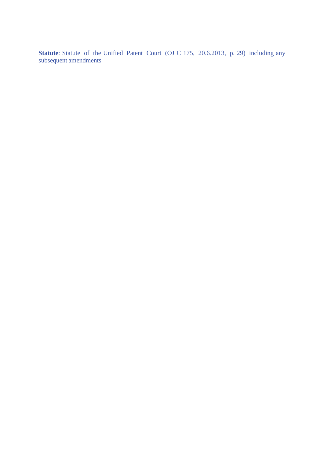**Statute**: Statute of the Unified Patent Court (OJ C 175, 20.6.2013, p. 29) including any subsequent amendments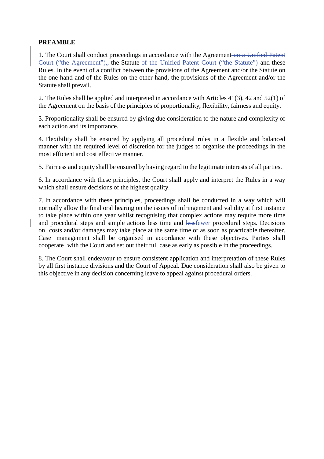### **PREAMBLE**

1. The Court shall conduct proceedings in accordance with the Agreement on a Unified Patent Court ("the Agreement"),, the Statute of the Unified Patent Court ("the Statute") and these Rules. In the event of a conflict between the provisions of the Agreement and/or the Statute on the one hand and of the Rules on the other hand, the provisions of the Agreement and/or the Statute shall prevail.

2. The Rules shall be applied and interpreted in accordance with Articles 41(3), 42 and 52(1) of the Agreement on the basis of the principles of proportionality, flexibility, fairness and equity.

3. Proportionality shall be ensured by giving due consideration to the nature and complexity of each action and its importance.

4. Flexibility shall be ensured by applying all procedural rules in a flexible and balanced manner with the required level of discretion for the judges to organise the proceedings in the most efficient and cost effective manner.

5. Fairness and equity shall be ensured by having regard to the legitimate interests of all parties.

6. In accordance with these principles, the Court shall apply and interpret the Rules in a way which shall ensure decisions of the highest quality.

7. In accordance with these principles, proceedings shall be conducted in a way which will normally allow the final oral hearing on the issues of infringement and validity at first instance to take place within one year whilst recognising that complex actions may require more time and procedural steps and simple actions less time and lessfewer procedural steps. Decisions on costs and/or damages may take place at the same time or as soon as practicable thereafter. Case management shall be organised in accordance with these objectives. Parties shall cooperate with the Court and set out their full case as early as possible in the proceedings.

8. The Court shall endeavour to ensure consistent application and interpretation of these Rules by all first instance divisions and the Court of Appeal. Due consideration shall also be given to this objective in any decision concerning leave to appeal against procedural orders.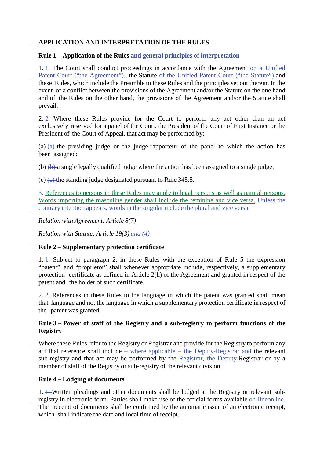## **APPLICATION AND INTERPRETATION OF THE RULES**

### **Rule 1 – Application of the Rules and general principles of interpretation**

1. 4. The Court shall conduct proceedings in accordance with the Agreement on a Unified Patent Court ("the Agreement"),, the Statute of the Unified Patent Court ("the Statute") and these Rules, which include the Preamble to these Rules and the principles set out therein. In the event of a conflict between the provisions of the Agreement and/or the Statute on the one hand and of the Rules on the other hand, the provisions of the Agreement and/or the Statute shall prevail.

2. 2. Where these Rules provide for the Court to perform any act other than an act exclusively reserved for a panel of the Court, the President of the Court of First Instance or the President of the Court of Appeal, that act may be performed by:

(a)  $\left(\frac{a}{b}\right)$  the presiding judge or the judge-rapporteur of the panel to which the action has been assigned;

(b)  $(b)$  a single legally qualified judge where the action has been assigned to a single judge;

(c)  $\left( \frac{e}{e} \right)$  the standing judge designated pursuant to Rule 345.5.

3. References to persons in these Rules may apply to legal persons as well as natural persons. Words importing the masculine gender shall include the feminine and vice versa. Unless the contrary intention appears, words in the singular include the plural and vice versa.

*Relation with Agreement: Article 8(7)*

*Relation with Statute: Article 19(3) and (4)*

### **Rule 2 – Supplementary protection certificate**

1. 1. Subject to paragraph 2, in these Rules with the exception of Rule 5 the expression "patent" and "proprietor" shall whenever appropriate include, respectively, a supplementary protection certificate as defined in Article 2(h) of the Agreement and granted in respect of the patent and the holder of such certificate.

2. 2. References in these Rules to the language in which the patent was granted shall mean that language and not the language in which a supplementary protection certificate in respect of the patent was granted.

### **Rule 3 – Power of staff of the Registry and a sub-registry to perform functions of the Registry**

Where these Rules refer to the Registry or Registrar and provide for the Registry to perform any act that reference shall include – where applicable – the Deputy-Registrar and the relevant sub-registry and that act may be performed by the Registrar, the Deputy-Registrar or by a member of staff of the Registry or sub-registry of the relevant division.

#### **Rule 4 – Lodging of documents**

1. 1. Written pleadings and other documents shall be lodged at the Registry or relevant subregistry in electronic form. Parties shall make use of the official forms available on-lineonline. The receipt of documents shall be confirmed by the automatic issue of an electronic receipt, which shall indicate the date and local time of receipt.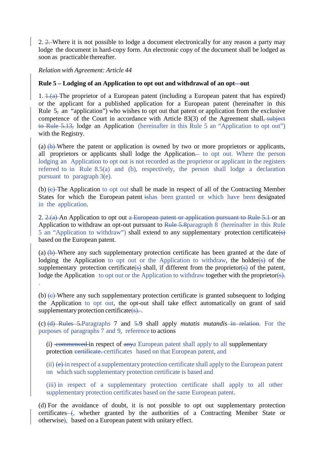2. 2. Where it is not possible to lodge a document electronically for any reason a party may lodge the document in hard-copy form. An electronic copy of the document shall be lodged as soon as practicable thereafter.

*Relation with Agreement: Article 44*

#### **Rule 5 – Lodging of an Application to opt out and withdrawal of an opt–-out**

1.  $\frac{1}{4}$ . The proprietor of a European patent (including a European patent that has expired) or the applicant for a published application for a European patent (hereinafter in this Rule 5, an "application") who wishes to opt out that patent or application from the exclusive competence of the Court in accordance with Article 83(3) of the Agreement shall, subject to Rule 5.13, lodge an Application (hereinafter in this Rule 5 an "Application to opt out") with the Registry.

(a)  $(b)$ -Where the patent or application is owned by two or more proprietors or applicants, all proprietors or applicants shall lodge the Application— to opt out. Where the person lodging an Application to opt out is not recorded as the proprietor or applicant in the registers referred to in Rule 8.5(a) and (b), respectively, the person shall lodge a declaration pursuant to paragraph 3(e).

(b)  $\left(\frac{e}{c}\right)$  The Application to opt out shall be made in respect of all of the Contracting Member States for which the European patent ishas been granted or which have been designated in the application.

2.  $2. (a)$  An Application to opt out a European patent or application pursuant to Rule 5.1 or an Application to withdraw an opt-out pursuant to Rule 5.8paragraph 8 (hereinafter in this Rule 5 an "Application to withdraw") shall extend to any supplementary protection certificate(s) based on the European patent.

(a)  $(b)$  Where any such supplementary protection certificate has been granted at the date of lodging the Application to opt out or the Application to withdraw, the holder(s) of the supplementary protection certificate( $\overline{s}$ ) shall, if different from the proprietor( $\overline{s}$ ) of the patent, lodge the Application to opt out or the Application to withdraw together with the proprietor(s). .

(b)  $(e)$  Where any such supplementary protection certificate is granted subsequent to lodging the Application to opt out, the opt-out shall take effect automatically on grant of said supplementary protection certificate(s)...

(c) (d) Rules 5.Paragraphs 7 and 5.9 shall apply *mutatis mutandis* in relation. For the purposes of paragraphs 7 and 9, reference to actions

(i) commenced in respect of anya European patent shall apply to all supplementary protection certificate. certificates based on that European patent, and

(ii)  $(e)$ -in respect of a supplementary protection certificate shall apply to the European patent on which such supplementary protection certificate is based and

(iii) in respect of a supplementary protection certificate shall apply to all other supplementary protection certificates based on the same European patent.

(d) For the avoidance of doubt, it is not possible to opt out supplementary protection certificates –  $\ell$ , whether granted by the authorities of a Contracting Member State or otherwise), based on a European patent with unitary effect.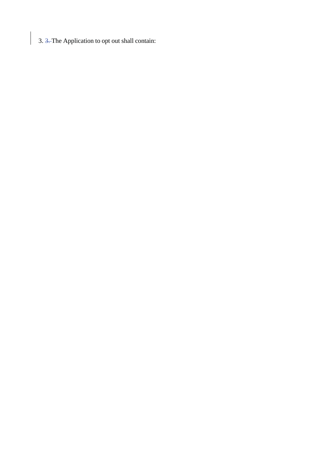3. 3. The Application to opt out shall contain:

 $\overline{\phantom{a}}$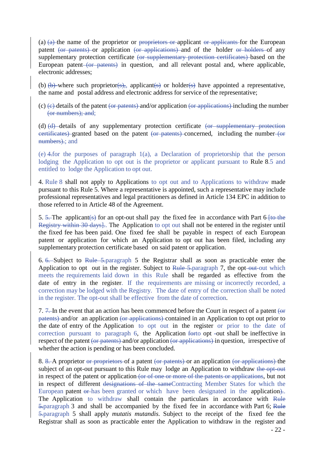(a)  $\left(\frac{a}{b}\right)$  the name of the proprietor or proprietors or applicant or applicants for the European patent (or patents) or application (or applications) and of the holder or holders of any supplementary protection certificate (or supplementary protection certificates) based on the European patent (or patents) in question, and all relevant postal and, where applicable, electronic addresses;

(b)  $(\frac{b}{b})$ -where such proprietor(s), applicant(s) or holder(s) have appointed a representative, the name and postal address and electronic address for service of the representative;

(c)  $\left(\text{e}\right)$  details of the patent (or patents) and/or application (or applications) including the number (or numbers); and;

(d) (d) details of any supplementary protection certificate (or supplementary protection certificates) granted based on the patent (or patents) concerned, including the number (or numbers).: and

(e) 4.for the purposes of paragraph 1(a), a Declaration of proprietorship that the person lodging the Application to opt out is the proprietor or applicant pursuant to Rule 8.5 and entitled to lodge the Application to opt out.

4. Rule 8 shall not apply to Applications to opt out and to Applications to withdraw made pursuant to this Rule 5. Where a representative is appointed, such a representative may include professional representatives and legal practitioners as defined in Article 134 EPC in addition to those referred to in Article 48 of the Agreement.

5. 5. The applicant  $(s)$  for an opt-out shall pay the fixed fee in accordance with Part 6 fto the Registry within 30 days].. The Application to opt out shall not be entered in the register until the fixed fee has been paid. One fixed fee shall be payable in respect of each European patent or application for which an Application to opt out has been filed, including any supplementary protection certificate based on said patent or application.

6. 6. Subject to Rule 5.paragraph 5 the Registrar shall as soon as practicable enter the Application to opt out in the register. Subject to Rule 5-paragraph 7, the opt-out-out which meets the requirements laid down in this Rule shall be regarded as effective from the date of entry in the register. If the requirements are missing or incorrectly recorded, a correction may be lodged with the Registry. The date of entry of the correction shall be noted in the register. The opt-out shall be effective from the date of correction.

7. 7. In the event that an action has been commenced before the Court in respect of a patent (or patents) and/or an application (or applications) contained in an Application to opt out prior to the date of entry of the Application to opt out in the register or prior to the date of correction pursuant to paragraph 6, the Application forto opt -out shall be ineffective in respect of the patent (or patents) and/or application (or applications) in question, irrespective of whether the action is pending or has been concluded.

8. 8. A proprietor or proprietors of a patent (or patents) or an application (or applications) the subject of an opt-out pursuant to this Rule may lodge an Application to withdraw the opt-out in respect of the patent or application (or of one or more of the patents or applications, but not in respect of different designations of the sameContracting Member States for which the European patent or has been granted or which have been designated in the application. The Application to withdraw shall contain the particulars in accordance with Rule 5.paragraph 3 and shall be accompanied by the fixed fee in accordance with Part 6; Rule 5.paragraph 5 shall apply *mutatis mutandis*. Subject to the receipt of the fixed fee the Registrar shall as soon as practicable enter the Application to withdraw in the register and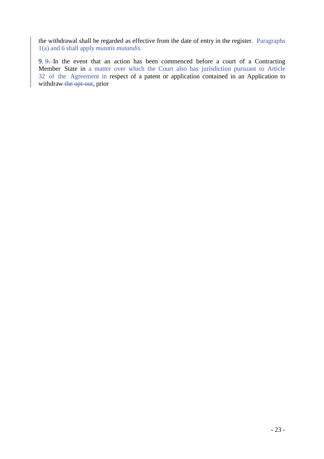the withdrawal shall be regarded as effective from the date of entry in the register. Paragraphs 1(a) and 6 shall apply *mutatis mutandis*.

9. 9. In the event that an action has been commenced before a court of a Contracting Member State in a matter over which the Court also has jurisdiction pursuant to Article 32 of the Agreement in respect of a patent or application contained in an Application to withdraw the opt-out, prior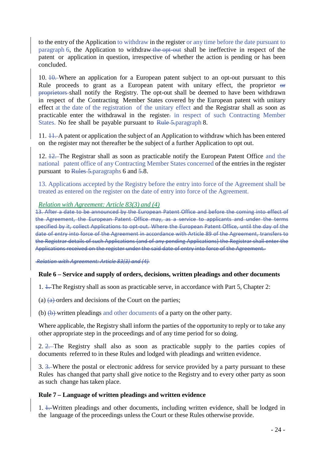to the entry of the Application to withdraw in the register or any time before the date pursuant to paragraph 6, the Application to withdraw the opt-out shall be ineffective in respect of the patent or application in question, irrespective of whether the action is pending or has been concluded.

10. 10. Where an application for a European patent subject to an opt-out pursuant to this Rule proceeds to grant as a European patent with unitary effect, the proprietor or proprietors shall notify the Registry. The opt-out shall be deemed to have been withdrawn in respect of the Contracting Member States covered by the European patent with unitary effect at the date of the registration of the unitary effect and the Registrar shall as soon as practicable enter the withdrawal in the register. in respect of such Contracting Member States. No fee shall be payable pursuant to Rule 5.paragraph 8.

11. 11. A patent or application the subject of an Application to withdraw which has been entered on the register may not thereafter be the subject of a further Application to opt out.

12. 12. The Registrar shall as soon as practicable notify the European Patent Office and the national patent office of any Contracting Member States concerned of the entries in the register pursuant to Rules 5.paragraphs 6 and 5.8.

13. Applications accepted by the Registry before the entry into force of the Agreement shall be treated as entered on the register on the date of entry into force of the Agreement.

### *Relation with Agreement: Article 83(3) and (4)*

13. After a date to be announced by the European Patent Office and before the coming into effect of the Agreement, the European Patent Office may, as a service to applicants and under the terms specified by it, collect Applications to opt-out. Where the European Patent Office, until the day of the date of entry into force of the Agreement in accordance with Article 89 of the Agreement, transfers to the Registrar details of such Applications (and of any pending Applications) the Registrar shall enter the Applications received on the register under the said date of entry into force of the Agreement.

*Relation with Agreement: Article 83(3) and (4)* 

### **Rule 6 – Service and supply of orders, decisions, written pleadings and other documents**

1. 1. The Registry shall as soon as practicable serve, in accordance with Part 5, Chapter 2:

(a)  $\left( a \right)$  orders and decisions of the Court on the parties;

(b) (b) written pleadings and other documents of a party on the other party.

Where applicable, the Registry shall inform the parties of the opportunity to reply or to take any other appropriate step in the proceedings and of any time period for so doing.

2. 2. The Registry shall also as soon as practicable supply to the parties copies of documents referred to in these Rules and lodged with pleadings and written evidence.

3. 3. Where the postal or electronic address for service provided by a party pursuant to these Rules has changed that party shall give notice to the Registry and to every other party as soon as such change has taken place.

# **Rule 7 – Language of written pleadings and written evidence**

1. 1. Written pleadings and other documents, including written evidence, shall be lodged in the language of the proceedings unless the Court or these Rules otherwise provide.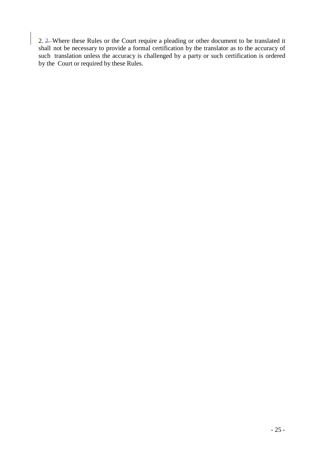2. 2. Where these Rules or the Court require a pleading or other document to be translated it shall not be necessary to provide a formal certification by the translator as to the accuracy of such translation unless the accuracy is challenged by a party or such certification is ordered by the Court or required by these Rules.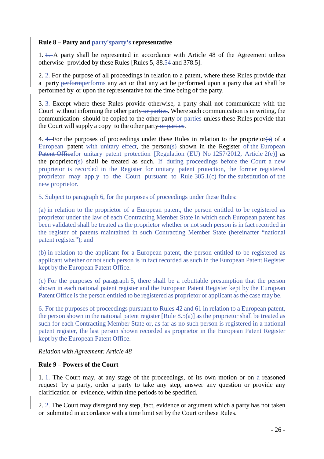# **Rule 8 – Party and party'sparty's representative**

1. 1. A party shall be represented in accordance with Article 48 of the Agreement unless otherwise provided by these Rules [Rules 5, 88.54 and 378.5].

2. 2. For the purpose of all proceedings in relation to a patent, where these Rules provide that a party performperforms any act or that any act be performed upon a party that act shall be performed by or upon the representative for the time being of the party.

3. 3. Except where these Rules provide otherwise, a party shall not communicate with the Court without informing the other party-or parties. Where such communication is in writing, the communication should be copied to the other party or parties unless these Rules provide that the Court will supply a copy to the other party-or parties.

4. 4. For the purposes of proceedings under these Rules in relation to the proprietor(s) of a European patent with unitary effect, the person(s) shown in the Register of the European Patent Officefor unitary patent protection [Regulation (EU) No 1257/2012, Article 2(e)] as the proprietor( $s$ ) shall be treated as such. If during proceedings before the Court a new proprietor is recorded in the Register for unitary patent protection, the former registered proprietor may apply to the Court pursuant to Rule 305.1(c) for the substitution of the new proprietor.

5. Subject to paragraph 6, for the purposes of proceedings under these Rules:

(a) in relation to the proprietor of a European patent, the person entitled to be registered as proprietor under the law of each Contracting Member State in which such European patent has been validated shall be treated as the proprietor whether or not such person is in fact recorded in the register of patents maintained in such Contracting Member State (hereinafter "national patent register"); and

(b) in relation to the applicant for a European patent, the person entitled to be registered as applicant whether or not such person is in fact recorded as such in the European Patent Register kept by the European Patent Office.

(c) For the purposes of paragraph 5, there shall be a rebuttable presumption that the person shown in each national patent register and the European Patent Register kept by the European Patent Office is the person entitled to be registered as proprietor or applicant as the case may be.

6. For the purposes of proceedings pursuant to Rules 42 and 61 in relation to a European patent, the person shown in the national patent register [Rule 8.5(a)] as the proprietor shall be treated as such for each Contracting Member State or, as far as no such person is registered in a national patent register, the last person shown recorded as proprietor in the European Patent Register kept by the European Patent Office.

### *Relation with Agreement: Article 48*

### **Rule 9 – Powers of the Court**

1. 1. The Court may, at any stage of the proceedings, of its own motion or on a reasoned request by a party, order a party to take any step, answer any question or provide any clarification or evidence, within time periods to be specified.

2. 2. The Court may disregard any step, fact, evidence or argument which a party has not taken or submitted in accordance with a time limit set by the Court or these Rules.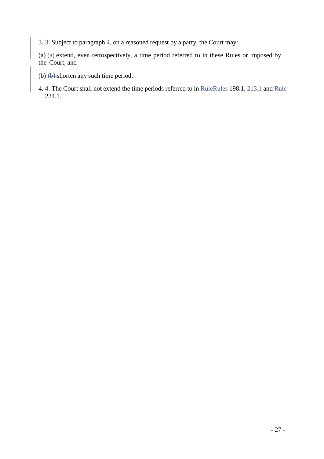3. 3. Subject to paragraph 4, on a reasoned request by a party, the Court may:

(a)  $(a)$  extend, even retrospectively, a time period referred to in these Rules or imposed by the Court; and

- (b)  $(b)$  shorten any such time period.
- 4. 4. The Court shall not extend the time periods referred to in RuleRules 198.1, 213.1 and Rule-224.1.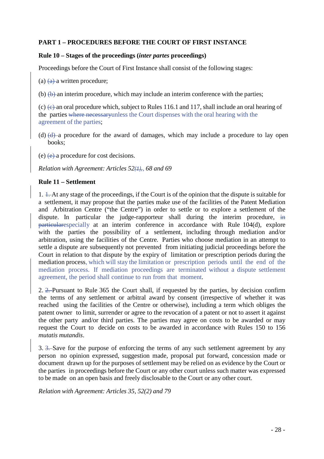# **PART 1 – PROCEDURES BEFORE THE COURT OF FIRST INSTANCE**

### **Rule 10 – Stages of the proceedings (***inter partes* **proceedings)**

Proceedings before the Court of First Instance shall consist of the following stages:

- (a)  $\left( a \right)$  a written procedure;
- (b)  $(b)$  an interim procedure, which may include an interim conference with the parties;

(c)  $\left(\text{e}\right)$  an oral procedure which, subject to Rules 116.1 and 117, shall include an oral hearing of the parties where necessaryunless the Court dispenses with the oral hearing with the agreement of the parties;

(d)  $(d)$  a procedure for the award of damages, which may include a procedure to lay open books;

(e)  $(e)$  a procedure for cost decisions.

*Relation with Agreement: Articles 52(1),, 68 and 69*

### **Rule 11 – Settlement**

1. 1. At any stage of the proceedings, if the Court is of the opinion that the dispute is suitable for a settlement, it may propose that the parties make use of the facilities of the Patent Mediation and Arbitration Centre ("the Centre") in order to settle or to explore a settlement of the dispute. In particular the judge-rapporteur shall during the interim procedure, in particularespecially at an interim conference in accordance with Rule 104(d), explore with the parties the possibility of a settlement, including through mediation and/or arbitration, using the facilities of the Centre. Parties who choose mediation in an attempt to settle a dispute are subsequently not prevented from initiating judicial proceedings before the Court in relation to that dispute by the expiry of limitation or prescription periods during the mediation process, which will stay the limitation or prescription periods until the end of the mediation process. If mediation proceedings are terminated without a dispute settlement agreement, the period shall continue to run from that moment.

2. 2. Pursuant to Rule 365 the Court shall, if requested by the parties, by decision confirm the terms of any settlement or arbitral award by consent (irrespective of whether it was reached using the facilities of the Centre or otherwise), including a term which obliges the patent owner to limit, surrender or agree to the revocation of a patent or not to assert it against the other party and/or third parties. The parties may agree on costs to be awarded or may request the Court to decide on costs to be awarded in accordance with Rules 150 to 156 *mutatis mutandis*.

3. 3. Save for the purpose of enforcing the terms of any such settlement agreement by any person no opinion expressed, suggestion made, proposal put forward, concession made or document drawn up for the purposes of settlement may be relied on as evidence by the Court or the parties in proceedings before the Court or any other court unless such matter was expressed to be made on an open basis and freely disclosable to the Court or any other court.

*Relation with Agreement: Articles 35, 52(2) and 79*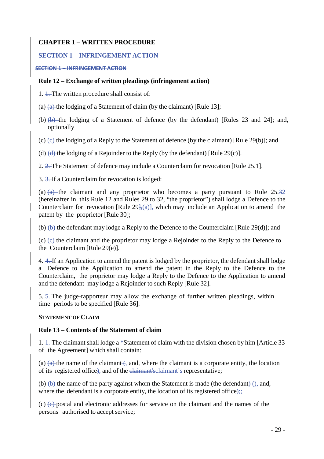# **CHAPTER 1 – WRITTEN PROCEDURE**

# **SECTION 1 – INFRINGEMENT ACTION**

### **SECTION 1 – INFRINGEMENT ACTION**

# **Rule 12 – Exchange of written pleadings (infringement action)**

- 1. 1. The written procedure shall consist of:
- (a)  $(a)$  the lodging of a Statement of claim (by the claimant) [Rule 13];
- (b) (b) the lodging of a Statement of defence (by the defendant) [Rules 23 and 24]; and, optionally
- (c)  $\left(\frac{e}{e}\right)$  the lodging of a Reply to the Statement of defence (by the claimant) [Rule 29(b)]; and

(d)  $\left(\frac{d}{dt}\right)$  the lodging of a Rejoinder to the Reply (by the defendant) [Rule 29(c)].

2. 2. The Statement of defence may include a Counterclaim for revocation [Rule 25.1].

3. 3. If a Counterclaim for revocation is lodged:

(a)  $\left(\frac{a}{b}\right)$  the claimant and any proprietor who becomes a party pursuant to Rule 25.32 (hereinafter in this Rule 12 and Rules 29 to 32, "the proprietor") shall lodge a Defence to the Counterclaim for revocation [Rule 29], (a)], which may include an Application to amend the patent by the proprietor [Rule 30];

(b)  $\left(\frac{b}{b}\right)$  the defendant may lodge a Reply to the Defence to the Counterclaim [Rule 29(d)]; and

(c)  $\left(\frac{e}{c}\right)$  the claimant and the proprietor may lodge a Rejoinder to the Reply to the Defence to the Counterclaim [Rule 29(e)].

4. 4. If an Application to amend the patent is lodged by the proprietor, the defendant shall lodge a Defence to the Application to amend the patent in the Reply to the Defence to the Counterclaim, the proprietor may lodge a Reply to the Defence to the Application to amend and the defendant may lodge a Rejoinder to such Reply [Rule 32].

5. 5. The judge-rapporteur may allow the exchange of further written pleadings, within time periods to be specified [Rule 36].

# **STATEMENT OF CLAIM**

# **Rule 13 – Contents of the Statement of claim**

1.  $\pm$  The claimant shall lodge a \*Statement of claim with the division chosen by him [Article 33] of the Agreement] which shall contain:

(a)  $\left(\frac{a}{b}\right)$  the name of the claimant (, and, where the claimant is a corporate entity, the location of its registered office), and of the claimant'sclaimant's representative;

(b)  $\leftrightarrow$  the name of the party against whom the Statement is made (the defendant)– $\leftrightarrow$ , and, where the defendant is a corporate entity, the location of its registered office);

(c)  $\left( \epsilon \right)$  postal and electronic addresses for service on the claimant and the names of the persons authorised to accept service;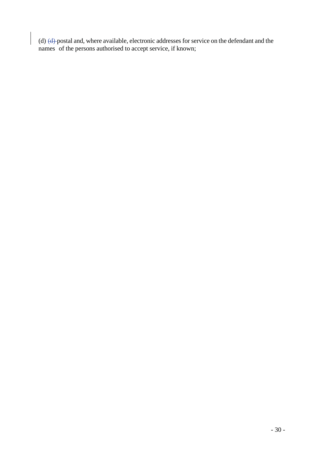(d)  $(d)$  postal and, where available, electronic addresses for service on the defendant and the names of the persons authorised to accept service, if known;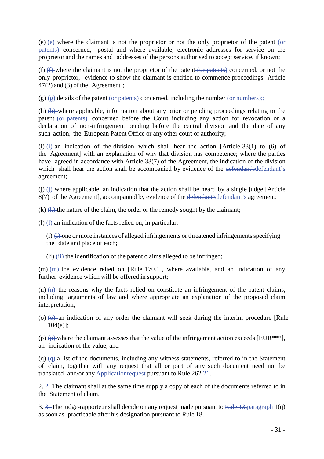(e)  $(e)$  where the claimant is not the proprietor or not the only proprietor of the patent (or patents) concerned, postal and where available, electronic addresses for service on the proprietor and the names and addresses of the persons authorised to accept service, if known;

(f)  $(f)$  where the claimant is not the proprietor of the patent (or patents) concerned, or not the only proprietor, evidence to show the claimant is entitled to commence proceedings [Article 47(2) and (3) of the Agreement];

(g)  $(g)$  details of the patent (or patents) concerned, including the number (or numbers);;

(h) (h) where applicable, information about any prior or pending proceedings relating to the patent (or patents) concerned before the Court including any action for revocation or a declaration of non-infringement pending before the central division and the date of any such action, the European Patent Office or any other court or authority;

(i)  $\leftrightarrow$  an indication of the division which shall hear the action [Article 33(1) to (6) of the Agreement] with an explanation of why that division has competence; where the parties have agreed in accordance with Article 33(7) of the Agreement, the indication of the division which shall hear the action shall be accompanied by evidence of the defendant'sdefendant's agreement;

(i)  $(i)$   $(i)$  where applicable, an indication that the action shall be heard by a single judge [Article 8(7) of the Agreement], accompanied by evidence of the defendant'sdefendant's agreement;

(k)  $(k)$  the nature of the claim, the order or the remedy sought by the claimant;

(l)  $(1)$  an indication of the facts relied on, in particular:

(i)  $\leftrightarrow$  one or more instances of alleged infringements or threatened infringements specifying the date and place of each;

(ii)  $\overline{H}$  the identification of the patent claims alleged to be infringed;

(m)  $(m)$  the evidence relied on [Rule 170.1], where available, and an indication of any further evidence which will be offered in support;

(n)  $(n)$  the reasons why the facts relied on constitute an infringement of the patent claims, including arguments of law and where appropriate an explanation of the proposed claim interpretation;

(o)  $\left(\Theta\right)$  an indication of any order the claimant will seek during the interim procedure [Rule 104(e)];

(p)  $\leftrightarrow$  where the claimant assesses that the value of the infringement action exceeds [EUR\*\*\*]. an indication of the value; and

(q)  $\left(\frac{q}{q}\right)$  a list of the documents, including any witness statements, referred to in the Statement of claim, together with any request that all or part of any such document need not be translated and/or any Applicationrequest pursuant to Rule 262.21.

2. 2. The claimant shall at the same time supply a copy of each of the documents referred to in the Statement of claim.

3. 3. The judge-rapporteur shall decide on any request made pursuant to Rule  $13$ -paragraph 1(q) as soon as practicable after his designation pursuant to Rule 18.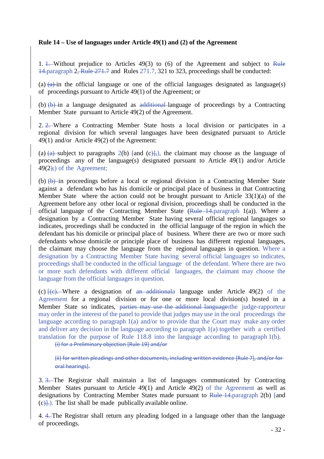## **Rule 14 – Use of languages under Article 49(1) and (2) of the Agreement**

1. 1. Without prejudice to Articles 49(3) to (6) of the Agreement and subject to Rule 14.paragraph 2, Rule 271.7 and Rules 271.7, 321 to 323, proceedings shall be conducted:

(a)  $\left(\frac{a}{a}\right)$ -in the official language or one of the official languages designated as language(s) of proceedings pursuant to Article 49(1) of the Agreement; or

(b)  $(b)$  in a language designated as additional language of proceedings by a Contracting Member State pursuant to Article 49(2) of the Agreement.

2. 2. Where a Contracting Member State hosts a local division or participates in a regional division for which several languages have been designated pursuant to Article 49(1) and/or Article 49(2) of the Agreement:

(a)  $(a)$  subject to paragraphs 2(b)  $\{$ and (c) $\}$ , the claimant may choose as the language of proceedings any of the language(s) designated pursuant to Article 49(1) and/or Article  $49(2)$ ;) of the Agreement;

(b)  $(b)$  in proceedings before a local or regional division in a Contracting Member State against a defendant who has his domicile or principal place of business in that Contracting Member State where the action could not be brought pursuant to Article 33(1)(a) of the Agreement before any other local or regional division, proceedings shall be conducted in the official language of the Contracting Member State (Rule  $14$ -paragraph 1(a)). Where a designation by a Contracting Member State having several official regional languages so indicates, proceedings shall be conducted in the official language of the region in which the defendant has his domicile or principal place of business. Where there are two or more such defendants whose domicile or principle place of business has different regional languages, the claimant may choose the language from the regional languages in question. Where a designation by a Contracting Member State having several official languages so indicates, proceedings shall be conducted in the official language of the defendant. Where there are two or more such defendants with different official languages, the claimant may choose the language from the official languages in question.

(c)  $[(e)]$ . Where a designation of an additionala language under Article 49(2) of the Agreement for a regional division or for one or more local division(s) hosted in a Member State so indicates, parties may use the additional language: the judge-rapporteur may order in the interest of the panel to provide that judges may use in the oral proceedings the language according to paragraph 1(a) and/or to provide that the Court may make any order and deliver any decision in the language according to paragraph 1(a) together with a certified translation for the purpose of Rule 118.8 into the language according to paragraph 1(b).

(i) for a Preliminary objection [Rule 19] and/or

(ii) for written pleadings and other documents, including written evidence [Rule 7], and/or for oral hearings].

3. 3. The Registrar shall maintain a list of languages communicated by Contracting Member States pursuant to Article 49(1) and Article 49(2) of the Agreement as well as designations by Contracting Member States made pursuant to Rule  $14$ -paragraph 2(b)  $\varphi$  [and  $(c)$ . The list shall be made publically available online.

4. 4. The Registrar shall return any pleading lodged in a language other than the language of proceedings.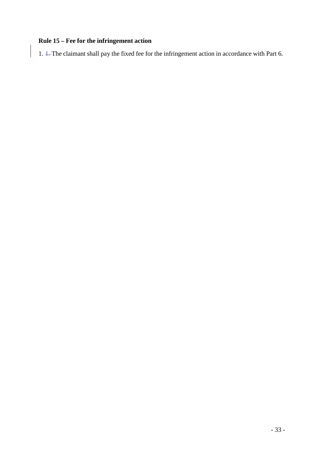# **Rule 15 – Fee for the infringement action**

1. 1. The claimant shall pay the fixed fee for the infringement action in accordance with Part 6.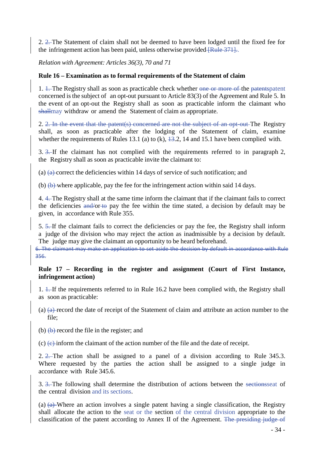2. 2. The Statement of claim shall not be deemed to have been lodged until the fixed fee for the infringement action has been paid, unless otherwise provided [Rule 371]...

*Relation with Agreement: Articles 36(3), 70 and 71*

# **Rule 16 – Examination as to formal requirements of the Statement of claim**

1. 1. The Registry shall as soon as practicable check whether one or more of the patentspatent concerned is the subject of an opt-out pursuant to Article 83(3) of the Agreement and Rule 5. In the event of an opt-out the Registry shall as soon as practicable inform the claimant who shallmay withdraw or amend the Statement of claim as appropriate.

2. 2. In the event that the patent(s) concerned are not the subject of an opt-out The Registry shall, as soon as practicable after the lodging of the Statement of claim, examine whether the requirements of Rules 13.1 (a) to (k),  $\frac{13.2}{14}$  and 15.1 have been complied with.

3. 3. If the claimant has not complied with the requirements referred to in paragraph 2, the Registry shall as soon as practicable invite the claimant to:

(a)  $\left(\frac{a}{b}\right)$  correct the deficiencies within 14 days of service of such notification; and

(b)  $\left(\frac{b}{c}\right)$  where applicable, pay the fee for the infringement action within said 14 days.

4. 4. The Registry shall at the same time inform the claimant that if the claimant fails to correct the deficiencies and/or to pay the fee within the time stated, a decision by default may be given, in accordance with Rule 355.

5. 5. If the claimant fails to correct the deficiencies or pay the fee, the Registry shall inform a judge of the division who may reject the action as inadmissible by a decision by default. The judge may give the claimant an opportunity to be heard beforehand.

6. The claimant may make an application to set aside the decision by default in accordance with Rule 356.

### **Rule 17 – Recording in the register and assignment (Court of First Instance, infringement action)**

1. 1. If the requirements referred to in Rule 16.2 have been complied with, the Registry shall as soon as practicable:

(a)  $(a)$  record the date of receipt of the Statement of claim and attribute an action number to the file;

- (b)  $\left(\frac{1}{2}\right)$  record the file in the register; and
- (c)  $\leftrightarrow$  inform the claimant of the action number of the file and the date of receipt.

2. 2. The action shall be assigned to a panel of a division according to Rule 345.3. Where requested by the parties the action shall be assigned to a single judge in accordance with Rule 345.6.

3. 3. The following shall determine the distribution of actions between the sectionsseat of the central division and its sections.

(a)  $\left(\frac{a}{b}\right)$ . Where an action involves a single patent having a single classification, the Registry shall allocate the action to the seat or the section of the central division appropriate to the classification of the patent according to Annex II of the Agreement. The presiding judge of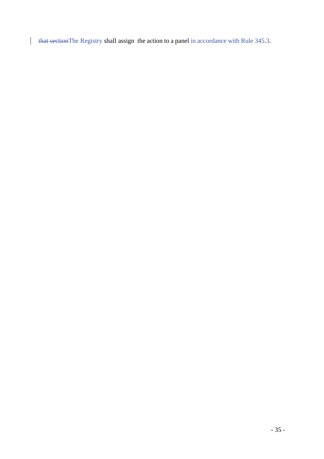that sectionThe Registry shall assign the action to a panel in accordance with Rule 345.3.

 $\mathbf{I}$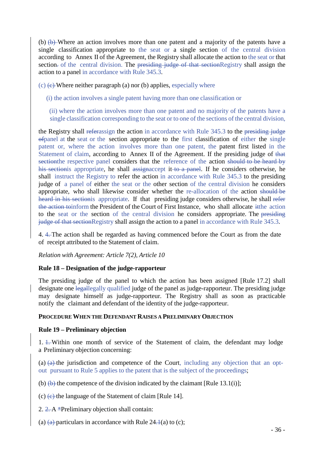(b) (b) Where an action involves more than one patent and a majority of the patents have a single classification appropriate to the seat or a single section of the central division according to Annex II of the Agreement, the Registry shall allocate the action to the seat or that section. of the central division. The presiding judge of that section Registry shall assign the action to a panel in accordance with Rule 345.3.

(c)  $\left(\frac{c}{c}\right)$ . Where neither paragraph (a) nor (b) applies, especially where

(i) the action involves a single patent having more than one classification or

(ii) where the action involves more than one patent and no majority of the patents have a single classification corresponding to the seat or to one of the sections of the central division,

the Registry shall referassign the action in accordance with Rule 345.3 to the presiding judge ofpanel at the seat or the section appropriate to the first classification of either the single patent or, where the action involves more than one patent, the patent first listed in the Statement of claim, according to Annex II of the Agreement. If the presiding judge of that section the respective panel considers that the reference of the action should to be heard by his sectionis appropriate, he shall assignace pt it to a panel. If he considers otherwise, he shall instruct the Registry to refer the action in accordance with Rule 345.3 to the presiding judge of a panel of either the seat or the other section of the central division he considers appropriate, who shall likewise consider whether the re-allocation of the action should be heard in his sectionis appropriate. If that presiding judge considers otherwise, he shall refer the action toinform the President of the Court of First Instance, who shall allocate itthe action to the seat or the section of the central division he considers appropriate. The presiding judge of that sectionRegistry shall assign the action to a panel in accordance with Rule 345.3.

4. 4. The action shall be regarded as having commenced before the Court as from the date of receipt attributed to the Statement of claim.

*Relation with Agreement: Article 7(2), Article 10*

# **Rule 18 – Designation of the judge-rapporteur**

The presiding judge of the panel to which the action has been assigned [Rule 17.2] shall designate one legallegally qualified judge of the panel as judge-rapporteur. The presiding judge may designate himself as judge-rapporteur. The Registry shall as soon as practicable notify the claimant and defendant of the identity of the judge-rapporteur.

### **PROCEDUREWHEN THE DEFENDANT RAISES A PRELIMINARY OBJECTION**

### **Rule 19 – Preliminary objection**

1. 1. Within one month of service of the Statement of claim, the defendant may lodge a Preliminary objection concerning:

- (a)  $(a)$  the jurisdiction and competence of the Court, including any objection that an optout pursuant to Rule 5 applies to the patent that is the subject of the proceedings;
- (b)  $(b)$  the competence of the division indicated by the claimant [Rule 13.1(i)];
- (c)  $\left(\frac{e}{e}\right)$  the language of the Statement of claim [Rule 14].
- 2. 2. A \*Preliminary objection shall contain:
- (a)  $\left($ a $\right)$ -particulars in accordance with Rule 24.1(a) to (c);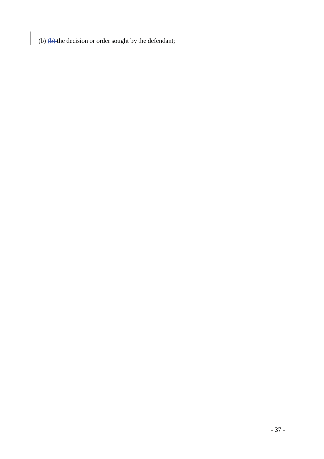(b)  $(b)$  the decision or order sought by the defendant;

 $\overline{\phantom{a}}$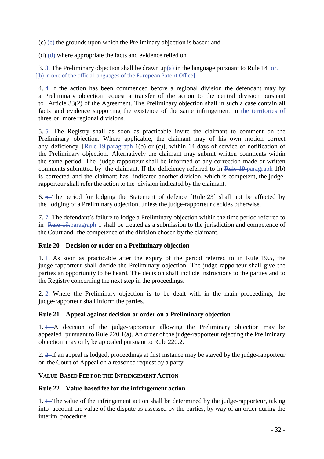(c)  $\left( e \right)$  the grounds upon which the Preliminary objection is based; and

(d) (d) where appropriate the facts and evidence relied on.

3. 3. The Preliminary objection shall be drawn up(a) in the language pursuant to Rule 14–or. [(b) in one of the official languages of the European Patent Office].

4. 4. If the action has been commenced before a regional division the defendant may by a Preliminary objection request a transfer of the action to the central division pursuant to Article 33(2) of the Agreement. The Preliminary objection shall in such a case contain all facts and evidence supporting the existence of the same infringement in the territories of three or more regional divisions.

5. 5. The Registry shall as soon as practicable invite the claimant to comment on the Preliminary objection. Where applicable, the claimant may of his own motion correct any deficiency [Rule 19.paragraph 1(b) or (c)], within 14 days of service of notification of the Preliminary objection. Alternatively the claimant may submit written comments within the same period. The judge-rapporteur shall be informed of any correction made or written comments submitted by the claimant. If the deficiency referred to in Rule 19.paragraph 1(b) is corrected and the claimant has indicated another division, which is competent, the judgerapporteur shall refer the action to the division indicated by the claimant.

6. 6. The period for lodging the Statement of defence [Rule 23] shall not be affected by the lodging of a Preliminary objection, unless the judge-rapporteur decides otherwise.

7. 7. The defendant's failure to lodge a Preliminary objection within the time period referred to in Rule 19.paragraph 1 shall be treated as a submission to the jurisdiction and competence of the Court and the competence of the division chosen by the claimant.

# **Rule 20 – Decision or order on a Preliminary objection**

1. 1. As soon as practicable after the expiry of the period referred to in Rule 19.5, the judge-rapporteur shall decide the Preliminary objection. The judge-rapporteur shall give the parties an opportunity to be heard. The decision shall include instructions to the parties and to the Registry concerning the next step in the proceedings.

2. 2. Where the Preliminary objection is to be dealt with in the main proceedings, the judge-rapporteur shall inform the parties.

# **Rule 21 – Appeal against decision or order on a Preliminary objection**

1. 1. A decision of the judge-rapporteur allowing the Preliminary objection may be appealed pursuant to Rule 220.1(a). An order of the judge-rapporteur rejecting the Preliminary objection may only be appealed pursuant to Rule 220.2.

2. 2. If an appeal is lodged, proceedings at first instance may be stayed by the judge-rapporteur or the Court of Appeal on a reasoned request by a party.

# **VALUE-BASED FEE FOR THE INFRINGEMENT ACTION**

# **Rule 22 – Value-based fee for the infringement action**

1. 1. The value of the infringement action shall be determined by the judge-rapporteur, taking into account the value of the dispute as assessed by the parties, by way of an order during the interim procedure.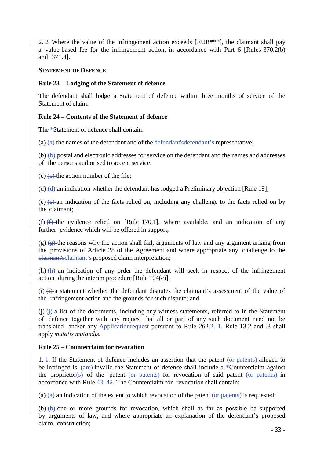2. 2. Where the value of the infringement action exceeds [EUR\*\*\*], the claimant shall pay a value-based fee for the infringement action, in accordance with Part 6 [Rules 370.2(b) and 371.4].

### **STATEMENT OF DEFENCE**

### **Rule 23 – Lodging of the Statement of defence**

The defendant shall lodge a Statement of defence within three months of service of the Statement of claim.

### **Rule 24 – Contents of the Statement of defence**

The \*Statement of defence shall contain:

(a)  $\left(\frac{a}{b}\right)$  the names of the defendant and of the defendant's defendant's representative;

(b) (b) postal and electronic addresses for service on the defendant and the names and addresses of the persons authorised to accept service;

(c)  $\left( e \right)$  the action number of the file;

(d)  $(d)$  an indication whether the defendant has lodged a Preliminary objection [Rule 19];

(e)  $(e)$  an indication of the facts relied on, including any challenge to the facts relied on by the claimant;

(f)  $(f)$  the evidence relied on [Rule 170.1], where available, and an indication of any further evidence which will be offered in support;

(g)  $\left(\frac{\rho}{\epsilon}\right)$  the reasons why the action shall fail, arguments of law and any argument arising from the provisions of Article 28 of the Agreement and where appropriate any challenge to the claimant'sclaimant's proposed claim interpretation;

(h)  $(h)$  an indication of any order the defendant will seek in respect of the infringement action during the interim procedure [Rule 104(e)];

(i)  $\leftrightarrow$  a statement whether the defendant disputes the claimant's assessment of the value of the infringement action and the grounds for such dispute; and

(i)  $\leftrightarrow$  a list of the documents, including any witness statements, referred to in the Statement of defence together with any request that all or part of any such document need not be translated and/or any Applicationrequest pursuant to Rule 262.2. 1. Rule 13.2 and .3 shall apply *mutatis mutandis.*

### **Rule 25 – Counterclaim for revocation**

1. 1. If the Statement of defence includes an assertion that the patent (or patents) alleged to be infringed is  $\frac{1}{\text{area}}$  invalid the Statement of defence shall include a  $\text{*Counterclaim against}$ the proprietor( $\overline{s}$ ) of the patent (or patents) for revocation of said patent (or patents) in accordance with Rule 43. 42. The Counterclaim for revocation shall contain:

(a)  $\left(\frac{a}{a}\right)$  an indication of the extent to which revocation of the patent (or patents) is requested;

(b)  $(b)$  one or more grounds for revocation, which shall as far as possible be supported by arguments of law, and where appropriate an explanation of the defendant's proposed claim construction;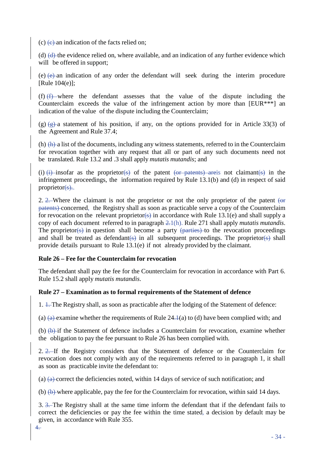(c)  $\left( \frac{c}{c} \right)$  an indication of the facts relied on;

(d) (d) the evidence relied on, where available, and an indication of any further evidence which will be offered in support;

(e)  $(e)$  an indication of any order the defendant will seek during the interim procedure [Rule 104(e)];

(f)  $(f)$  where the defendant assesses that the value of the dispute including the Counterclaim exceeds the value of the infringement action by more than [EUR\*\*\*] an indication of the value of the dispute including the Counterclaim;

(g)  $(g)$  a statement of his position, if any, on the options provided for in Article 33(3) of the Agreement and Rule 37.4;

(h)  $(h)$  a list of the documents, including any witness statements, referred to in the Counterclaim for revocation together with any request that all or part of any such documents need not be translated. Rule 13.2 and .3 shall apply *mutatis mutandis*; and

(i)  $\leftrightarrow$  insofar as the proprietor  $\leftrightarrow$  of the patent (or patents) are is not claimant  $\leftrightarrow$  in the infringement proceedings, the information required by Rule 13.1(b) and (d) in respect of said proprietor $(s)$ .

2. 2. Where the claimant is not the proprietor or not the only proprietor of the patent  $\left( \text{or} \right)$ patents) concerned, the Registry shall as soon as practicable serve a copy of the Counterclaim for revocation on the relevant proprietor( $\overline{s}$ ) in accordance with Rule 13.1(e) and shall supply a copy of each document referred to in paragraph 2.1(h). Rule 271 shall apply *mutatis mutandis*. The proprietor( $s$ ) in question shall become a party (parties) to the revocation proceedings and shall be treated as defendant( $\overline{s}$ ) in all subsequent proceedings. The proprietor( $\overline{s}$ ) shall provide details pursuant to Rule 13.1(e) if not already provided by the claimant.

# **Rule 26 – Fee for the Counterclaim for revocation**

The defendant shall pay the fee for the Counterclaim for revocation in accordance with Part 6. Rule 15.2 shall apply *mutatis mutandis*.

# **Rule 27 – Examination as to formal requirements of the Statement of defence**

1. 1. The Registry shall, as soon as practicable after the lodging of the Statement of defence:

(a)  $\left(\frac{a}{b}\right)$  examine whether the requirements of Rule 24.1(a) to (d) have been complied with; and

(b)  $(b)$  if the Statement of defence includes a Counterclaim for revocation, examine whether the obligation to pay the fee pursuant to Rule 26 has been complied with.

2. 2. If the Registry considers that the Statement of defence or the Counterclaim for revocation does not comply with any of the requirements referred to in paragraph 1, it shall as soon as practicable invite the defendant to:

(a)  $\left(\frac{a}{b}\right)$ -correct the deficiencies noted, within 14 days of service of such notification; and

(b) (b) where applicable, pay the fee for the Counterclaim for revocation, within said 14 days.

3. 3. The Registry shall at the same time inform the defendant that if the defendant fails to correct the deficiencies or pay the fee within the time stated, a decision by default may be given, in accordance with Rule 355.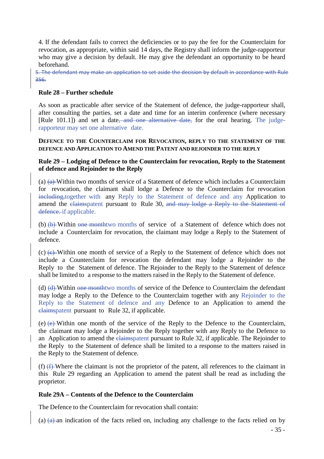4. If the defendant fails to correct the deficiencies or to pay the fee for the Counterclaim for revocation, as appropriate, within said 14 days, the Registry shall inform the judge-rapporteur who may give a decision by default. He may give the defendant an opportunity to be heard beforehand.

5. The defendant may make an application to set aside the decision by default in accordance with Rule 356.

# **Rule 28 – Further schedule**

As soon as practicable after service of the Statement of defence, the judge-rapporteur shall, after consulting the parties, set a date and time for an interim conference (where necessary [Rule 101.1]) and set a date, and one alternative date, for the oral hearing. The judgerapporteur may set one alternative date.

### **DEFENCE TO THE COUNTERCLAIM FOR REVOCATION, REPLY TO THE STATEMENT OF THE DEFENCE AND APPLICATION TO AMEND THE PATENT AND REJOINDER TO THE REPLY**

# **Rule 29 – Lodging of Defence to the Counterclaim for revocation, Reply to the Statement of defence and Rejoinder to the Reply**

(a)  $\left(\frac{a}{b}\right)$ -Within two months of service of a Statement of defence which includes a Counterclaim for revocation, the claimant shall lodge a Defence to the Counterclaim for revocation including, together with any Reply to the Statement of defence and any Application to amend the claimspatent pursuant to Rule 30, and may lodge a Reply to the Statement of defence. if applicable.

(b) (b) Within one monthtwo months of service of a Statement of defence which does not include a Counterclaim for revocation, the claimant may lodge a Reply to the Statement of defence.

(c)  $(e)$  Within one month of service of a Reply to the Statement of defence which does not include a Counterclaim for revocation the defendant may lodge a Rejoinder to the Reply to the Statement of defence. The Rejoinder to the Reply to the Statement of defence shall be limited to a response to the matters raised in the Reply to the Statement of defence.

(d) (d) Within one monthtwo months of service of the Defence to Counterclaim the defendant may lodge a Reply to the Defence to the Counterclaim together with any Rejoinder to the Reply to the Statement of defence and any Defence to an Application to amend the claimspatent pursuant to Rule 32, if applicable.

(e)  $(e)$  Within one month of the service of the Reply to the Defence to the Counterclaim, the claimant may lodge a Rejoinder to the Reply together with any Reply to the Defence to an Application to amend the claimspatent pursuant to Rule 32, if applicable. The Rejoinder to the Reply to the Statement of defence shall be limited to a response to the matters raised in the Reply to the Statement of defence.

(f) (f) Where the claimant is not the proprietor of the patent, all references to the claimant in this Rule 29 regarding an Application to amend the patent shall be read as including the proprietor.

### **Rule 29A – Contents of the Defence to the Counterclaim**

The Defence to the Counterclaim for revocation shall contain:

(a)  $(a)$  an indication of the facts relied on, including any challenge to the facts relied on by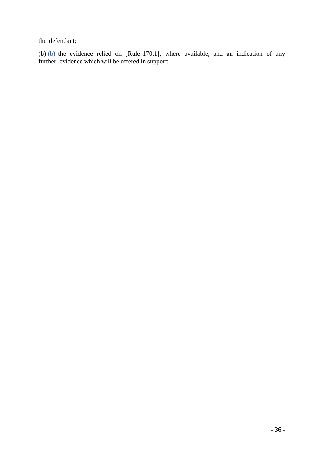the defendant;

(b)  $(b)$  the evidence relied on [Rule 170.1], where available, and an indication of any further evidence which will be offered in support;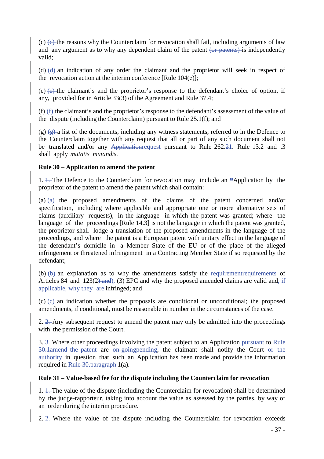(c)  $(e)$  the reasons why the Counterclaim for revocation shall fail, including arguments of law and any argument as to why any dependent claim of the patent (or patents) is independently valid;

(d)  $(d)$  an indication of any order the claimant and the proprietor will seek in respect of the revocation action at the interim conference [Rule  $104(e)$ ];

(e) (e) the claimant's and the proprietor's response to the defendant's choice of option, if any, provided for in Article 33(3) of the Agreement and Rule 37.4;

(f)  $(f)$  the claimant's and the proprietor's response to the defendant's assessment of the value of the dispute (including the Counterclaim) pursuant to Rule 25.1(f); and

 $(g)$  (g)  $\leftrightarrow$  a list of the documents, including any witness statements, referred to in the Defence to the Counterclaim together with any request that all or part of any such document shall not be translated and/or any Applicationrequest pursuant to Rule 262.21. Rule 13.2 and .3 shall apply *mutatis mutandis.*

# **Rule 30 – Application to amend the patent**

1. 1. The Defence to the Counterclaim for revocation may include an \*Application by the proprietor of the patent to amend the patent which shall contain:

(a)  $\left(\frac{a}{b}\right)$  the proposed amendments of the claims of the patent concerned and/or specification, including where applicable and appropriate one or more alternative sets of claims (auxiliary requests), in the language in which the patent was granted; where the language of the proceedings [Rule 14.3] is not the language in which the patent was granted, the proprietor shall lodge a translation of the proposed amendments in the language of the proceedings, and where the patent is a European patent with unitary effect in the language of the defendant's domicile in a Member State of the EU or of the place of the alleged infringement or threatened infringement in a Contracting Member State if so requested by the defendant;

(b)  $(b)$  an explanation as to why the amendments satisfy the requirement requirements of Articles 84 and  $123(2)$  and), (3) EPC and why the proposed amended claims are valid and, if applicable, why they are infringed; and

(c)  $(e)$  an indication whether the proposals are conditional or unconditional; the proposed amendments, if conditional, must be reasonable in number in the circumstances of the case.

2. 2. Any subsequent request to amend the patent may only be admitted into the proceedings with the permission of the Court.

3. 3. Where other proceedings involving the patent subject to an Application <del>pursuant</del> to Rule 30.1amend the patent are on-going pending, the claimant shall notify the Court or the authority in question that such an Application has been made and provide the information required in Rule 30.paragraph 1(a).

### **Rule 31 – Value-based fee for the dispute including the Counterclaim for revocation**

1. 1. The value of the dispute (including the Counterclaim for revocation) shall be determined by the judge-rapporteur, taking into account the value as assessed by the parties, by way of an order during the interim procedure.

2. 2. Where the value of the dispute including the Counterclaim for revocation exceeds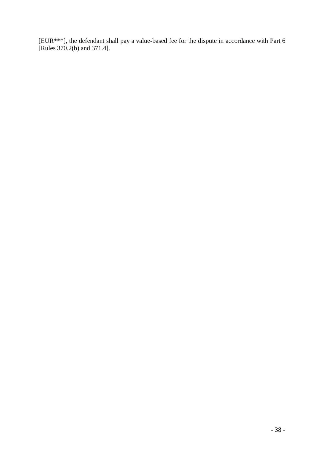[EUR\*\*\*], the defendant shall pay a value-based fee for the dispute in accordance with Part 6 [Rules 370.2(b) and 371.4].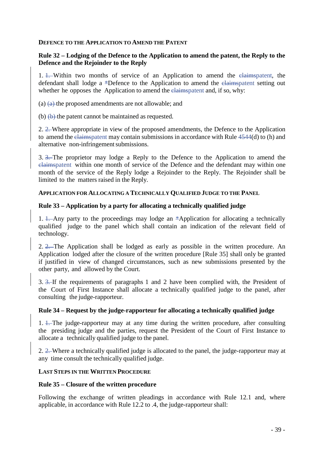### **DEFENCE TO THE APPLICATION TO AMEND THE PATENT**

# **Rule 32 – Lodging of the Defence to the Application to amend the patent, the Reply to the Defence and the Rejoinder to the Reply**

1. 1. Within two months of service of an Application to amend the claimspatent, the defendant shall lodge a \*Defence to the Application to amend the claimspatent setting out whether he opposes the Application to amend the elaimspatent and, if so, why:

(a)  $\left(\frac{a}{b}\right)$  the proposed amendments are not allowable; and

(b)  $(b)$  the patent cannot be maintained as requested.

2. 2. Where appropriate in view of the proposed amendments, the Defence to the Application to amend the claimspatent may contain submissions in accordance with Rule 4544(d) to (h) and alternative non-infringement submissions.

3. 3. The proprietor may lodge a Reply to the Defence to the Application to amend the claimspatent within one month of service of the Defence and the defendant may within one month of the service of the Reply lodge a Rejoinder to the Reply. The Rejoinder shall be limited to the matters raised in the Reply.

### **APPLICATION FOR ALLOCATING A TECHNICALLY QUALIFIED JUDGE TO THE PANEL**

### **Rule 33 – Application by a party for allocating a technically qualified judge**

1.  $\pm$  Any party to the proceedings may lodge an \*Application for allocating a technically qualified judge to the panel which shall contain an indication of the relevant field of technology.

2. 2. The Application shall be lodged as early as possible in the written procedure. An Application lodged after the closure of the written procedure [Rule 35] shall only be granted if justified in view of changed circumstances, such as new submissions presented by the other party, and allowed by the Court.

3. 3. If the requirements of paragraphs 1 and 2 have been complied with, the President of the Court of First Instance shall allocate a technically qualified judge to the panel, after consulting the judge-rapporteur.

### **Rule 34 – Request by the judge-rapporteur for allocating a technically qualified judge**

1. 1. The judge-rapporteur may at any time during the written procedure, after consulting the presiding judge and the parties, request the President of the Court of First Instance to allocate a technically qualified judge to the panel.

2. 2. Where a technically qualified judge is allocated to the panel, the judge-rapporteur may at any time consult the technically qualified judge.

### **LAST STEPS IN THE WRITTEN PROCEDURE**

### **Rule 35 – Closure of the written procedure**

Following the exchange of written pleadings in accordance with Rule 12.1 and, where applicable, in accordance with Rule 12.2 to .4, the judge-rapporteur shall: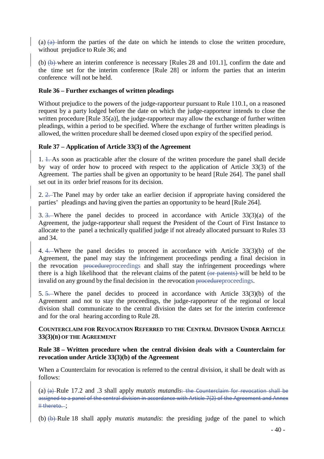(a)  $\left(\frac{a}{b}\right)$ -inform the parties of the date on which he intends to close the written procedure, without prejudice to Rule 36; and

(b) (b) where an interim conference is necessary [Rules 28 and 101.1], confirm the date and the time set for the interim conference [Rule 28] or inform the parties that an interim conference will not be held.

### **Rule 36 – Further exchanges of written pleadings**

Without prejudice to the powers of the judge-rapporteur pursuant to Rule 110.1, on a reasoned request by a party lodged before the date on which the judge-rapporteur intends to close the written procedure [Rule 35(a)], the judge-rapporteur may allow the exchange of further written pleadings, within a period to be specified. Where the exchange of further written pleadings is allowed, the written procedure shall be deemed closed upon expiry of the specified period.

### **Rule 37 – Application of Article 33(3) of the Agreement**

1. 1. As soon as practicable after the closure of the written procedure the panel shall decide by way of order how to proceed with respect to the application of Article 33(3) of the Agreement. The parties shall be given an opportunity to be heard [Rule 264]. The panel shall set out in its order brief reasons for its decision.

2. 2. The Panel may by order take an earlier decision if appropriate having considered the parties' pleadings and having given the parties an opportunity to be heard [Rule 264].

3. 3. Where the panel decides to proceed in accordance with Article 33(3)(a) of the Agreement, the judge-rapporteur shall request the President of the Court of First Instance to allocate to the panel a technically qualified judge if not already allocated pursuant to Rules 33 and 34.

4. 4. Where the panel decides to proceed in accordance with Article 33(3)(b) of the Agreement, the panel may stay the infringement proceedings pending a final decision in the revocation procedureproceedings and shall stay the infringement proceedings where there is a high likelihood that the relevant claims of the patent (or patents) will be held to be invalid on any ground by the final decision in the revocation procedure proceedings.

5. 5. Where the panel decides to proceed in accordance with Article 33(3)(b) of the Agreement and not to stay the proceedings, the judge-rapporteur of the regional or local division shall communicate to the central division the dates set for the interim conference and for the oral hearing according to Rule 28.

### **COUNTERCLAIM FOR REVOCATION REFERRED TO THE CENTRAL DIVISION UNDER ARTICLE 33(3)(B) OF THE AGREEMENT**

### **Rule 38 – Written procedure when the central division deals with a Counterclaim for revocation under Article 33(3)(b) of the Agreement**

When a Counterclaim for revocation is referred to the central division, it shall be dealt with as follows:

(a) (a) Rule 17.2 and .3 shall apply *mutatis mutandis*: the Counterclaim for revocation shall be assigned to a panel of the central division in accordance with Article 7(2) of the Agreement and Annex I<del>I thereto...</del>;

(b) (b) Rule 18 shall apply *mutatis mutandis*: the presiding judge of the panel to which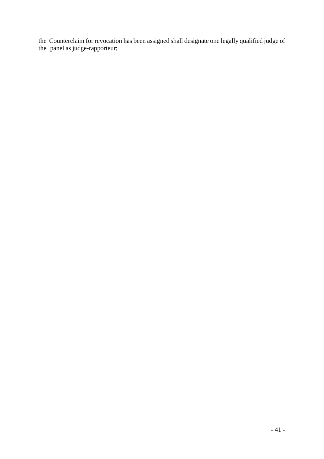the Counterclaim for revocation has been assigned shall designate one legally qualified judge of the panel as judge-rapporteur;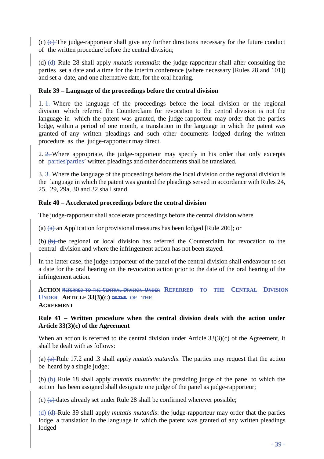$(c)$  (c)  $\leftrightarrow$  The judge-rapporteur shall give any further directions necessary for the future conduct of the written procedure before the central division;

(d) (d) Rule 28 shall apply *mutatis mutandis*: the judge-rapporteur shall after consulting the parties set a date and a time for the interim conference (where necessary [Rules 28 and 101]) and set a date, and one alternative date, for the oral hearing.

# **Rule 39 – Language of the proceedings before the central division**

1. 1. Where the language of the proceedings before the local division or the regional division which referred the Counterclaim for revocation to the central division is not the language in which the patent was granted, the judge-rapporteur may order that the parties lodge, within a period of one month, a translation in the language in which the patent was granted of any written pleadings and such other documents lodged during the written procedure as the judge-rapporteur may direct.

2. 2. Where appropriate, the judge-rapporteur may specify in his order that only excerpts of parties'parties' written pleadings and other documents shall be translated.

3. 3. Where the language of the proceedings before the local division or the regional division is the language in which the patent was granted the pleadings served in accordance with Rules 24, 25, 29, 29a, 30 and 32 shall stand.

### **Rule 40 – Accelerated proceedings before the central division**

The judge-rapporteur shall accelerate proceedings before the central division where

(a)  $\left(\frac{a}{a}\right)$  an Application for provisional measures has been lodged [Rule 206]; or

(b) (b) the regional or local division has referred the Counterclaim for revocation to the central division and where the infringement action has not been stayed.

In the latter case, the judge-rapporteur of the panel of the central division shall endeavour to set a date for the oral hearing on the revocation action prior to the date of the oral hearing of the infringement action.

**ACTION REFERRED TO THE CENTRAL DIVISION UNDER REFERRED TO THE CENTRAL DIVISION UNDER ARTICLE 33(3)(C) OF THE OF THE AGREEMENT**

### **Rule 41 – Written procedure when the central division deals with the action under Article 33(3)(c) of the Agreement**

When an action is referred to the central division under Article 33(3)(c) of the Agreement, it shall be dealt with as follows:

(a) (a) Rule 17.2 and .3 shall apply *mutatis mutandis*. The parties may request that the action be heard by a single judge;

(b) (b) Rule 18 shall apply *mutatis mutandis*: the presiding judge of the panel to which the action has been assigned shall designate one judge of the panel as judge-rapporteur;

(c)  $\left( \frac{c}{c} \right)$  dates already set under Rule 28 shall be confirmed wherever possible;

(d) (d) Rule 39 shall apply *mutatis mutandis*: the judge-rapporteur may order that the parties lodge a translation in the language in which the patent was granted of any written pleadings lodged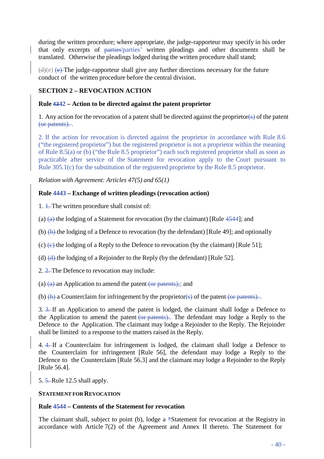during the written procedure; where appropriate, the judge-rapporteur may specify in his order that only excerpts of parties'parties' written pleadings and other documents shall be translated. Otherwise the pleadings lodged during the written procedure shall stand;

 $(d)(e)$  (e) (e) The judge-rapporteur shall give any further directions necessary for the future conduct of the written procedure before the central division.

# **SECTION 2 – REVOCATION ACTION**

### **Rule 4342 – Action to be directed against the patent proprietor**

1. Any action for the revocation of a patent shall be directed against the proprietor(s) of the patent (or patents). .

2. If the action for revocation is directed against the proprietor in accordance with Rule 8.6 ("the registered proprietor") but the registered proprietor is not a proprietor within the meaning of Rule 8.5(a) or (b) ("the Rule 8.5 proprietor") each such registered proprietor shall as soon as practicable after service of the Statement for revocation apply to the Court pursuant to Rule 305.1(c) for the substitution of the registered proprietor by the Rule 8.5 proprietor.

*Relation with Agreement: Articles 47(5) and 65(1)*

# **Rule 4443 – Exchange of written pleadings (revocation action)**

1. 1. The written procedure shall consist of:

(a)  $\left( \frac{a}{b} \right)$  the lodging of a Statement for revocation (by the claimant) [Rule 4544]; and

- (b)  $(b)$  the lodging of a Defence to revocation (by the defendant) [Rule 49]; and optionally
- (c)  $\left(\frac{e}{c}\right)$  the lodging of a Reply to the Defence to revocation (by the claimant) [Rule 51];
- (d) (d) the lodging of a Rejoinder to the Reply (by the defendant) [Rule 52].
- 2. 2. The Defence to revocation may include:
- (a)  $(a)$  an Application to amend the patent (or patents); and

(b)  $(\theta)$  a Counterclaim for infringement by the proprietor(s) of the patent (or patents).

3. 3. If an Application to amend the patent is lodged, the claimant shall lodge a Defence to the Application to amend the patent (or patents). The defendant may lodge a Reply to the Defence to the Application. The claimant may lodge a Rejoinder to the Reply. The Rejoinder shall be limited to a response to the matters raised in the Reply.

4. 4. If a Counterclaim for infringement is lodged, the claimant shall lodge a Defence to the Counterclaim for infringement [Rule 56], the defendant may lodge a Reply to the Defence to the Counterclaim [Rule 56.3] and the claimant may lodge a Rejoinder to the Reply [Rule 56.4].

5. 5. Rule 12.5 shall apply.

# **STATEMENT FOR REVOCATION**

### **Rule 4544 – Contents of the Statement for revocation**

The claimant shall, subject to point (b), lodge a \*Statement for revocation at the Registry in accordance with Article 7(2) of the Agreement and Annex II thereto. The Statement for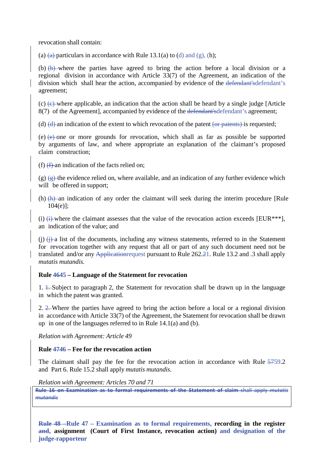revocation shall contain:

(a)  $(a)$  particulars in accordance with Rule 13.1(a) to (d) and (g), (h);

(b) (b) where the parties have agreed to bring the action before a local division or a regional division in accordance with Article 33(7) of the Agreement, an indication of the division which shall hear the action, accompanied by evidence of the defendant's defendant's agreement;

(c)  $(e)$  where applicable, an indication that the action shall be heard by a single judge [Article 8(7) of the Agreement], accompanied by evidence of the defendant'sdefendant's agreement;

(d)  $(d)$  an indication of the extent to which revocation of the patent (or patents) is requested;

(e)  $(e)$  one or more grounds for revocation, which shall as far as possible be supported by arguments of law, and where appropriate an explanation of the claimant's proposed claim construction;

(f)  $(f)$   $(f)$ -an indication of the facts relied on:

(g)  $\leftrightarrow$  the evidence relied on, where available, and an indication of any further evidence which will be offered in support;

(h)  $(h)$  an indication of any order the claimant will seek during the interim procedure [Rule 104(e)];

(i)  $\leftrightarrow$  where the claimant assesses that the value of the revocation action exceeds [EUR\*\*\*]. an indication of the value; and

(i)  $\leftrightarrow$  a list of the documents, including any witness statements, referred to in the Statement for revocation together with any request that all or part of any such document need not be translated and/or any Applicationrequest pursuant to Rule 262.21. Rule 13.2 and .3 shall apply *mutatis mutandis.*

# **Rule 4645 – Language of the Statement for revocation**

1. 1. Subject to paragraph 2, the Statement for revocation shall be drawn up in the language in which the patent was granted.

2. 2. Where the parties have agreed to bring the action before a local or a regional division in accordance with Article 33(7) of the Agreement, the Statement for revocation shall be drawn up in one of the languages referred to in Rule 14.1(a) and (b).

*Relation with Agreement: Article 49*

# **Rule 4746 – Fee for the revocation action**

The claimant shall pay the fee for the revocation action in accordance with Rule 5759.2 and Part 6. Rule 15.2 shall apply *mutatis mutandis*.

*Relation with Agreement: Articles 70 and 71*

**Rule 16 on Examination as to formal requirements of the Statement of claim** shall apply *mutatis mutandis* 

**Rule 48 –Rule 47 – Examination as to formal requirements, recording in the register and, assignment (Court of First Instance, revocation action) and designation of the judge-rapporteur**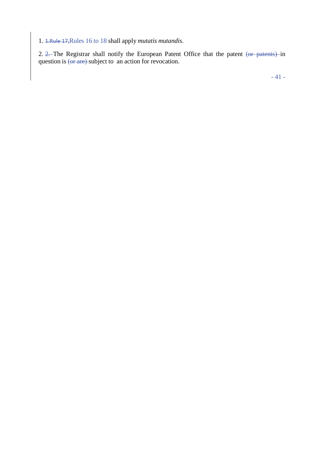1. 1.Rule 17,Rules 16 to 18 shall apply *mutatis mutandis*.

2. 2. The Registrar shall notify the European Patent Office that the patent (or patents) in question is (or are) subject to an action for revocation.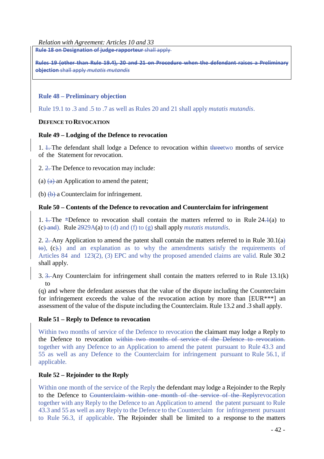*Relation with Agreement: Articles 10 and 33*

**Rule 18 on Designation of judge-rapporteur** shall apply

Rules 19 (other than Rule 19.4), 20 and 21 on Procedure when the defendant **objection** shall apply *mutatis mutandis* 

# **Rule 48 – Preliminary objection**

Rule 19.1 to .3 and .5 to .7 as well as Rules 20 and 21 shall apply *mutatis mutandis*.

### **DEFENCE TO REVOCATION**

### **Rule 49 – Lodging of the Defence to revocation**

1. 1. The defendant shall lodge a Defence to revocation within threetwo months of service of the Statement for revocation.

2. 2. The Defence to revocation may include:

(a)  $(a)$  an Application to amend the patent;

(b)  $\left(\frac{b}{c}\right)$  Counterclaim for infringement.

### **Rule 50 – Contents of the Defence to revocation and Counterclaim for infringement**

1.  $\pm$ The \*Defence to revocation shall contain the matters referred to in Rule 24 $\pm$ (a) to (c) and). Rule 2929A(a) to (d) and (f) to (g) shall apply *mutatis mutandis*.

2. 2. Any Application to amend the patent shall contain the matters referred to in Rule  $30.1(a)$  $\epsilon$ <sub>t</sub> $\epsilon$ ), (c $\epsilon$ ) and an explanation as to why the amendments satisfy the requirements of Articles 84 and 123(2), (3) EPC and why the proposed amended claims are valid. Rule 30.2 shall apply.

3. 3. Any Counterclaim for infringement shall contain the matters referred to in Rule 13.1(k) to

(q) and where the defendant assesses that the value of the dispute including the Counterclaim for infringement exceeds the value of the revocation action by more than [EUR\*\*\*] an assessment of the value of the dispute including the Counterclaim. Rule 13.2 and .3 shall apply.

# **Rule 51 – Reply to Defence to revocation**

Within two months of service of the Defence to revocation the claimant may lodge a Reply to the Defence to revocation within two months of service of the Defence to revocation. together with any Defence to an Application to amend the patent pursuant to Rule 43.3 and 55 as well as any Defence to the Counterclaim for infringement pursuant to Rule 56.1, if applicable.

# **Rule 52 – Rejoinder to the Reply**

Within one month of the service of the Reply the defendant may lodge a Rejoinder to the Reply to the Defence to Counterclaim within one month of the service of the Replyrevocation together with any Reply to the Defence to an Application to amend the patent pursuant to Rule 43.3 and 55 as well as any Reply to the Defence to the Counterclaim for infringement pursuant to Rule 56.3, if applicable. The Rejoinder shall be limited to a response to the matters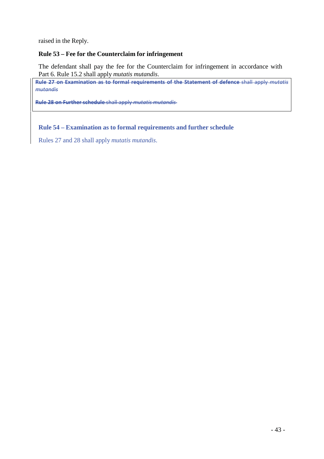raised in the Reply.

# **Rule 53 – Fee for the Counterclaim for infringement**

The defendant shall pay the fee for the Counterclaim for infringement in accordance with Part 6. Rule 15.2 shall apply *mutatis mutandis*.

**Rule 27 on Examination as to formal requirements of the Statement of defence** shall apply *mutatis mutandis*

**Rule 28 on Further schedule** shall apply *mutatis mutandis*

**Rule 54 – Examination as to formal requirements and further schedule**

Rules 27 and 28 shall apply *mutatis mutandis*.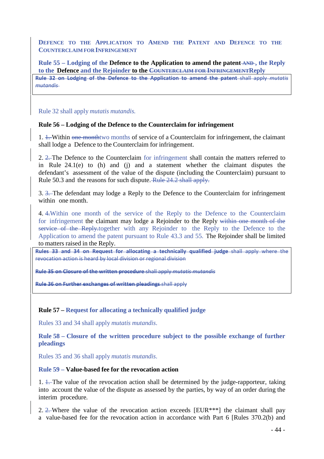**DEFENCE TO THE APPLICATION TO AMEND THE PATENT AND DEFENCE TO THE COUNTERCLAIM FOR INFRINGEMENT**

**Rule 55 – Lodging of the Defence to the Application to amend the patent AND , the Reply to the Defence and the Rejoinder to the COUNTERCLAIM FOR INFRINGEMENTReply Rule 32 on Lodging of the Defence to the Application to amend the patent** shall apply *mutatis mutandis*

Rule 32 shall apply *mutatis mutandis.*

#### **Rule 56 – Lodging of the Defence to the Counterclaim for infringement**

1. 1. Within one monthtwo months of service of a Counterclaim for infringement, the claimant shall lodge a Defence to the Counterclaim for infringement.

2. 2. The Defence to the Counterclaim for infringement shall contain the matters referred to in Rule 24.1(e) to (h) and (j) and a statement whether the claimant disputes the defendant's assessment of the value of the dispute (including the Counterclaim) pursuant to Rule 50.3 and the reasons for such dispute. Rule 24.2 shall apply.

3. 3. The defendant may lodge a Reply to the Defence to the Counterclaim for infringement within one month.

4. 4.Within one month of the service of the Reply to the Defence to the Counterclaim for infringement the claimant may lodge a Rejoinder to the Reply within one month of the service of the Reply.together with any Rejoinder to the Reply to the Defence to the Application to amend the patent pursuant to Rule 43.3 and 55. The Rejoinder shall be limited to matters raised in the Reply.

**Rules 33 and 34 on Request for allocating a technically qualified judge** shall apply where the revocation action is heard by local division or regional division

**Rule 35 on Closure of the written procedure** shall apply *mutatis mutandis* 

**Rule 36 on Further exchanges of written pleadings** shall apply

### **Rule 57 – Request for allocating a technically qualified judge**

Rules 33 and 34 shall apply *mutatis mutandis*.

**Rule 58 – Closure of the written procedure subject to the possible exchange of further pleadings**

Rules 35 and 36 shall apply *mutatis mutandis*.

### **Rule 59 – Value-based fee for the revocation action**

1. 1. The value of the revocation action shall be determined by the judge-rapporteur, taking into account the value of the dispute as assessed by the parties, by way of an order during the interim procedure.

2. 2. Where the value of the revocation action exceeds [EUR<sup>\*\*\*</sup>] the claimant shall pay a value-based fee for the revocation action in accordance with Part 6 [Rules 370.2(b) and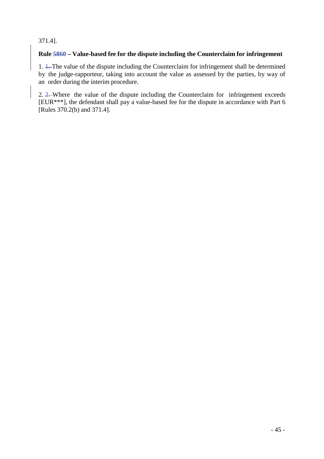# 371.4].

# **Rule 5860 – Value-based fee for the dispute including the Counterclaim for infringement**

1. 1. The value of the dispute including the Counterclaim for infringement shall be determined by the judge-rapporteur, taking into account the value as assessed by the parties, by way of an order during the interim procedure.

2. 2. Where the value of the dispute including the Counterclaim for infringement exceeds [EUR\*\*\*], the defendant shall pay a value-based fee for the dispute in accordance with Part 6 [Rules 370.2(b) and 371.4].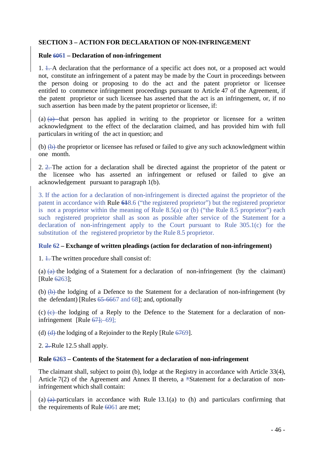# **SECTION 3 – ACTION FOR DECLARATION OF NON-INFRINGEMENT**

#### **Rule 6061 – Declaration of non-infringement**

1. 1. A declaration that the performance of a specific act does not, or a proposed act would not, constitute an infringement of a patent may be made by the Court in proceedings between the person doing or proposing to do the act and the patent proprietor or licensee entitled to commence infringement proceedings pursuant to Article 47 of the Agreement, if the patent proprietor or such licensee has asserted that the act is an infringement, or, if no such assertion has been made by the patent proprietor or licensee, if:

(a)  $\left(\frac{a}{b}\right)$  that person has applied in writing to the proprietor or licensee for a written acknowledgment to the effect of the declaration claimed, and has provided him with full particulars in writing of the act in question; and

(b) (b) the proprietor or licensee has refused or failed to give any such acknowledgment within one month.

2. 2. The action for a declaration shall be directed against the proprietor of the patent or the licensee who has asserted an infringement or refused or failed to give an acknowledgement pursuant to paragraph 1(b).

3. If the action for a declaration of non-infringement is directed against the proprietor of the patent in accordance with Rule **61**8.6 ("the registered proprietor") but the registered proprietor is not a proprietor within the meaning of Rule 8.5(a) or (b) ("the Rule 8.5 proprietor") each such registered proprietor shall as soon as possible after service of the Statement for a declaration of non-infringement apply to the Court pursuant to Rule 305.1(c) for the substitution of the registered proprietor by the Rule 8.5 proprietor.

### **Rule 62 – Exchange of written pleadings (action for declaration of non-infringement)**

1. 1. The written procedure shall consist of:

(a)  $\left(\frac{a}{b}\right)$  the lodging of a Statement for a declaration of non-infringement (by the claimant) [Rule  $6263$ ];

(b)  $(b)$  the lodging of a Defence to the Statement for a declaration of non-infringement (by the defendant) [Rules 65-6667 and 68]; and, optionally

(c)  $(e)$  the lodging of a Reply to the Defence to the Statement for a declaration of noninfringement [Rule  $67$ ];  $-69$ ];

(d)  $\left(\frac{d}{dt}\right)$  the lodging of a Rejoinder to the Reply [Rule  $\left(\frac{6769}{4}\right)$ .

2. 2. Rule 12.5 shall apply.

### **Rule 6263 – Contents of the Statement for a declaration of non-infringement**

The claimant shall, subject to point (b), lodge at the Registry in accordance with Article 33(4), Article 7(2) of the Agreement and Annex II thereto, a \*Statement for a declaration of noninfringement which shall contain:

(a)  $\left(\frac{a}{b}\right)$  particulars in accordance with Rule 13.1(a) to (h) and particulars confirming that the requirements of Rule  $6061$  are met;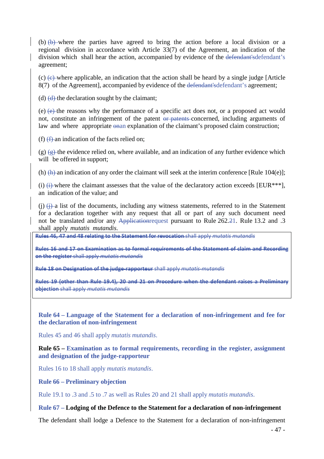(b) (b) where the parties have agreed to bring the action before a local division or a regional division in accordance with Article 33(7) of the Agreement, an indication of the division which shall hear the action, accompanied by evidence of the defendant'sdefendant's agreement;

(c)  $(e)$  where applicable, an indication that the action shall be heard by a single judge [Article 8(7) of the Agreement], accompanied by evidence of the defendant'sdefendant's agreement;

(d)  $(d)$  the declaration sought by the claimant;

(e)  $(e)$  the reasons why the performance of a specific act does not, or a proposed act would not, constitute an infringement of the patent or patents concerned, including arguments of law and where appropriate  $\Theta$  and explanation of the claimant's proposed claim construction;

(f)  $(f)$  an indication of the facts relied on;

(g)  $(g)$  the evidence relied on, where available, and an indication of any further evidence which will be offered in support;

(h)  $(h)$  an indication of any order the claimant will seek at the interim conference [Rule 104(e)];

(i)  $(i)$  where the claimant assesses that the value of the declaratory action exceeds [EUR\*\*\*], an indication of the value; and

(i)  $(i)$  a list of the documents, including any witness statements, referred to in the Statement for a declaration together with any request that all or part of any such document need not be translated and/or any Application request pursuant to Rule 262.21. Rule 13.2 and .3 shall apply *mutatis mutandis*.

**Rules 46, 47 and 48 relating to the Statement for revocation** shall apply *mutatis mutandis*

**Rules 16 and 17 on Examination as to formal requirements of the Statement of claim and Recording on the register** shall apply *mutatis mutandis* 

**Rule 18 on Designation of the judge-rapporteur** shall apply *mutatis-mutandis*

**Rules 19 (other than Rule 19.4), 20 and 21 on Procedure when the defendant raises a Preliminary objection** shall apply *mutatis mutandis* 

**Rule 64 – Language of the Statement for a declaration of non-infringement and fee for the declaration of non-infringement**

Rules 45 and 46 shall apply *mutatis mutandis*.

**Rule 65 – Examination as to formal requirements, recording in the register, assignment and designation of the judge-rapporteur**

Rules 16 to 18 shall apply *mutatis mutandis*.

**Rule 66 – Preliminary objection**

Rule 19.1 to .3 and .5 to .7 as well as Rules 20 and 21 shall apply *mutatis mutandis*.

### **Rule 67 – Lodging of the Defence to the Statement for a declaration of non-infringement**

The defendant shall lodge a Defence to the Statement for a declaration of non-infringement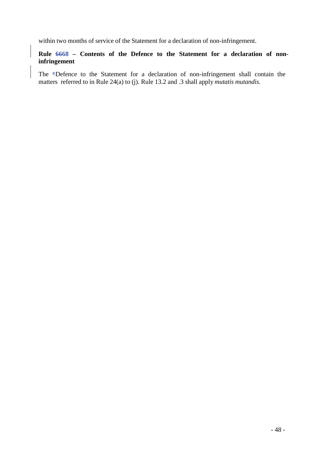within two months of service of the Statement for a declaration of non-infringement.

**Rule 6668 – Contents of the Defence to the Statement for a declaration of noninfringement**

The \*Defence to the Statement for a declaration of non-infringement shall contain the matters referred to in Rule 24(a) to (j). Rule 13.2 and .3 shall apply *mutatis mutandis*.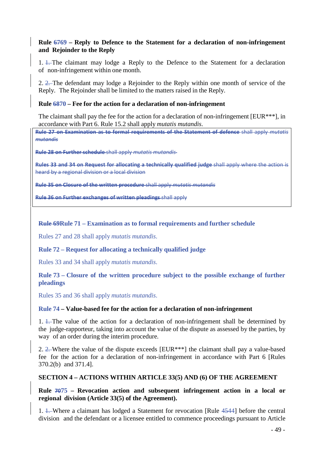# **Rule 6769 – Reply to Defence to the Statement for a declaration of non-infringement and Rejoinder to the Reply**

1. 1. The claimant may lodge a Reply to the Defence to the Statement for a declaration of non-infringement within one month.

2. 2. The defendant may lodge a Rejoinder to the Reply within one month of service of the Reply. The Rejoinder shall be limited to the matters raised in the Reply.

### **Rule 6870 – Fee for the action for a declaration of non-infringement**

The claimant shall pay the fee for the action for a declaration of non-infringement [EUR\*\*\*], in accordance with Part 6. Rule 15.2 shall apply *mutatis mutandis*.

**Rule 27 on Examination as to formal requirements of the Statement of defence** shall apply *mutatis mutandis*

**Rule 28 on Further schedule** shall apply *mutatis mutandis*

**Rules 33 and 34 on Request for allocating a technically qualified judge** shall apply where the action is heard by a regional division or a local division

**Rule 35 on Closure of the written procedure** shall apply *mutatis mutandis*

**Rule 36 on Further exchanges of written pleadings** shall apply

### **Rule 69Rule 71 – Examination as to formal requirements and further schedule**

Rules 27 and 28 shall apply *mutatis mutandis*.

#### **Rule 72 – Request for allocating a technically qualified judge**

Rules 33 and 34 shall apply *mutatis mutandis*.

# **Rule 73 – Closure of the written procedure subject to the possible exchange of further pleadings**

Rules 35 and 36 shall apply *mutatis mutandis*.

#### **Rule 74 – Value-based fee for the action for a declaration of non-infringement**

1. 1. The value of the action for a declaration of non-infringement shall be determined by the judge-rapporteur, taking into account the value of the dispute as assessed by the parties, by way of an order during the interim procedure.

2. 2. Where the value of the dispute exceeds [EUR\*\*\*] the claimant shall pay a value-based fee for the action for a declaration of non-infringement in accordance with Part 6 [Rules 370.2(b) and 371.4].

#### **SECTION 4 – ACTIONS WITHIN ARTICLE 33(5) AND (6) OF THE AGREEMENT**

**Rule 7075 – Revocation action and subsequent infringement action in a local or regional division (Article 33(5) of the Agreement).**

1. 1. Where a claimant has lodged a Statement for revocation [Rule 4544] before the central division and the defendant or a licensee entitled to commence proceedings pursuant to Article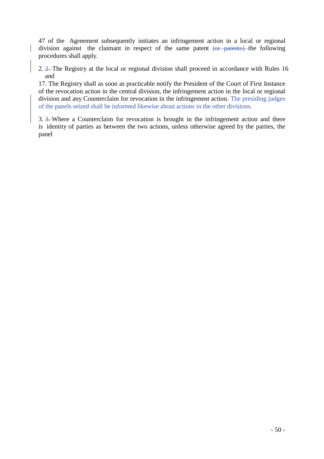47 of the Agreement subsequently initiates an infringement action in a local or regional division against the claimant in respect of the same patent (or patents) the following procedures shall apply.

2. 2. The Registry at the local or regional division shall proceed in accordance with Rules 16 and

17. The Registry shall as soon as practicable notify the President of the Court of First Instance of the revocation action in the central division, the infringement action in the local or regional division and any Counterclaim for revocation in the infringement action. The presiding judges of the panels seized shall be informed likewise about actions in the other divisions.

3. 3. Where a Counterclaim for revocation is brought in the infringement action and there is identity of parties as between the two actions, unless otherwise agreed by the parties, the panel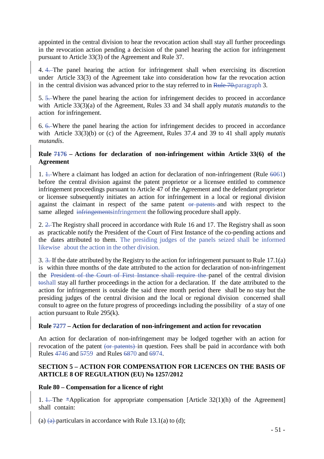appointed in the central division to hear the revocation action shall stay all further proceedings in the revocation action pending a decision of the panel hearing the action for infringement pursuant to Article 33(3) of the Agreement and Rule 37.

4. 4. The panel hearing the action for infringement shall when exercising its discretion under Article 33(3) of the Agreement take into consideration how far the revocation action in the central division was advanced prior to the stay referred to in Rule 70.paragraph 3.

5. 5. Where the panel hearing the action for infringement decides to proceed in accordance with Article 33(3)(a) of the Agreement, Rules 33 and 34 shall apply *mutatis mutandis* to the action for infringement.

6. 6. Where the panel hearing the action for infringement decides to proceed in accordance with Article 33(3)(b) or (c) of the Agreement, Rules 37.4 and 39 to 41 shall apply *mutatis mutandis*.

# **Rule 7176 – Actions for declaration of non-infringement within Article 33(6) of the Agreement**

1. 1. Where a claimant has lodged an action for declaration of non-infringement (Rule 6061) before the central division against the patent proprietor or a licensee entitled to commence infringement proceedings pursuant to Article 47 of the Agreement and the defendant proprietor or licensee subsequently initiates an action for infringement in a local or regional division against the claimant in respect of the same patent or patents and with respect to the same alleged infringementsinfringement the following procedure shall apply.

2. 2. The Registry shall proceed in accordance with Rule 16 and 17. The Registry shall as soon as practicable notify the President of the Court of First Instance of the co-pending actions and the dates attributed to them. The presiding judges of the panels seized shall be informed likewise about the action in the other division.

3. 3. If the date attributed by the Registry to the action for infringement pursuant to Rule 17.1(a) is within three months of the date attributed to the action for declaration of non-infringement the President of the Court of First Instance shall require the panel of the central division toshall stay all further proceedings in the action for a declaration. If the date attributed to the action for infringement is outside the said three month period there shall be no stay but the presiding judges of the central division and the local or regional division concerned shall consult to agree on the future progress of proceedings including the possibility of a stay of one action pursuant to Rule 295(k).

#### **Rule 7277 – Action for declaration of non-infringement and action for revocation**

An action for declaration of non-infringement may be lodged together with an action for revocation of the patent (or patents) in question. Fees shall be paid in accordance with both Rules 4746 and 5759 and Rules 6870 and 6974.

# **SECTION 5 – ACTION FOR COMPENSATION FOR LICENCES ON THE BASIS OF ARTICLE 8 OF REGULATION (EU) No 1257/2012**

# **Rule 80 – Compensation for a licence of right**

1.  $\pm$ The \*Application for appropriate compensation [Article 32(1)(h) of the Agreement] shall contain:

(a)  $\left(\frac{a}{b}\right)$  particulars in accordance with Rule 13.1(a) to (d);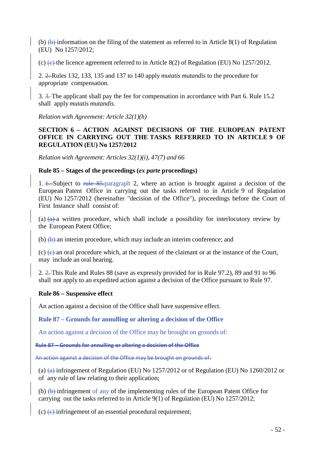(b)  $\left(\frac{b}{c}\right)$  information on the filing of the statement as referred to in Article 8(1) of Regulation (EU) No 1257/2012;

(c)  $\left(\text{c}\right)$  the licence agreement referred to in Article 8(2) of Regulation (EU) No 1257/2012.

2. 2. Rules 132, 133, 135 and 137 to 140 apply *mutatis mutandis* to the procedure for appropriate compensation.

3. 3. The applicant shall pay the fee for compensation in accordance with Part 6. Rule 15.2 shall apply *mutatis mutandis*.

*Relation with Agreement: Article 32(1)(h)*

# **SECTION 6 – ACTION AGAINST DECISIONS OF THE EUROPEAN PATENT OFFICE IN CARRYING OUT THE TASKS REFERRED TO IN ARTICLE 9 OF REGULATION (EU) No 1257/2012**

*Relation with Agreement: Articles 32(1)(i), 47(7) and 66*

### **Rule 85 – Stages of the proceedings (***ex parte* **proceedings)**

1. 1. Subject to rule 85.paragraph 2, where an action is brought against a decision of the European Patent Office in carrying out the tasks referred to in Article 9 of Regulation (EU) No 1257/2012 (hereinafter "decision of the Office"), proceedings before the Court of First Instance shall consist of:

(a)  $\left(\frac{a}{a}\right)$  a written procedure, which shall include a possibility for interlocutory review by the European Patent Office;

(b)  $(b)$  an interim procedure, which may include an interim conference; and

(c)  $\left(\frac{c}{c}\right)$  an oral procedure which, at the request of the claimant or at the instance of the Court, may include an oral hearing.

2. 2. This Rule and Rules 88 (save as expressly provided for in Rule 97.2), 89 and 91 to 96 shall not apply to an expedited action against a decision of the Office pursuant to Rule 97.

#### **Rule 86 – Suspensive effect**

An action against a decision of the Office shall have suspensive effect.

**Rule 87 – Grounds for annulling or altering a decision of the Office**

An action against a decision of the Office may be brought on grounds of:

**Rule 87 – Grounds for annulling or altering a decision of the Office** 

An action against a decision of the Office may be brought on grounds of:

(a)  $\left(\frac{a}{b}\right)$  infringement of Regulation (EU) No 1257/2012 or of Regulation (EU) No 1260/2012 or of any rule of law relating to their application;

(b) (b) infringement of any of the implementing rules of the European Patent Office for carrying out the tasks referred to in Article 9(1) of Regulation (EU) No 1257/2012;

(c)  $\left( \frac{c}{c} \right)$  infringement of an essential procedural requirement;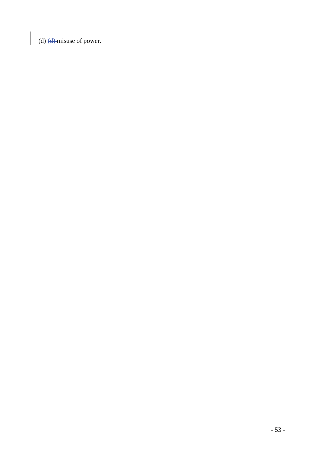(d)  $(d)$ -misuse of power.

 $\vert$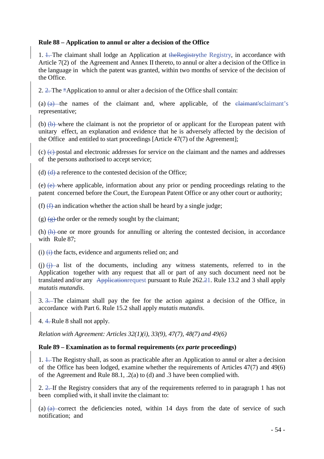# **Rule 88 – Application to annul or alter a decision of the Office**

1. 1. The claimant shall lodge an Application at theRegistrythe Registry, in accordance with Article 7(2) of the Agreement and Annex II thereto, to annul or alter a decision of the Office in the language in which the patent was granted, within two months of service of the decision of the Office.

2. 2. The \*Application to annul or alter a decision of the Office shall contain:

(a)  $\left(\frac{a}{b}\right)$  the names of the claimant and, where applicable, of the elaimant's claimant's representative;

(b) (b) where the claimant is not the proprietor of or applicant for the European patent with unitary effect, an explanation and evidence that he is adversely affected by the decision of the Office and entitled to start proceedings [Article 47(7) of the Agreement];

 $(c)$  (c)  $(e)$ -postal and electronic addresses for service on the claimant and the names and addresses of the persons authorised to accept service;

(d)  $(d)$  a reference to the contested decision of the Office;

(e)  $(e)$  where applicable, information about any prior or pending proceedings relating to the patent concerned before the Court, the European Patent Office or any other court or authority;

(f)  $(f)$  an indication whether the action shall be heard by a single judge;

(g)  $\left(\frac{\alpha}{2}\right)$  the order or the remedy sought by the claimant;

 $(h)$  (h)  $(h)$ -one or more grounds for annulling or altering the contested decision, in accordance with Rule 87;

(i)  $\overrightarrow{H}$  the facts, evidence and arguments relied on; and

(j)  $(i)$  a list of the documents, including any witness statements, referred to in the Application together with any request that all or part of any such document need not be translated and/or any Applicationrequest pursuant to Rule 262.21. Rule 13.2 and 3 shall apply *mutatis mutandis*.

3. 3. The claimant shall pay the fee for the action against a decision of the Office, in accordance with Part 6. Rule 15.2 shall apply *mutatis mutandis*.

4. 4. Rule 8 shall not apply.

*Relation with Agreement: Articles 32(1)(i), 33(9), 47(7), 48(7) and 49(6)*

#### **Rule 89 – Examination as to formal requirements (***ex parte* **proceedings)**

1. 1. The Registry shall, as soon as practicable after an Application to annul or alter a decision of the Office has been lodged, examine whether the requirements of Articles 47(7) and 49(6) of the Agreement and Rule 88.1, .2(a) to (d) and .3 have been complied with.

2. 2. If the Registry considers that any of the requirements referred to in paragraph 1 has not been complied with, it shall invite the claimant to:

(a)  $\left(\frac{a}{b}\right)$  correct the deficiencies noted, within 14 days from the date of service of such notification; and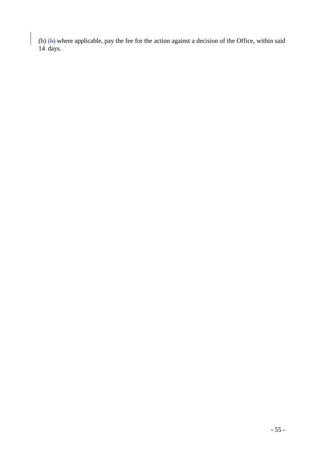(b) (b) where applicable, pay the fee for the action against a decision of the Office, within said 14 days.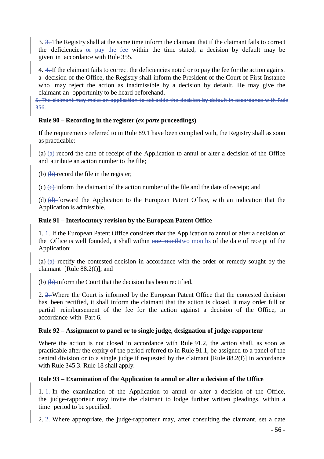3. 3. The Registry shall at the same time inform the claimant that if the claimant fails to correct the deficiencies or pay the fee within the time stated, a decision by default may be given in accordance with Rule 355.

4. 4. If the claimant fails to correct the deficiencies noted or to pay the fee for the action against a decision of the Office, the Registry shall inform the President of the Court of First Instance who may reject the action as inadmissible by a decision by default. He may give the claimant an opportunity to be heard beforehand.

5. The claimant may make an application to set aside the decision by default in accordance with Rule 356.

### **Rule 90 – Recording in the register (***ex parte* **proceedings)**

If the requirements referred to in Rule 89.1 have been complied with, the Registry shall as soon as practicable:

(a)  $(a)$  record the date of receipt of the Application to annul or alter a decision of the Office and attribute an action number to the file;

(b)  $\left(\frac{1}{2}\right)$  record the file in the register;

(c)  $\left(\frac{c}{c}\right)$  inform the claimant of the action number of the file and the date of receipt; and

(d) (d) forward the Application to the European Patent Office, with an indication that the Application is admissible.

### **Rule 91 – Interlocutory revision by the European Patent Office**

1. 1. If the European Patent Office considers that the Application to annul or alter a decision of the Office is well founded, it shall within one monthtwo months of the date of receipt of the Application:

(a)  $\left( a \right)$  rectify the contested decision in accordance with the order or remedy sought by the claimant [Rule 88.2(f)]; and

(b)  $\left(\frac{b}{c}\right)$  inform the Court that the decision has been rectified.

2. 2. Where the Court is informed by the European Patent Office that the contested decision has been rectified, it shall inform the claimant that the action is closed. It may order full or partial reimbursement of the fee for the action against a decision of the Office, in accordance with Part 6.

#### **Rule 92 – Assignment to panel or to single judge, designation of judge-rapporteur**

Where the action is not closed in accordance with Rule 91.2, the action shall, as soon as practicable after the expiry of the period referred to in Rule 91.1, be assigned to a panel of the central division or to a single judge if requested by the claimant [Rule 88.2(f)] in accordance with Rule 345.3. Rule 18 shall apply.

#### **Rule 93 – Examination of the Application to annul or alter a decision of the Office**

1. 1. In the examination of the Application to annul or alter a decision of the Office, the judge-rapporteur may invite the claimant to lodge further written pleadings, within a time period to be specified.

2. 2. Where appropriate, the judge-rapporteur may, after consulting the claimant, set a date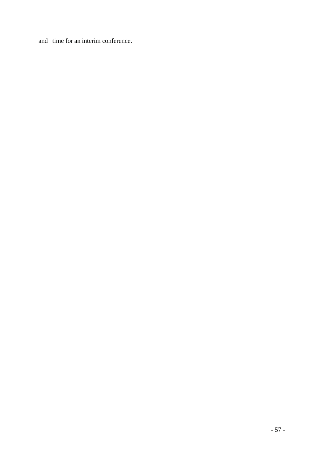and time for an interim conference.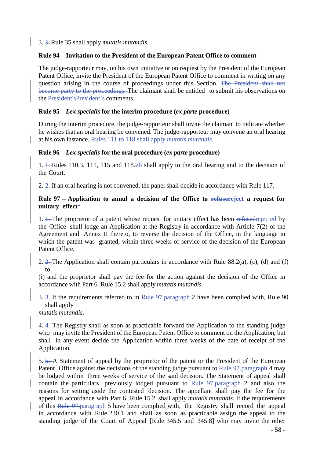3. 3. Rule 35 shall apply *mutatis mutandis*.

### **Rule 94 – Invitation to the President of the European Patent Office to comment**

The judge-rapporteur may, on his own initiative or on request by the President of the European Patent Office, invite the President of the European Patent Office to comment in writing on any question arising in the course of proceedings under this Section. The President shall not become party to the proceedings. The claimant shall be entitled to submit his observations on the President'sPresident's comments.

### **Rule 95 –** *Lex specialis* **for the interim procedure (***ex parte* **procedure)**

During the interim procedure, the judge-rapporteur shall invite the claimant to indicate whether he wishes that an oral hearing be convened. The judge-rapporteur may convene an oral hearing at his own instance. Rules 111 to 118 shall apply *mutatis mutandis*.

### **Rule 96 –** *Lex specialis* **for the oral procedure (***ex parte* **procedure)**

1. 1. Rules 110.3, 111, 115 and 118.76 shall apply to the oral hearing and to the decision of the Court.

2. 2. If an oral hearing is not convened, the panel shall decide in accordance with Rule 117.

### **Rule 97 – Application to annul a decision of the Office to refusereject a request for unitary effect\***

1. 1. The proprietor of a patent whose request for unitary effect has been refusedrejected by the Office shall lodge an Application at the Registry in accordance with Article 7(2) of the Agreement and Annex II thereto, to reverse the decision of the Office, in the language in which the patent was granted, within three weeks of service of the decision of the European Patent Office.

2. 2. The Application shall contain particulars in accordance with Rule 88.2(a), (c), (d) and (f)  $t_0$ 

(i) and the proprietor shall pay the fee for the action against the decision of the Office in accordance with Part 6. Rule 15.2 shall apply *mutatis mutandis*.

3. 3. If the requirements referred to in Rule 97.paragraph 2 have been complied with, Rule 90 shall apply

*mutatis mutandis*.

4. 4. The Registry shall as soon as practicable forward the Application to the standing judge who may invite the President of the European Patent Office to comment on the Application, but shall in any event decide the Application within three weeks of the date of receipt of the Application.

5. 5. A Statement of appeal by the proprietor of the patent or the President of the European Patent Office against the decisions of the standing judge pursuant to Rule 97. paragraph 4 may be lodged within three weeks of service of the said decision. The Statement of appeal shall contain the particulars previously lodged pursuant to Rule 97.paragraph 2 and also the reasons for setting aside the contested decision. The appellant shall pay the fee for the appeal in accordance with Part 6. Rule 15.2 shall apply *mutatis mutandis*. If the requirements of this Rule 97.paragraph 5 have been complied with, the Registry shall record the appeal in accordance with Rule 230.1 and shall as soon as practicable assign the appeal to the standing judge of the Court of Appeal [Rule 345.5 and 345.8] who may invite the other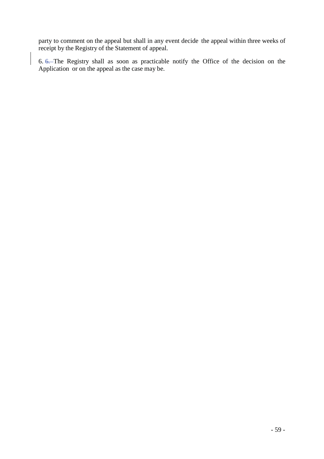party to comment on the appeal but shall in any event decide the appeal within three weeks of receipt by the Registry of the Statement of appeal.

6. 6. The Registry shall as soon as practicable notify the Office of the decision on the Application or on the appeal as the case may be.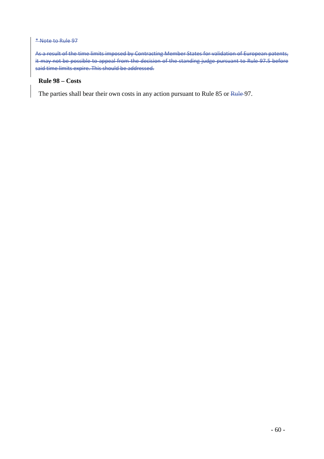### \* Note to Rule 97

As a result of the time limits imposed by Contracting Member States for validation of European patents, it may not be possible to appeal from the decision of the standing judge pursuant to Rule 97.5 before said time limits expire. This should be addressed.

# **Rule 98 – Costs**

The parties shall bear their own costs in any action pursuant to Rule 85 or Rule 97.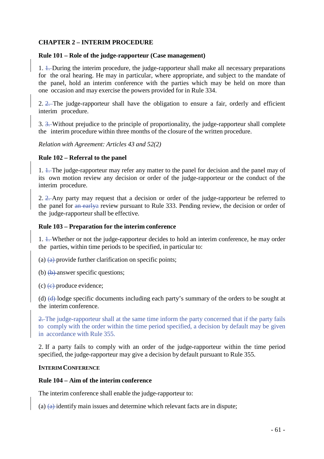# **CHAPTER 2 – INTERIM PROCEDURE**

### **Rule 101 – Role of the judge-rapporteur (Case management)**

1. 1. During the interim procedure, the judge-rapporteur shall make all necessary preparations for the oral hearing. He may in particular, where appropriate, and subject to the mandate of the panel, hold an interim conference with the parties which may be held on more than one occasion and may exercise the powers provided for in Rule 334.

2. 2. The judge-rapporteur shall have the obligation to ensure a fair, orderly and efficient interim procedure.

3. 3. Without prejudice to the principle of proportionality, the judge-rapporteur shall complete the interim procedure within three months of the closure of the written procedure.

*Relation with Agreement: Articles 43 and 52(2)*

### **Rule 102 – Referral to the panel**

1. 1. The judge-rapporteur may refer any matter to the panel for decision and the panel may of its own motion review any decision or order of the judge-rapporteur or the conduct of the interim procedure.

2. 2. Any party may request that a decision or order of the judge-rapporteur be referred to the panel for an earlya review pursuant to Rule 333. Pending review, the decision or order of the judge-rapporteur shall be effective.

### **Rule 103 – Preparation for the interim conference**

1. 1. Whether or not the judge-rapporteur decides to hold an interim conference, he may order the parties, within time periods to be specified, in particular to:

(a)  $\left( a \right)$  provide further clarification on specific points;

(b)  $\left\langle \phi \right\rangle$  answer specific questions:

(c)  $(e)$ -produce evidence;

(d) (d) lodge specific documents including each party's summary of the orders to be sought at the interim conference.

2. The judge-rapporteur shall at the same time inform the party concerned that if the party fails to comply with the order within the time period specified, a decision by default may be given in accordance with Rule 355.

2. If a party fails to comply with an order of the judge-rapporteur within the time period specified, the judge-rapporteur may give a decision by default pursuant to Rule 355.

#### **INTERIM CONFERENCE**

#### **Rule 104 – Aim of the interim conference**

The interim conference shall enable the judge-rapporteur to:

(a)  $\left(\frac{a}{b}\right)$  identify main issues and determine which relevant facts are in dispute;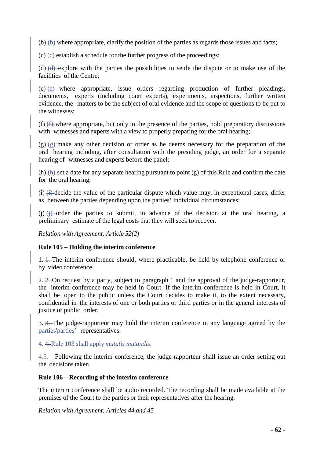(b) (b) where appropriate, clarify the position of the parties as regards those issues and facts;

(c)  $\left( \epsilon \right)$  establish a schedule for the further progress of the proceedings;

(d) (d) explore with the parties the possibilities to settle the dispute or to make use of the facilities of the Centre;

(e)  $(e)$  where appropriate, issue orders regarding production of further pleadings, documents, experts (including court experts), experiments, inspections, further written evidence, the matters to be the subject of oral evidence and the scope of questions to be put to the witnesses;

(f)  $(f)$  where appropriate, but only in the presence of the parties, hold preparatory discussions with witnesses and experts with a view to properly preparing for the oral hearing;

(g)  $(g)$  make any other decision or order as he deems necessary for the preparation of the oral hearing including, after consultation with the presiding judge, an order for a separate hearing of witnesses and experts before the panel;

(h)  $(h)$  set a date for any separate hearing pursuant to point (g) of this Rule and confirm the date for the oral hearing;

(i)  $\leftrightarrow$  decide the value of the particular dispute which value may, in exceptional cases, differ as between the parties depending upon the parties' individual circumstances;

(i)  $(i)$  order the parties to submit, in advance of the decision at the oral hearing, a preliminary estimate of the legal costs that they will seek to recover.

*Relation with Agreement: Article 52(2)*

# **Rule 105 – Holding the interim conference**

1. 1. The interim conference should, where practicable, be held by telephone conference or by video conference.

2. 2. On request by a party, subject to paragraph 1 and the approval of the judge-rapporteur, the interim conference may be held in Court. If the interim conference is held in Court, it shall be open to the public unless the Court decides to make it, to the extent necessary, confidential in the interests of one or both parties or third parties or in the general interests of justice or public order.

3. 3. The judge-rapporteur may hold the interim conference in any language agreed by the parties'parties' representatives.

# 4. 4. Rule 103 shall apply *mutatis mutandis*.

4.5. Following the interim conference, the judge-rapporteur shall issue an order setting out the decisions taken.

#### **Rule 106 – Recording of the interim conference**

The interim conference shall be audio recorded. The recording shall be made available at the premises of the Court to the parties or their representatives after the hearing.

*Relation with Agreement: Articles 44 and 45*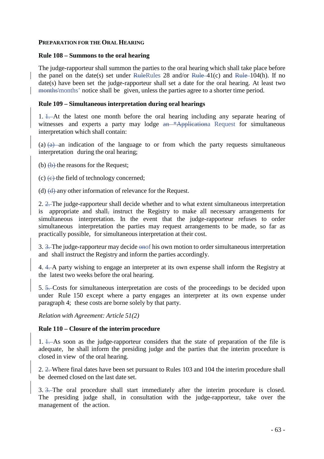#### **PREPARATION FOR THE ORAL HEARING**

### **Rule 108 – Summons to the oral hearing**

The judge-rapporteur shall summon the parties to the oral hearing which shall take place before the panel on the date(s) set under RuleRules 28 and/or Rule 41(c) and Rule 104(h). If no date(s) have been set the judge-rapporteur shall set a date for the oral hearing. At least two months'months' notice shall be given, unless the parties agree to a shorter time period.

### **Rule 109 – Simultaneous interpretation during oral hearings**

1. 1. At the latest one month before the oral hearing including any separate hearing of witnesses and experts a party may lodge an \*Applicationa Request for simultaneous interpretation which shall contain:

(a)  $\left(\frac{a}{a}\right)$  an indication of the language to or from which the party requests simultaneous interpretation during the oral hearing;

(b)  $\left\langle \phi \right\rangle$  the reasons for the Request;

(c)  $\left( e \right)$  the field of technology concerned;

(d)  $(d)$  any other information of relevance for the Request.

2. 2. The judge-rapporteur shall decide whether and to what extent simultaneous interpretation is appropriate and shall, instruct the Registry to make all necessary arrangements for simultaneous interpretation. In the event that the judge-rapporteur refuses to order simultaneous interpretation the parties may request arrangements to be made, so far as practically possible, for simultaneous interpretation at their cost.

3. 3. The judge-rapporteur may decide onof his own motion to order simultaneous interpretation and shall instruct the Registry and inform the parties accordingly.

4. 4. A party wishing to engage an interpreter at its own expense shall inform the Registry at the latest two weeks before the oral hearing.

5. 5. Costs for simultaneous interpretation are costs of the proceedings to be decided upon under Rule 150 except where a party engages an interpreter at its own expense under paragraph 4; these costs are borne solely by that party.

*Relation with Agreement: Article 51(2)*

# **Rule 110 – Closure of the interim procedure**

1. 1. As soon as the judge-rapporteur considers that the state of preparation of the file is adequate, he shall inform the presiding judge and the parties that the interim procedure is closed in view of the oral hearing.

2. 2. Where final dates have been set pursuant to Rules 103 and 104 the interim procedure shall be deemed closed on the last date set.

3. 3. The oral procedure shall start immediately after the interim procedure is closed. The presiding judge shall, in consultation with the judge-rapporteur, take over the management of the action.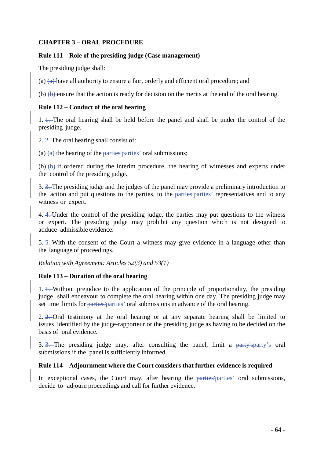# **CHAPTER 3 – ORAL PROCEDURE**

### **Rule 111 – Role of the presiding judge (Case management)**

The presiding judge shall:

(a) (a) have all authority to ensure a fair, orderly and efficient oral procedure; and

(b)  $(\theta)$  ensure that the action is ready for decision on the merits at the end of the oral hearing.

### **Rule 112 – Conduct of the oral hearing**

1. 1. The oral hearing shall be held before the panel and shall be under the control of the presiding judge.

2. 2. The oral hearing shall consist of:

(a)  $\left($ a) the hearing of the <del>parties'</del> parties' oral submissions;

(b)  $(b)$  if ordered during the interim procedure, the hearing of witnesses and experts under the control of the presiding judge.

3. 3. The presiding judge and the judges of the panel may provide a preliminary introduction to the action and put questions to the parties, to the <del>parties'</del>parties' representatives and to any witness or expert.

4. 4. Under the control of the presiding judge, the parties may put questions to the witness or expert. The presiding judge may prohibit any question which is not designed to adduce admissible evidence.

5. 5. With the consent of the Court a witness may give evidence in a language other than the language of proceedings.

*Relation with Agreement: Articles 52(3) and 53(1)*

#### **Rule 113 – Duration of the oral hearing**

1. 1. Without prejudice to the application of the principle of proportionality, the presiding judge shall endeavour to complete the oral hearing within one day. The presiding judge may set time limits for parties'parties' oral submissions in advance of the oral hearing.

2. 2. Oral testimony at the oral hearing or at any separate hearing shall be limited to issues identified by the judge-rapporteur or the presiding judge as having to be decided on the basis of oral evidence.

3. 3. The presiding judge may, after consulting the panel, limit a party'sparty's oral submissions if the panel is sufficiently informed.

#### **Rule 114 – Adjournment where the Court considers that further evidence is required**

In exceptional cases, the Court may, after hearing the parties' parties' oral submissions, decide to adjourn proceedings and call for further evidence.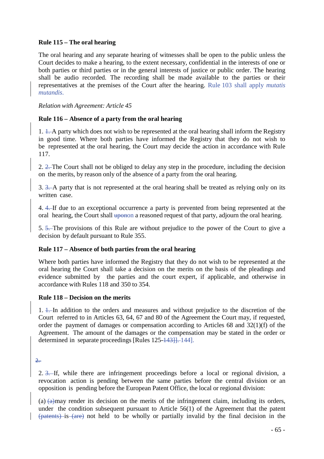# **Rule 115 – The oral hearing**

The oral hearing and any separate hearing of witnesses shall be open to the public unless the Court decides to make a hearing, to the extent necessary, confidential in the interests of one or both parties or third parties or in the general interests of justice or public order. The hearing shall be audio recorded. The recording shall be made available to the parties or their representatives at the premises of the Court after the hearing. Rule 103 shall apply *mutatis mutandis*.

*Relation with Agreement: Article 45*

# **Rule 116 – Absence of a party from the oral hearing**

1. 1. A party which does not wish to be represented at the oral hearing shall inform the Registry in good time. Where both parties have informed the Registry that they do not wish to be represented at the oral hearing, the Court may decide the action in accordance with Rule 117.

2. 2. The Court shall not be obliged to delay any step in the procedure, including the decision on the merits, by reason only of the absence of a party from the oral hearing.

3. 3. A party that is not represented at the oral hearing shall be treated as relying only on its written case.

4. 4. If due to an exceptional occurrence a party is prevented from being represented at the oral hearing, the Court shall uponon a reasoned request of that party, adjourn the oral hearing.

5. 5. The provisions of this Rule are without prejudice to the power of the Court to give a decision by default pursuant to Rule 355.

# **Rule 117 – Absence of both parties from the oral hearing**

Where both parties have informed the Registry that they do not wish to be represented at the oral hearing the Court shall take a decision on the merits on the basis of the pleadings and evidence submitted by the parties and the court expert, if applicable, and otherwise in accordance with Rules 118 and 350 to 354.

#### **Rule 118 – Decision on the merits**

1. 1. In addition to the orders and measures and without prejudice to the discretion of the Court referred to in Articles 63, 64, 67 and 80 of the Agreement the Court may, if requested, order the payment of damages or compensation according to Articles 68 and 32(1)(f) of the Agreement. The amount of the damages or the compensation may be stated in the order or determined in separate proceedings [Rules 125-143]]. 144].

2. 3. If, while there are infringement proceedings before a local or regional division, a revocation action is pending between the same parties before the central division or an opposition is pending before the European Patent Office, the local or regional division:

(a)  $(a)$  (a)may render its decision on the merits of the infringement claim, including its orders, under the condition subsequent pursuant to Article 56(1) of the Agreement that the patent (patents) is (are) not held to be wholly or partially invalid by the final decision in the

<sup>2.</sup>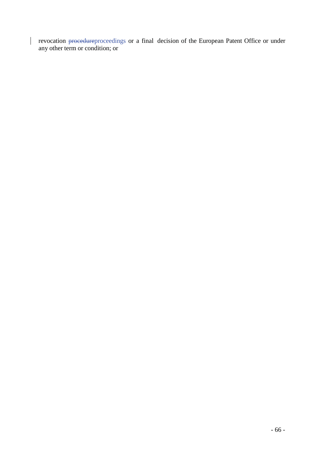revocation procedureproceedings or a final decision of the European Patent Office or under any other term or condition; or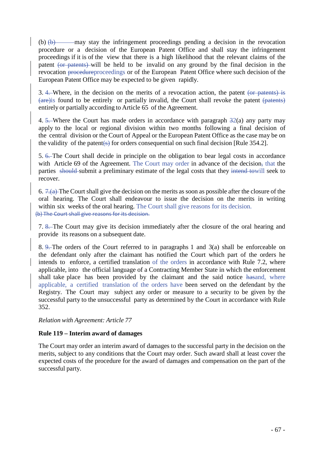(b)  $(b)$  may stay the infringement proceedings pending a decision in the revocation procedure or a decision of the European Patent Office and shall stay the infringement proceedings if it is of the view that there is a high likelihood that the relevant claims of the patent (or patents) will be held to be invalid on any ground by the final decision in the revocation procedureproceedings or of the European Patent Office where such decision of the European Patent Office may be expected to be given rapidly.

3. 4. Where, in the decision on the merits of a revocation action, the patent (or patents) is (are)is found to be entirely or partially invalid, the Court shall revoke the patent (patents) entirely or partially according to Article 65 of the Agreement.

4. 5. Where the Court has made orders in accordance with paragraph 32(a) any party may apply to the local or regional division within two months following a final decision of the central division or the Court of Appeal or the European Patent Office as the case may be on the validity of the patent(s) for orders consequential on such final decision [Rule 354.2].

5. 6. The Court shall decide in principle on the obligation to bear legal costs in accordance with Article 69 of the Agreement. The Court may order in advance of the decision, that the parties should submit a preliminary estimate of the legal costs that they intend towill seek to recover.

6.  $7\cdot(a)$ . The Court shall give the decision on the merits as soon as possible after the closure of the oral hearing. The Court shall endeavour to issue the decision on the merits in writing within six weeks of the oral hearing. The Court shall give reasons for its decision. (b) The Court shall give reasons for its decision.

7. 8. The Court may give its decision immediately after the closure of the oral hearing and provide its reasons on a subsequent date.

8. 9. The orders of the Court referred to in paragraphs 1 and 3(a) shall be enforceable on the defendant only after the claimant has notified the Court which part of the orders he intends to enforce, a certified translation of the orders in accordance with Rule 7.2, where applicable, into the official language of a Contracting Member State in which the enforcement shall take place has been provided by the claimant and the said notice hasand, where applicable, a certified translation of the orders have been served on the defendant by the Registry. The Court may subject any order or measure to a security to be given by the successful party to the unsuccessful party as determined by the Court in accordance with Rule 352.

*Relation with Agreement: Article 77*

# **Rule 119 – Interim award of damages**

The Court may order an interim award of damages to the successful party in the decision on the merits, subject to any conditions that the Court may order. Such award shall at least cover the expected costs of the procedure for the award of damages and compensation on the part of the successful party.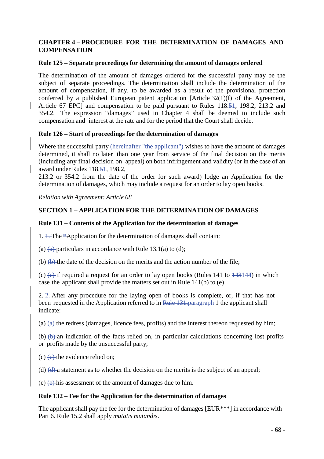# **CHAPTER 4 – PROCEDURE FOR THE DETERMINATION OF DAMAGES AND COMPENSATION**

### **Rule 125 – Separate proceedings for determining the amount of damages ordered**

The determination of the amount of damages ordered for the successful party may be the subject of separate proceedings. The determination shall include the determination of the amount of compensation, if any, to be awarded as a result of the provisional protection conferred by a published European patent application [Article 32(1)(f) of the Agreement, Article 67 EPC] and compensation to be paid pursuant to Rules 118.51, 198.2, 213.2 and 354.2. The expression "damages" used in Chapter 4 shall be deemed to include such compensation and interest at the rate and for the period that the Court shall decide.

### **Rule 126 – Start of proceedings for the determination of damages**

Where the successful party (hereinafter "the applicant") wishes to have the amount of damages determined, it shall no later than one year from service of the final decision on the merits (including any final decision on appeal) on both infringement and validity (or in the case of an award under Rules 118.51, 198.2,

213.2 or 354.2 from the date of the order for such award) lodge an Application for the determination of damages, which may include a request for an order to lay open books.

*Relation with Agreement: Article 68*

# **SECTION 1 – APPLICATION FOR THE DETERMINATION OF DAMAGES**

### **Rule 131 – Contents of the Application for the determination of damages**

1. 1. The \*Application for the determination of damages shall contain:

(a)  $\left( \frac{a}{b} \right)$  particulars in accordance with Rule 13.1(a) to (d);

(b)  $(b)$  the date of the decision on the merits and the action number of the file;

(c)  $\left(\text{e}\right)$  if required a request for an order to lay open books (Rules 141 to 143144) in which case the applicant shall provide the matters set out in Rule 141(b) to (e).

2. 2. After any procedure for the laying open of books is complete, or, if that has not been requested in the Application referred to in Rule 131. paragraph 1 the applicant shall indicate:

(a)  $(a)$  the redress (damages, licence fees, profits) and the interest thereon requested by him;

(b)  $(b)$  an indication of the facts relied on, in particular calculations concerning lost profits or profits made by the unsuccessful party;

- $(c)$  (e) the evidence relied on:
- (d)  $(d)$  a statement as to whether the decision on the merits is the subject of an appeal;

(e) (e) his assessment of the amount of damages due to him.

#### **Rule 132 – Fee for the Application for the determination of damages**

The applicant shall pay the fee for the determination of damages  $[EUR***]$  in accordance with Part 6. Rule 15.2 shall apply *mutatis mutandis*.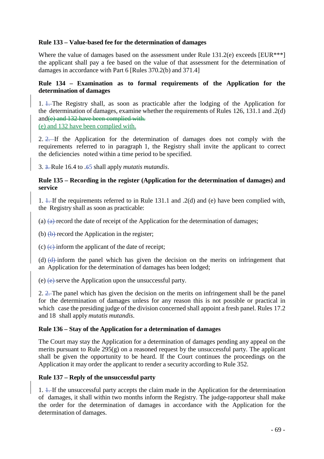### **Rule 133 – Value-based fee for the determination of damages**

Where the value of damages based on the assessment under Rule  $131.2(e)$  exceeds [EUR\*\*\*] the applicant shall pay a fee based on the value of that assessment for the determination of damages in accordance with Part 6 [Rules 370.2(b) and 371.4]

### **Rule 134 – Examination as to formal requirements of the Application for the determination of damages**

1. 1. The Registry shall, as soon as practicable after the lodging of the Application for the determination of damages, examine whether the requirements of Rules 126, 131.1 and .2(d) and(e) and 132 have been complied with. (e) and 132 have been complied with.

2. 2. If the Application for the determination of damages does not comply with the requirements referred to in paragraph 1, the Registry shall invite the applicant to correct the deficiencies noted within a time period to be specified.

3. 3. Rule 16.4 to .65 shall apply *mutatis mutandis*.

### **Rule 135 – Recording in the register (Application for the determination of damages) and service**

1. 1. If the requirements referred to in Rule 131.1 and .2(d) and (e) have been complied with, the Registry shall as soon as practicable:

(a)  $\left(\frac{a}{b}\right)$  record the date of receipt of the Application for the determination of damages;

(b)  $(b)$  record the Application in the register;

(c)  $(e)$  inform the applicant of the date of receipt;

(d)  $\left(\frac{d}{dt}\right)$ -inform the panel which has given the decision on the merits on infringement that an Application for the determination of damages has been lodged;

(e)  $(e)$  serve the Application upon the unsuccessful party.

2. 2. The panel which has given the decision on the merits on infringement shall be the panel for the determination of damages unless for any reason this is not possible or practical in which case the presiding judge of the division concerned shall appoint a fresh panel. Rules 17.2 and 18 shall apply *mutatis mutandis*.

#### **Rule 136 – Stay of the Application for a determination of damages**

The Court may stay the Application for a determination of damages pending any appeal on the merits pursuant to Rule 295(g) on a reasoned request by the unsuccessful party. The applicant shall be given the opportunity to be heard. If the Court continues the proceedings on the Application it may order the applicant to render a security according to Rule 352.

#### **Rule 137 – Reply of the unsuccessful party**

1. 1. If the unsuccessful party accepts the claim made in the Application for the determination of damages, it shall within two months inform the Registry. The judge-rapporteur shall make the order for the determination of damages in accordance with the Application for the determination of damages.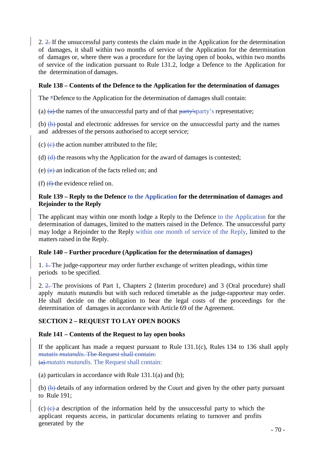2. 2. If the unsuccessful party contests the claim made in the Application for the determination of damages, it shall within two months of service of the Application for the determination of damages or, where there was a procedure for the laying open of books, within two months of service of the indication pursuant to Rule 131.2, lodge a Defence to the Application for the determination of damages.

# **Rule 138 – Contents of the Defence to the Application for the determination of damages**

The \*Defence to the Application for the determination of damages shall contain:

(a)  $\left( a \right)$  the names of the unsuccessful party and of that  $\frac{1}{2}$  party's representative;

(b)  $(b)$  postal and electronic addresses for service on the unsuccessful party and the names and addresses of the persons authorised to accept service;

(c)  $(e)$  the action number attributed to the file;

(d) (d) the reasons why the Application for the award of damages is contested;

 $(e)$   $(e)$  an indication of the facts relied on; and

(f)  $(f)$  the evidence relied on.

# **Rule 139 – Reply to the Defence to the Application for the determination of damages and Rejoinder to the Reply**

The applicant may within one month lodge a Reply to the Defence to the Application for the determination of damages, limited to the matters raised in the Defence. The unsuccessful party may lodge a Rejoinder to the Reply within one month of service of the Reply, limited to the matters raised in the Reply.

# **Rule 140 – Further procedure (Application for the determination of damages)**

1. 1. The judge-rapporteur may order further exchange of written pleadings, within time periods to be specified.

2. 2. The provisions of Part 1, Chapters 2 (Interim procedure) and 3 (Oral procedure) shall apply *mutatis mutandis* but with such reduced timetable as the judge-rapporteur may order. He shall decide on the obligation to bear the legal costs of the proceedings for the determination of damages in accordance with Article 69 of the Agreement.

# **SECTION 2 – REQUEST TO LAY OPEN BOOKS**

# **Rule 141 – Contents of the Request to lay open books**

If the applicant has made a request pursuant to Rule 131.1(c), Rules 134 to 136 shall apply *mutatis mutandis*. The Request shall contain: (a) *mutatis mutandis*. The Request shall contain:

(a) particulars in accordance with Rule 131.1(a) and (b);

(b) (b) details of any information ordered by the Court and given by the other party pursuant to Rule 191;

(c)  $\left(\epsilon\right)$  description of the information held by the unsuccessful party to which the applicant requests access, in particular documents relating to turnover and profits generated by the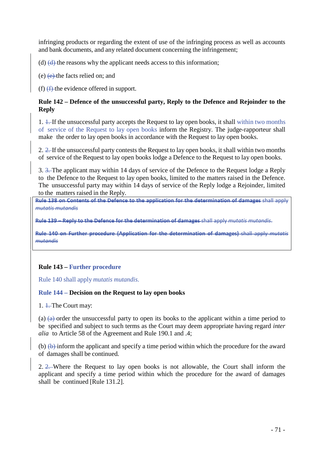infringing products or regarding the extent of use of the infringing process as well as accounts and bank documents, and any related document concerning the infringement;

(d)  $(d)$  the reasons why the applicant needs access to this information;

(e) (e) the facts relied on; and

(f)  $(f)$  the evidence offered in support.

# **Rule 142 – Defence of the unsuccessful party, Reply to the Defence and Rejoinder to the Reply**

1. 1. If the unsuccessful party accepts the Request to lay open books, it shall within two months of service of the Request to lay open books inform the Registry. The judge-rapporteur shall make the order to lay open books in accordance with the Request to lay open books.

2. 2. If the unsuccessful party contests the Request to lay open books, it shall within two months of service of the Request to lay open books lodge a Defence to the Request to lay open books.

3. 3. The applicant may within 14 days of service of the Defence to the Request lodge a Reply to the Defence to the Request to lay open books, limited to the matters raised in the Defence. The unsuccessful party may within 14 days of service of the Reply lodge a Rejoinder, limited to the matters raised in the Reply.

**Rule 138 on Contents of the Defence to the application for the determination of damages** shall apply *mutatis mutandis*

**Rule 139 – Reply to the Defence for the determination of damages** shall apply *mutatis mutandis*.

**Rule 140 on Further procedure (Application for the determination of damages)** shall apply *mutatis mutandis* 

# **Rule 143 – Further procedure**

Rule 140 shall apply *mutatis mutandis*.

# **Rule 144 – Decision on the Request to lay open books**

1. <del>1.</del> The Court may:

(a)  $\left(\frac{a}{b}\right)$  order the unsuccessful party to open its books to the applicant within a time period to be specified and subject to such terms as the Court may deem appropriate having regard *inter alia* to Article 58 of the Agreement and Rule 190.1 and .4;

(b)  $(b)$  inform the applicant and specify a time period within which the procedure for the award of damages shall be continued.

2. 2. Where the Request to lay open books is not allowable, the Court shall inform the applicant and specify a time period within which the procedure for the award of damages shall be continued [Rule 131.2].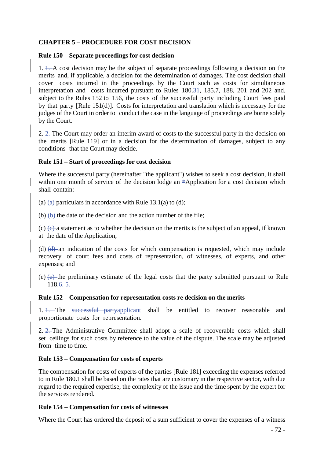# **CHAPTER 5 – PROCEDURE FOR COST DECISION**

### **Rule 150 – Separate proceedings for cost decision**

1. 1. A cost decision may be the subject of separate proceedings following a decision on the merits and, if applicable, a decision for the determination of damages. The cost decision shall cover costs incurred in the proceedings by the Court such as costs for simultaneous interpretation and costs incurred pursuant to Rules 180.31, 185.7, 188, 201 and 202 and, subject to the Rules 152 to 156, the costs of the successful party including Court fees paid by that party [Rule 151(d)]. Costs for interpretation and translation which is necessary for the judges of the Court in order to conduct the case in the language of proceedings are borne solely by the Court.

2. 2. The Court may order an interim award of costs to the successful party in the decision on the merits [Rule 119] or in a decision for the determination of damages, subject to any conditions that the Court may decide.

### **Rule 151 – Start of proceedings for cost decision**

Where the successful party (hereinafter "the applicant") wishes to seek a cost decision, it shall within one month of service of the decision lodge an \*Application for a cost decision which shall contain:

(a)  $\left(\frac{a}{b}\right)$  particulars in accordance with Rule 13.1(a) to (d);

(b)  $(b)$  the date of the decision and the action number of the file;

(c)  $\left(\epsilon\right)$  a statement as to whether the decision on the merits is the subject of an appeal, if known at the date of the Application;

(d)  $(d)$  an indication of the costs for which compensation is requested, which may include recovery of court fees and costs of representation, of witnesses, of experts, and other expenses; and

(e)  $(e)$  the preliminary estimate of the legal costs that the party submitted pursuant to Rule  $118.6 - 5.$ 

#### **Rule 152 – Compensation for representation costs re decision on the merits**

1. 1. The successful partyapplicant shall be entitled to recover reasonable and proportionate costs for representation.

2. 2. The Administrative Committee shall adopt a scale of recoverable costs which shall set ceilings for such costs by reference to the value of the dispute. The scale may be adjusted from time to time.

# **Rule 153 – Compensation for costs of experts**

The compensation for costs of experts of the parties [Rule 181] exceeding the expenses referred to in Rule 180.1 shall be based on the rates that are customary in the respective sector, with due regard to the required expertise, the complexity of the issue and the time spent by the expert for the services rendered.

#### **Rule 154 – Compensation for costs of witnesses**

Where the Court has ordered the deposit of a sum sufficient to cover the expenses of a witness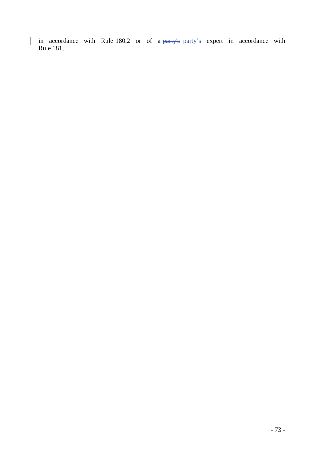in accordance with Rule 180.2 or of a party's party's expert in accordance with Rule 181,

 $\overline{1}$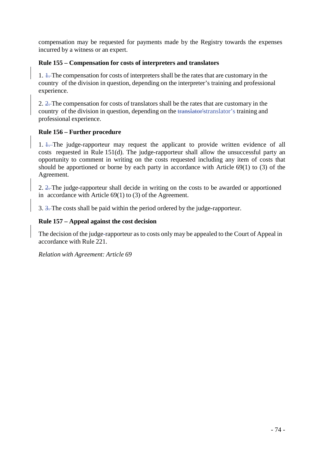compensation may be requested for payments made by the Registry towards the expenses incurred by a witness or an expert.

# **Rule 155 – Compensation for costs of interpreters and translators**

1. 1. The compensation for costs of interpreters shall be the rates that are customary in the country of the division in question, depending on the interpreter's training and professional experience.

2. 2. The compensation for costs of translators shall be the rates that are customary in the country of the division in question, depending on the translator'stranslator's training and professional experience.

# **Rule 156 – Further procedure**

1. 1. The judge-rapporteur may request the applicant to provide written evidence of all costs requested in Rule 151(d). The judge-rapporteur shall allow the unsuccessful party an opportunity to comment in writing on the costs requested including any item of costs that should be apportioned or borne by each party in accordance with Article 69(1) to (3) of the Agreement.

2. 2. The judge-rapporteur shall decide in writing on the costs to be awarded or apportioned in accordance with Article 69(1) to (3) of the Agreement.

3. 3. The costs shall be paid within the period ordered by the judge-rapporteur.

# **Rule 157 – Appeal against the cost decision**

The decision of the judge-rapporteur as to costs only may be appealed to the Court of Appeal in accordance with Rule 221.

*Relation with Agreement: Article 69*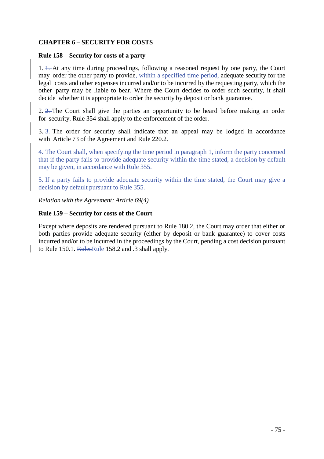# **CHAPTER 6 – SECURITY FOR COSTS**

### **Rule 158 – Security for costs of a party**

1. 1. At any time during proceedings, following a reasoned request by one party, the Court may order the other party to provide, within a specified time period, adequate security for the legal costs and other expenses incurred and/or to be incurred by the requesting party, which the other party may be liable to bear. Where the Court decides to order such security, it shall decide whether it is appropriate to order the security by deposit or bank guarantee.

2. 2. The Court shall give the parties an opportunity to be heard before making an order for security. Rule 354 shall apply to the enforcement of the order.

3. 3. The order for security shall indicate that an appeal may be lodged in accordance with Article 73 of the Agreement and Rule 220.2.

4. The Court shall, when specifying the time period in paragraph 1, inform the party concerned that if the party fails to provide adequate security within the time stated, a decision by default may be given, in accordance with Rule 355.

5. If a party fails to provide adequate security within the time stated, the Court may give a decision by default pursuant to Rule 355.

*Relation with the Agreement: Article 69(4)*

### **Rule 159 – Security for costs of the Court**

Except where deposits are rendered pursuant to Rule 180.2, the Court may order that either or both parties provide adequate security (either by deposit or bank guarantee) to cover costs incurred and/or to be incurred in the proceedings by the Court, pending a cost decision pursuant to Rule 150.1. RulesRule 158.2 and .3 shall apply.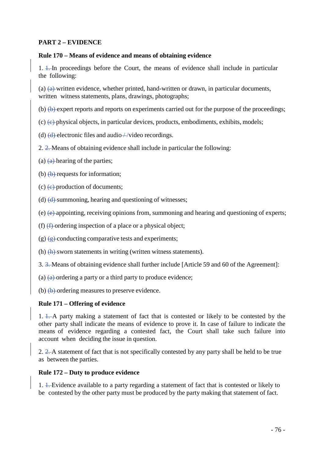# **PART 2 – EVIDENCE**

# **Rule 170 – Means of evidence and means of obtaining evidence**

1. 1. In proceedings before the Court, the means of evidence shall include in particular the following:

(a)  $\left(\frac{a}{b}\right)$  written evidence, whether printed, hand-written or drawn, in particular documents, written witness statements, plans, drawings, photographs;

- (b) (b) expert reports and reports on experiments carried out for the purpose of the proceedings;
- (c)  $\left(\epsilon\right)$  physical objects, in particular devices, products, embodiments, exhibits, models;
- (d)  $\left(\frac{d}{d}\right)$  electronic files and audio  $\frac{d}{d}$  /video recordings.
- 2. 2. Means of obtaining evidence shall include in particular the following:
- (a)  $\left( a \right)$  hearing of the parties;
- (b)  $\left\langle \phi \right\rangle$ -requests for information;
- (c)  $\left( \frac{e}{e} \right)$ -production of documents;
- (d)  $(d)$  summoning, hearing and questioning of witnesses;
- (e)  $\left( e \right)$  (e)-appointing, receiving opinions from, summoning and hearing and questioning of experts;
- (f)  $(f)$  ordering inspection of a place or a physical object;
- (g)  $(g)$  conducting comparative tests and experiments;
- (h)  $\left\langle \frac{h}{h} \right\rangle$  sworn statements in writing (written witness statements).
- 3. 3. Means of obtaining evidence shall further include [Article 59 and 60 of the Agreement]:
- (a)  $\left( a \right)$  ordering a party or a third party to produce evidence;
- (b)  $(b)$  ordering measures to preserve evidence.

# **Rule 171 – Offering of evidence**

1. 1. A party making a statement of fact that is contested or likely to be contested by the other party shall indicate the means of evidence to prove it. In case of failure to indicate the means of evidence regarding a contested fact, the Court shall take such failure into account when deciding the issue in question.

2. 2. A statement of fact that is not specifically contested by any party shall be held to be true as between the parties.

# **Rule 172 – Duty to produce evidence**

1. 1. Evidence available to a party regarding a statement of fact that is contested or likely to be contested by the other party must be produced by the party making that statement of fact.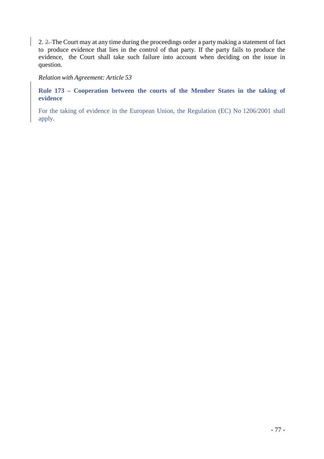2. 2. The Court may at any time during the proceedings order a party making a statement of fact to produce evidence that lies in the control of that party. If the party fails to produce the evidence, the Court shall take such failure into account when deciding on the issue in question.

### *Relation with Agreement: Article 53*

**Rule 173 – Cooperation between the courts of the Member States in the taking of evidence**

For the taking of evidence in the European Union, the Regulation (EC) No 1206/2001 shall apply.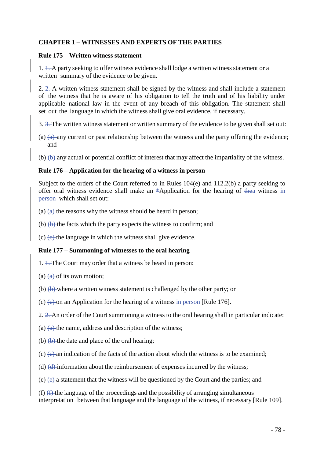# **CHAPTER 1 – WITNESSES AND EXPERTS OF THE PARTIES**

### **Rule 175 – Written witness statement**

1. 1. A party seeking to offer witness evidence shall lodge a written witness statement or a written summary of the evidence to be given.

2. 2. A written witness statement shall be signed by the witness and shall include a statement of the witness that he is aware of his obligation to tell the truth and of his liability under applicable national law in the event of any breach of this obligation. The statement shall set out the language in which the witness shall give oral evidence, if necessary.

- 3. 3. The written witness statement or written summary of the evidence to be given shall set out:
- (a)  $(a)$  any current or past relationship between the witness and the party offering the evidence; and
- (b)  $(b)$  any actual or potential conflict of interest that may affect the impartiality of the witness.

### **Rule 176 – Application for the hearing of a witness in person**

Subject to the orders of the Court referred to in Rules  $104(e)$  and  $112.2(b)$  a party seeking to offer oral witness evidence shall make an \*Application for the hearing of thea witness in person which shall set out:

- (a)  $\left(\frac{a}{b}\right)$  the reasons why the witness should be heard in person;
- (b)  $\left(\frac{b}{c}\right)$  the facts which the party expects the witness to confirm; and
- (c)  $\left( e \right)$  the language in which the witness shall give evidence.

# **Rule 177 – Summoning of witnesses to the oral hearing**

- 1. 1. The Court may order that a witness be heard in person:
- (a)  $\left( a \right)$  of its own motion;
- (b) (b) where a written witness statement is challenged by the other party; or
- (c)  $\left(\frac{c}{c}\right)$  on an Application for the hearing of a witness in person [Rule 176].
- 2. 2. An order of the Court summoning a witness to the oral hearing shall in particular indicate:
- (a)  $\left(\frac{a}{b}\right)$  the name, address and description of the witness;
- (b)  $\left(\frac{b}{c}\right)$  the date and place of the oral hearing;
- (c)  $\left(\epsilon\right)$  an indication of the facts of the action about which the witness is to be examined;
- (d)  $\left(\frac{d}{dt}\right)$ -information about the reimbursement of expenses incurred by the witness;
- (e)  $\left(\text{e}\right)$  a statement that the witness will be questioned by the Court and the parties; and

(f)  $(f)$  the language of the proceedings and the possibility of arranging simultaneous interpretation between that language and the language of the witness, if necessary [Rule 109].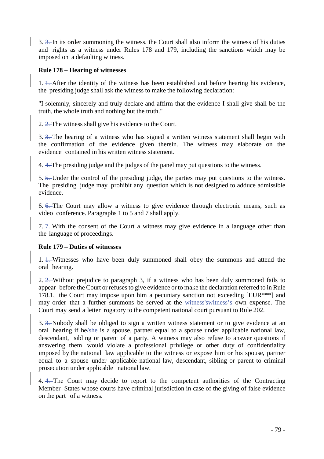3. 3. In its order summoning the witness, the Court shall also inform the witness of his duties and rights as a witness under Rules 178 and 179, including the sanctions which may be imposed on a defaulting witness.

### **Rule 178 – Hearing of witnesses**

1. 1. After the identity of the witness has been established and before hearing his evidence, the presiding judge shall ask the witness to make the following declaration:

"I solemnly, sincerely and truly declare and affirm that the evidence I shall give shall be the truth, the whole truth and nothing but the truth."

2. 2. The witness shall give his evidence to the Court.

3. 3. The hearing of a witness who has signed a written witness statement shall begin with the confirmation of the evidence given therein. The witness may elaborate on the evidence contained in his written witness statement.

4. 4. The presiding judge and the judges of the panel may put questions to the witness.

5. 5. Under the control of the presiding judge, the parties may put questions to the witness. The presiding judge may prohibit any question which is not designed to adduce admissible evidence.

6. 6. The Court may allow a witness to give evidence through electronic means, such as video conference. Paragraphs 1 to 5 and 7 shall apply.

7. 7. With the consent of the Court a witness may give evidence in a language other than the language of proceedings.

#### **Rule 179 – Duties of witnesses**

1. 1. Witnesses who have been duly summoned shall obey the summons and attend the oral hearing.

2. 2. Without prejudice to paragraph 3, if a witness who has been duly summoned fails to appear before the Court or refuses to give evidence or to make the declaration referred to in Rule 178.1, the Court may impose upon him a pecuniary sanction not exceeding [EUR\*\*\*] and may order that a further summons be served at the witness'switness's own expense. The Court may send a letter rogatory to the competent national court pursuant to Rule 202.

3. 3. Nobody shall be obliged to sign a written witness statement or to give evidence at an oral hearing if he/she is a spouse, partner equal to a spouse under applicable national law, descendant, sibling or parent of a party. A witness may also refuse to answer questions if answering them would violate a professional privilege or other duty of confidentiality imposed by the national law applicable to the witness or expose him or his spouse, partner equal to a spouse under applicable national law, descendant, sibling or parent to criminal prosecution under applicable national law.

4. 4. The Court may decide to report to the competent authorities of the Contracting Member States whose courts have criminal jurisdiction in case of the giving of false evidence on the part of a witness.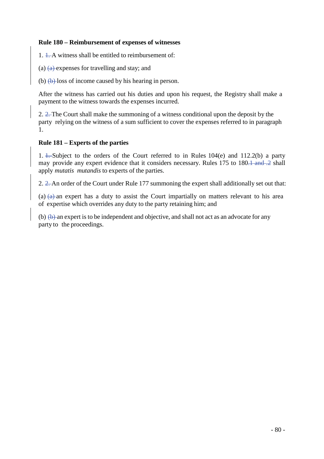# **Rule 180 – Reimbursement of expenses of witnesses**

1. 1. A witness shall be entitled to reimbursement of:

- (a)  $\left(\frac{a}{b}\right)$  expenses for travelling and stay; and
- (b) (b) loss of income caused by his hearing in person.

After the witness has carried out his duties and upon his request, the Registry shall make a payment to the witness towards the expenses incurred.

2. 2. The Court shall make the summoning of a witness conditional upon the deposit by the party relying on the witness of a sum sufficient to cover the expenses referred to in paragraph 1.

# **Rule 181 – Experts of the parties**

1. 1. Subject to the orders of the Court referred to in Rules 104(e) and 112.2(b) a party may provide any expert evidence that it considers necessary. Rules 175 to 180.1 and .2 shall apply *mutatis mutandis* to experts of the parties.

2. 2. An order of the Court under Rule 177 summoning the expert shall additionally set out that:

(a)  $(a)$  an expert has a duty to assist the Court impartially on matters relevant to his area of expertise which overrides any duty to the party retaining him; and

(b)  $(b)$  an expert is to be independent and objective, and shall not act as an advocate for any party to the proceedings.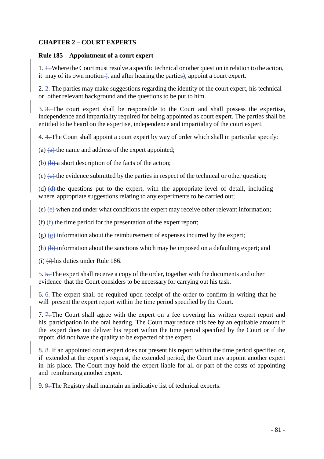# **CHAPTER 2 – COURT EXPERTS**

### **Rule 185 – Appointment of a court expert**

1. 1. Where the Court must resolve a specific technical or other question in relation to the action, it may of its own motion –  $\epsilon$ , and after hearing the parties), appoint a court expert.

2. 2. The parties may make suggestions regarding the identity of the court expert, his technical or other relevant background and the questions to be put to him.

3. 3. The court expert shall be responsible to the Court and shall possess the expertise, independence and impartiality required for being appointed as court expert. The parties shall be entitled to be heard on the expertise, independence and impartiality of the court expert.

4. 4. The Court shall appoint a court expert by way of order which shall in particular specify:

(a)  $\left(\frac{a}{b}\right)$  the name and address of the expert appointed;

(b)  $(b)$  a short description of the facts of the action;

(c)  $\left( \frac{c}{c} \right)$  the evidence submitted by the parties in respect of the technical or other question;

(d)  $(d)$  the questions put to the expert, with the appropriate level of detail, including where appropriate suggestions relating to any experiments to be carried out;

(e)  $(e)$  when and under what conditions the expert may receive other relevant information;

(f)  $(f)$  the time period for the presentation of the expert report;

(g)  $\left(\frac{g}{g}\right)$  information about the reimbursement of expenses incurred by the expert;

(h)  $\left(\frac{h}{h}\right)$  information about the sanctions which may be imposed on a defaulting expert; and

(i)  $\leftrightarrow$  his duties under Rule 186.

5. 5. The expert shall receive a copy of the order, together with the documents and other evidence that the Court considers to be necessary for carrying out his task.

6. 6. The expert shall be required upon receipt of the order to confirm in writing that he will present the expert report within the time period specified by the Court.

7. 7. The Court shall agree with the expert on a fee covering his written expert report and his participation in the oral hearing. The Court may reduce this fee by an equitable amount if the expert does not deliver his report within the time period specified by the Court or if the report did not have the quality to be expected of the expert.

8. 8. If an appointed court expert does not present his report within the time period specified or, if extended at the expert's request, the extended period, the Court may appoint another expert in his place. The Court may hold the expert liable for all or part of the costs of appointing and reimbursing another expert.

9. 9. The Registry shall maintain an indicative list of technical experts.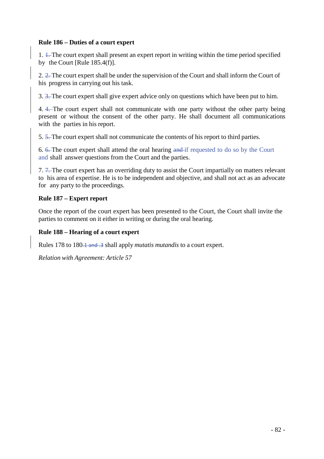# **Rule 186 – Duties of a court expert**

1. 1. The court expert shall present an expert report in writing within the time period specified by the Court [Rule 185.4(f)].

2. 2. The court expert shall be under the supervision of the Court and shall inform the Court of his progress in carrying out his task.

3. 3. The court expert shall give expert advice only on questions which have been put to him.

4. 4. The court expert shall not communicate with one party without the other party being present or without the consent of the other party. He shall document all communications with the parties in his report.

5. 5. The court expert shall not communicate the contents of his report to third parties.

6. 6. The court expert shall attend the oral hearing and if requested to do so by the Court and shall answer questions from the Court and the parties.

7. 7. The court expert has an overriding duty to assist the Court impartially on matters relevant to his area of expertise. He is to be independent and objective, and shall not act as an advocate for any party to the proceedings.

### **Rule 187 – Expert report**

Once the report of the court expert has been presented to the Court, the Court shall invite the parties to comment on it either in writing or during the oral hearing.

### **Rule 188 – Hearing of a court expert**

Rules 178 to 180.4 and .3 shall apply *mutatis mutandis* to a court expert.

*Relation with Agreement: Article 57*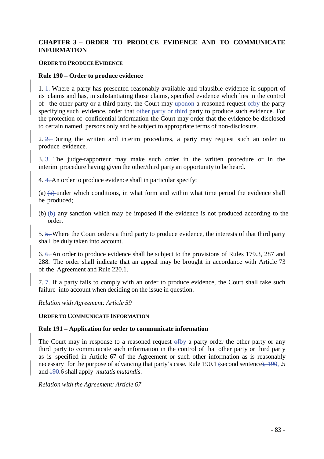# **CHAPTER 3 – ORDER TO PRODUCE EVIDENCE AND TO COMMUNICATE INFORMATION**

#### **ORDER TO PRODUCE EVIDENCE**

### **Rule 190 – Order to produce evidence**

1. 1. Where a party has presented reasonably available and plausible evidence in support of its claims and has, in substantiating those claims, specified evidence which lies in the control of the other party or a third party, the Court may uponon a reasoned request of by the party specifying such evidence, order that other party or third party to produce such evidence. For the protection of confidential information the Court may order that the evidence be disclosed to certain named persons only and be subject to appropriate terms of non-disclosure.

2. 2. During the written and interim procedures, a party may request such an order to produce evidence.

3. 3. The judge-rapporteur may make such order in the written procedure or in the interim procedure having given the other/third party an opportunity to be heard.

4. 4. An order to produce evidence shall in particular specify:

(a)  $\left(\frac{a}{a}\right)$  under which conditions, in what form and within what time period the evidence shall be produced;

(b)  $(b)$  any sanction which may be imposed if the evidence is not produced according to the order.

5. 5. Where the Court orders a third party to produce evidence, the interests of that third party shall be duly taken into account.

6. 6. An order to produce evidence shall be subject to the provisions of Rules 179.3, 287 and 288. The order shall indicate that an appeal may be brought in accordance with Article 73 of the Agreement and Rule 220.1.

7. 7. If a party fails to comply with an order to produce evidence, the Court shall take such failure into account when deciding on the issue in question.

*Relation with Agreement: Article 59*

#### **ORDER TO COMMUNICATE INFORMATION**

#### **Rule 191 – Application for order to communicate information**

The Court may in response to a reasoned request  $\partial f$  a party order the other party or any third party to communicate such information in the control of that other party or third party as is specified in Article 67 of the Agreement or such other information as is reasonably necessary for the purpose of advancing that party's case. Rule 190.1 (second sentence), 190, .5 and 190.6 shall apply *mutatis mutandis*.

*Relation with the Agreement: Article 67*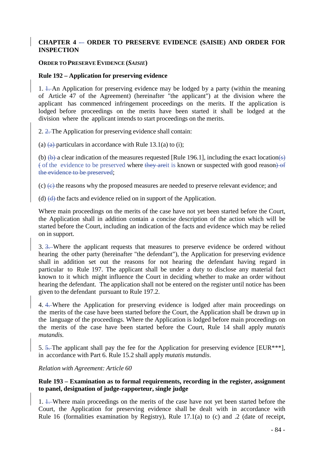# **CHAPTER 4 -– ORDER TO PRESERVE EVIDENCE (SAISIE) AND ORDER FOR INSPECTION**

### **ORDER TO PRESERVE EVIDENCE (***SAISIE***)**

### **Rule 192 – Application for preserving evidence**

1. 1. An Application for preserving evidence may be lodged by a party (within the meaning of Article 47 of the Agreement) (hereinafter "the applicant") at the division where the applicant has commenced infringement proceedings on the merits. If the application is lodged before proceedings on the merits have been started it shall be lodged at the division where the applicant intends to start proceedings on the merits.

2. 2. The Application for preserving evidence shall contain:

(a)  $\left(\frac{a}{b}\right)$  particulars in accordance with Rule 13.1(a) to (i);

(b)  $(\frac{b}{c})$  a clear indication of the measures requested [Rule 196.1], including the exact location(s)  $\epsilon$  of the evidence to be preserved where they areit is known or suspected with good reason  $\epsilon$ the evidence to be preserved;

 $(c)$  (e) the reasons why the proposed measures are needed to preserve relevant evidence; and

(d) (d) the facts and evidence relied on in support of the Application.

Where main proceedings on the merits of the case have not yet been started before the Court, the Application shall in addition contain a concise description of the action which will be started before the Court, including an indication of the facts and evidence which may be relied on in support.

3. 3. Where the applicant requests that measures to preserve evidence be ordered without hearing the other party (hereinafter "the defendant"), the Application for preserving evidence shall in addition set out the reasons for not hearing the defendant having regard in particular to Rule 197. The applicant shall be under a duty to disclose any material fact known to it which might influence the Court in deciding whether to make an order without hearing the defendant. The application shall not be entered on the register until notice has been given to the defendant pursuant to Rule 197.2.

4. 4. Where the Application for preserving evidence is lodged after main proceedings on the merits of the case have been started before the Court, the Application shall be drawn up in the language of the proceedings. Where the Application is lodged before main proceedings on the merits of the case have been started before the Court, Rule 14 shall apply *mutatis mutandis.*

5. 5. The applicant shall pay the fee for the Application for preserving evidence [EUR\*\*\*], in accordance with Part 6. Rule 15.2 shall apply *mutatis mutandis*.

*Relation with Agreement: Article 60*

### **Rule 193 – Examination as to formal requirements, recording in the register, assignment to panel, designation of judge-rapporteur, single judge**

1. 1. Where main proceedings on the merits of the case have not yet been started before the Court, the Application for preserving evidence shall be dealt with in accordance with Rule 16 (formalities examination by Registry), Rule 17.1(a) to (c) and .2 (date of receipt,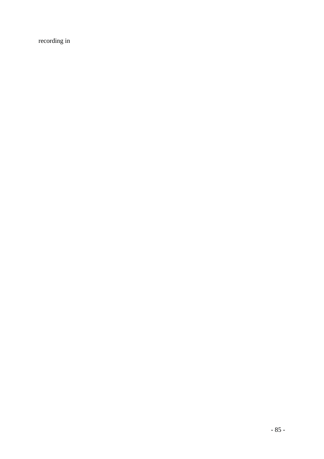recording in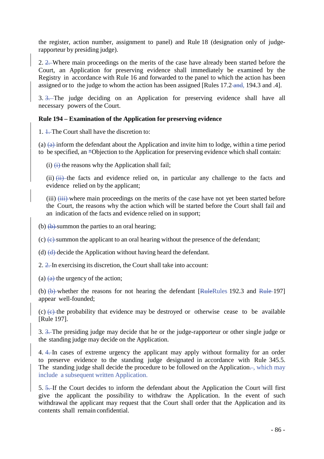the register, action number, assignment to panel) and Rule 18 (designation only of judgerapporteur by presiding judge).

2. 2. Where main proceedings on the merits of the case have already been started before the Court, an Application for preserving evidence shall immediately be examined by the Registry in accordance with Rule 16 and forwarded to the panel to which the action has been assigned or to the judge to whom the action has been assigned [Rules 17.2 and, 194.3 and .4].

3. 3. The judge deciding on an Application for preserving evidence shall have all necessary powers of the Court.

## **Rule 194 – Examination of the Application for preserving evidence**

1. 1. The Court shall have the discretion to:

(a)  $\left(\frac{a}{b}\right)$  inform the defendant about the Application and invite him to lodge, within a time period to be specified, an \*Objection to the Application for preserving evidence which shall contain:

(i)  $\overline{t}$  the reasons why the Application shall fail;

(ii)  $(ii)$  the facts and evidence relied on, in particular any challenge to the facts and evidence relied on by the applicant;

 $(iii)$   $(iii)$  where main proceedings on the merits of the case have not yet been started before the Court, the reasons why the action which will be started before the Court shall fail and an indication of the facts and evidence relied on in support;

(b)  $\left(\frac{b}{c}\right)$ -summon the parties to an oral hearing;

(c)  $\left(\epsilon\right)$ -summon the applicant to an oral hearing without the presence of the defendant;

(d)  $\left(\frac{d}{dx}\right)$  decide the Application without having heard the defendant.

2. 2. In exercising its discretion, the Court shall take into account:

(a)  $\left( \frac{a}{b} \right)$  the urgency of the action;

(b) (b) whether the reasons for not hearing the defendant [RuleRules 192.3 and Rule 197] appear well-founded;

(c)  $\left(\frac{c}{c}\right)$  the probability that evidence may be destroyed or otherwise cease to be available [Rule 197].

3. 3. The presiding judge may decide that he or the judge-rapporteur or other single judge or the standing judge may decide on the Application.

4. 4. In cases of extreme urgency the applicant may apply without formality for an order to preserve evidence to the standing judge designated in accordance with Rule 345.5. The standing judge shall decide the procedure to be followed on the Application-, which may include a subsequent written Application.

5. 5. If the Court decides to inform the defendant about the Application the Court will first give the applicant the possibility to withdraw the Application. In the event of such withdrawal the applicant may request that the Court shall order that the Application and its contents shall remain confidential.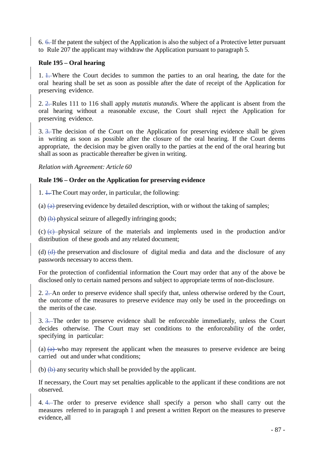6. 6. If the patent the subject of the Application is also the subject of a Protective letter pursuant to Rule 207 the applicant may withdraw the Application pursuant to paragraph 5.

## **Rule 195 – Oral hearing**

1. 1. Where the Court decides to summon the parties to an oral hearing, the date for the oral hearing shall be set as soon as possible after the date of receipt of the Application for preserving evidence.

2. 2. Rules 111 to 116 shall apply *mutatis mutandis*. Where the applicant is absent from the oral hearing without a reasonable excuse, the Court shall reject the Application for preserving evidence.

3. 3. The decision of the Court on the Application for preserving evidence shall be given in writing as soon as possible after the closure of the oral hearing. If the Court deems appropriate, the decision may be given orally to the parties at the end of the oral hearing but shall as soon as practicable thereafter be given in writing.

### *Relation with Agreement: Article 60*

## **Rule 196 – Order on the Application for preserving evidence**

1. 1. The Court may order, in particular, the following:

(a)  $(a)$  preserving evidence by detailed description, with or without the taking of samples;

(b)  $(b)$  physical seizure of allegedly infringing goods;

(c)  $(e)$  physical seizure of the materials and implements used in the production and/or distribution of these goods and any related document;

(d) (d) the preservation and disclosure of digital media and data and the disclosure of any passwords necessary to access them.

For the protection of confidential information the Court may order that any of the above be disclosed only to certain named persons and subject to appropriate terms of non-disclosure.

2. 2. An order to preserve evidence shall specify that, unless otherwise ordered by the Court, the outcome of the measures to preserve evidence may only be used in the proceedings on the merits of the case.

3. 3. The order to preserve evidence shall be enforceable immediately, unless the Court decides otherwise. The Court may set conditions to the enforceability of the order, specifying in particular:

(a)  $(a)$  who may represent the applicant when the measures to preserve evidence are being carried out and under what conditions;

(b)  $(b)$  any security which shall be provided by the applicant.

If necessary, the Court may set penalties applicable to the applicant if these conditions are not observed.

4. 4. The order to preserve evidence shall specify a person who shall carry out the measures referred to in paragraph 1 and present a written Report on the measures to preserve evidence, all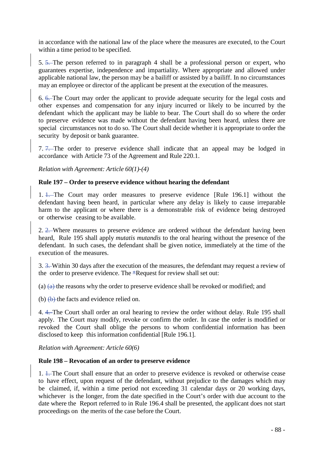in accordance with the national law of the place where the measures are executed, to the Court within a time period to be specified.

5. 5. The person referred to in paragraph 4 shall be a professional person or expert, who guarantees expertise, independence and impartiality. Where appropriate and allowed under applicable national law, the person may be a bailiff or assisted by a bailiff. In no circumstances may an employee or director of the applicant be present at the execution of the measures.

6. 6. The Court may order the applicant to provide adequate security for the legal costs and other expenses and compensation for any injury incurred or likely to be incurred by the defendant which the applicant may be liable to bear. The Court shall do so where the order to preserve evidence was made without the defendant having been heard, unless there are special circumstances not to do so. The Court shall decide whether it is appropriate to order the security by deposit or bank guarantee.

7. 7. The order to preserve evidence shall indicate that an appeal may be lodged in accordance with Article 73 of the Agreement and Rule 220.1.

*Relation with Agreement: Article 60(1)-(4)*

### **Rule 197 – Order to preserve evidence without hearing the defendant**

1. 1. The Court may order measures to preserve evidence [Rule 196.1] without the defendant having been heard, in particular where any delay is likely to cause irreparable harm to the applicant or where there is a demonstrable risk of evidence being destroyed or otherwise ceasing to be available.

2. 2. Where measures to preserve evidence are ordered without the defendant having been heard, Rule 195 shall apply *mutatis mutandis* to the oral hearing without the presence of the defendant. In such cases, the defendant shall be given notice, immediately at the time of the execution of the measures.

3. 3. Within 30 days after the execution of the measures, the defendant may request a review of the order to preserve evidence. The \*Request for review shall set out:

(a)  $\left(\frac{a}{b}\right)$  the reasons why the order to preserve evidence shall be revoked or modified; and

(b)  $\left\langle \phi \right\rangle$  the facts and evidence relied on.

4. 4. The Court shall order an oral hearing to review the order without delay. Rule 195 shall apply. The Court may modify, revoke or confirm the order. In case the order is modified or revoked the Court shall oblige the persons to whom confidential information has been disclosed to keep this information confidential [Rule 196.1].

*Relation with Agreement: Article 60(6)*

#### **Rule 198 – Revocation of an order to preserve evidence**

1. 1. The Court shall ensure that an order to preserve evidence is revoked or otherwise cease to have effect, upon request of the defendant, without prejudice to the damages which may be claimed, if, within a time period not exceeding 31 calendar days or 20 working days, whichever is the longer, from the date specified in the Court's order with due account to the date where the Report referred to in Rule 196.4 shall be presented, the applicant does not start proceedings on the merits of the case before the Court.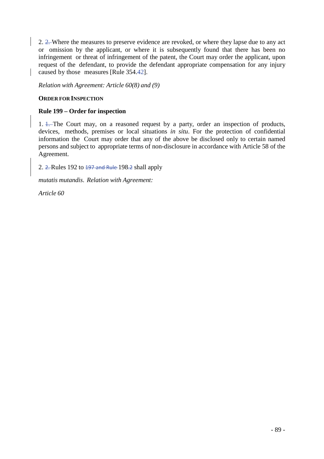2. 2. Where the measures to preserve evidence are revoked, or where they lapse due to any act or omission by the applicant, or where it is subsequently found that there has been no infringement or threat of infringement of the patent, the Court may order the applicant, upon request of the defendant, to provide the defendant appropriate compensation for any injury caused by those measures [Rule 354.42].

*Relation with Agreement: Article 60(8) and (9)*

#### **ORDER FOR INSPECTION**

## **Rule 199 – Order for inspection**

1. 1. The Court may, on a reasoned request by a party, order an inspection of products, devices, methods, premises or local situations *in situ*. For the protection of confidential information the Court may order that any of the above be disclosed only to certain named persons and subject to appropriate terms of non-disclosure in accordance with Article 58 of the Agreement.

2. 2. Rules 192 to 197 and Rule 198.2 shall apply

*mutatis mutandis*. *Relation with Agreement:*

*Article 60*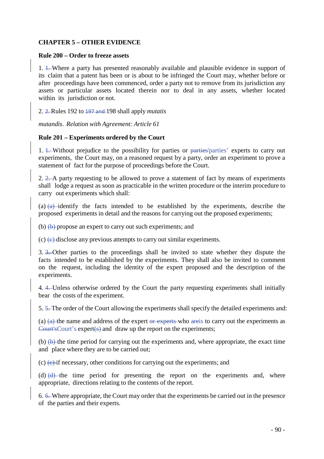## **CHAPTER 5 – OTHER EVIDENCE**

#### **Rule 200 – Order to freeze assets**

1. 1. Where a party has presented reasonably available and plausible evidence in support of its claim that a patent has been or is about to be infringed the Court may, whether before or after proceedings have been commenced, order a party not to remove from its jurisdiction any assets or particular assets located therein nor to deal in any assets, whether located within its jurisdiction or not.

2. 2. Rules 192 to 197 and 198 shall apply *mutatis*

*mutandis. Relation with Agreement: Article 61*

## **Rule 201 – Experiments ordered by the Court**

1. 1. Without prejudice to the possibility for parties or parties' parties' experts to carry out experiments, the Court may, on a reasoned request by a party, order an experiment to prove a statement of fact for the purpose of proceedings before the Court.

2. 2. A party requesting to be allowed to prove a statement of fact by means of experiments shall lodge a request as soon as practicable in the written procedure or the interim procedure to carry out experiments which shall:

(a)  $(a)$  identify the facts intended to be established by the experiments, describe the proposed experiments in detail and the reasons for carrying out the proposed experiments;

(b)  $(b)$  propose an expert to carry out such experiments; and

(c)  $\left(\epsilon\right)$  disclose any previous attempts to carry out similar experiments.

3. 3. Other parties to the proceedings shall be invited to state whether they dispute the facts intended to be established by the experiments. They shall also be invited to comment on the request, including the identity of the expert proposed and the description of the experiments.

4. 4. Unless otherwise ordered by the Court the party requesting experiments shall initially bear the costs of the experiment.

5. 5. The order of the Court allowing the experiments shall specify the detailed experiments and:

(a)  $\left(\frac{a}{b}\right)$  the name and address of the expert or experts who are is to carry out the experiments as Court'sCourt's expert(s) and draw up the report on the experiments;

(b)  $(b)$  the time period for carrying out the experiments and, where appropriate, the exact time and place where they are to be carried out;

(c)  $\left(\epsilon\right)$  if necessary, other conditions for carrying out the experiments; and

(d)  $(d)$  the time period for presenting the report on the experiments and, where appropriate, directions relating to the contents of the report.

6. 6. Where appropriate, the Court may order that the experiments be carried out in the presence of the parties and their experts.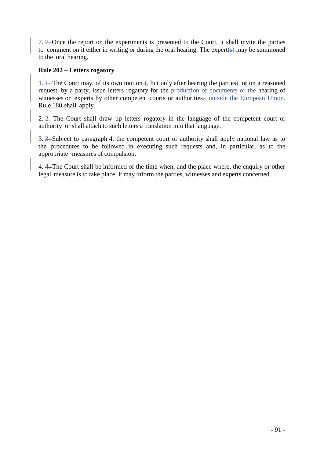7. 7. Once the report on the experiments is presented to the Court, it shall invite the parties to comment on it either in writing or during the oral hearing. The expert $(s)$  may be summoned to the oral hearing.

### **Rule 202 – Letters rogatory**

1. 4. The Court may, of its own motion (, but only after hearing the parties), or on a reasoned request by a party, issue letters rogatory for the production of documents or the hearing of witnesses or experts by other competent courts or authorities. outside the European Union. Rule 180 shall apply.

2. 2. The Court shall draw up letters rogatory in the language of the competent court or authority or shall attach to such letters a translation into that language.

3. 3. Subject to paragraph 4, the competent court or authority shall apply national law as to the procedures to be followed in executing such requests and, in particular, as to the appropriate measures of compulsion.

4. 4. The Court shall be informed of the time when, and the place where, the enquiry or other legal measure is to take place. It may inform the parties, witnesses and experts concerned.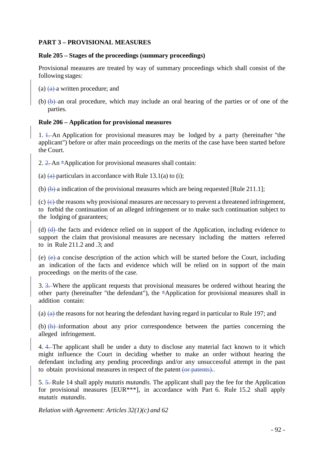## **PART 3 – PROVISIONAL MEASURES**

### **Rule 205 – Stages of the proceedings (summary proceedings)**

Provisional measures are treated by way of summary proceedings which shall consist of the following stages:

- (a)  $(a)$  a written procedure; and
- (b)  $(b)$  an oral procedure, which may include an oral hearing of the parties or of one of the parties.

### **Rule 206 – Application for provisional measures**

1. 1. An Application for provisional measures may be lodged by a party (hereinafter "the applicant") before or after main proceedings on the merits of the case have been started before the Court.

2. 2. An \*Application for provisional measures shall contain:

(a)  $\left(\frac{a}{b}\right)$  particulars in accordance with Rule 13.1(a) to (i);

(b)  $(b)$  a indication of the provisional measures which are being requested [Rule 211.1];

(c)  $\left( \epsilon \right)$  the reasons why provisional measures are necessary to prevent a threatened infringement, to forbid the continuation of an alleged infringement or to make such continuation subject to the lodging of guarantees;

(d) (d) the facts and evidence relied on in support of the Application, including evidence to support the claim that provisional measures are necessary including the matters referred to in Rule 211.2 and .3; and

(e)  $(e)$  a concise description of the action which will be started before the Court, including an indication of the facts and evidence which will be relied on in support of the main proceedings on the merits of the case.

3. 3. Where the applicant requests that provisional measures be ordered without hearing the other party (hereinafter "the defendant"), the \*Application for provisional measures shall in addition contain:

(a)  $\left(\frac{a}{b}\right)$  the reasons for not hearing the defendant having regard in particular to Rule 197; and

(b)  $(b)$  information about any prior correspondence between the parties concerning the alleged infringement.

4. 4. The applicant shall be under a duty to disclose any material fact known to it which might influence the Court in deciding whether to make an order without hearing the defendant including any pending proceedings and/or any unsuccessful attempt in the past to obtain provisional measures in respect of the patent (or patents)...

5. 5. Rule 14 shall apply *mutatis mutandis*. The applicant shall pay the fee for the Application for provisional measures [EUR\*\*\*], in accordance with Part 6. Rule 15.2 shall apply *mutatis mutandis*.

*Relation with Agreement: Articles 32(1)(c) and 62*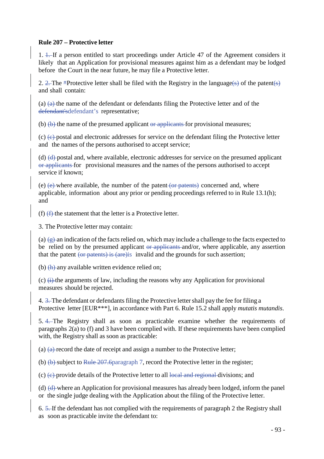## **Rule 207 – Protective letter**

1. 1. If a person entitled to start proceedings under Article 47 of the Agreement considers it likely that an Application for provisional measures against him as a defendant may be lodged before the Court in the near future, he may file a Protective letter.

2. 2. The \*Protective letter shall be filed with the Registry in the language(s) of the patent(s) and shall contain:

(a)  $\left(\frac{a}{b}\right)$  the name of the defendant or defendants filing the Protective letter and of the defendant'sdefendant's representative;

(b)  $(b)$  the name of the presumed applicant or applicants for provisional measures;

 $(c)$  (c)  $(e)$ -postal and electronic addresses for service on the defendant filing the Protective letter and the names of the persons authorised to accept service;

(d) (d) postal and, where available, electronic addresses for service on the presumed applicant or applicants for provisional measures and the names of the persons authorised to accept service if known;

(e)  $(e)$  where available, the number of the patent (or patents) concerned and, where applicable, information about any prior or pending proceedings referred to in Rule 13.1(h); and

(f)  $(f)$  the statement that the letter is a Protective letter.

3. The Protective letter may contain:

(a)  $(g)$  an indication of the facts relied on, which may include a challenge to the facts expected to be relied on by the presumed applicant or applicants and/or, where applicable, any assertion that the patent  $\left( \text{or patterns} \right)$  is  $\left( \text{are} \right)$  is invalid and the grounds for such assertion;

(b)  $(h)$ -any available written evidence relied on;

(c)  $\leftrightarrow$  the arguments of law, including the reasons why any Application for provisional measures should be rejected.

4. 3. The defendant or defendants filing the Protective letter shall pay the fee for filing a Protective letter [EUR\*\*\*], in accordance with Part 6. Rule 15.2 shall apply *mutatis mutandis*.

5. 4. The Registry shall as soon as practicable examine whether the requirements of paragraphs 2(a) to (f) and 3 have been complied with. If these requirements have been complied with, the Registry shall as soon as practicable:

(a)  $\left(\frac{a}{b}\right)$  record the date of receipt and assign a number to the Protective letter;

(b) (b) subject to Rule 207.6paragraph 7, record the Protective letter in the register;

(c)  $(e)$  provide details of the Protective letter to all local and regional divisions; and

(d) (d) where an Application for provisional measures has already been lodged, inform the panel or the single judge dealing with the Application about the filing of the Protective letter.

6. 5. If the defendant has not complied with the requirements of paragraph 2 the Registry shall as soon as practicable invite the defendant to: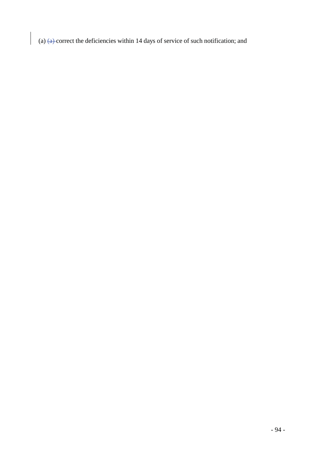(a)  $\left(\text{a}\right)$  correct the deficiencies within 14 days of service of such notification; and

 $\overline{\phantom{a}}$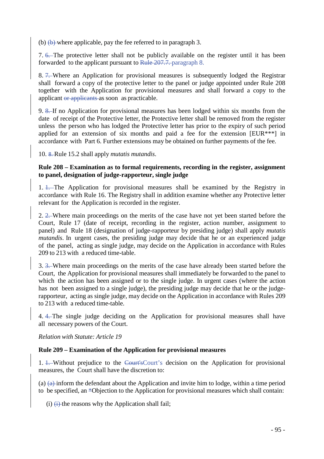(b) (b) where applicable, pay the fee referred to in paragraph 3.

7. 6. The protective letter shall not be publicly available on the register until it has been forwarded to the applicant pursuant to Rule 207.7. paragraph 8.

8. 7. Where an Application for provisional measures is subsequently lodged the Registrar shall forward a copy of the protective letter to the panel or judge appointed under Rule 208 together with the Application for provisional measures and shall forward a copy to the applicant or applicants as soon as practicable.

9. 8. If no Application for provisional measures has been lodged within six months from the date of receipt of the Protective letter, the Protective letter shall be removed from the register unless the person who has lodged the Protective letter has prior to the expiry of such period applied for an extension of six months and paid a fee for the extension [EUR\*\*\*] in accordance with Part 6. Further extensions may be obtained on further payments of the fee.

10. 8. Rule 15.2 shall apply *mutatis mutandis*.

### **Rule 208 – Examination as to formal requirements, recording in the register, assignment to panel, designation of judge-rapporteur, single judge**

1. 1. The Application for provisional measures shall be examined by the Registry in accordance with Rule 16. The Registry shall in addition examine whether any Protective letter relevant for the Application is recorded in the register.

2. 2. Where main proceedings on the merits of the case have not yet been started before the Court, Rule 17 (date of receipt, recording in the register, action number, assignment to panel) and Rule 18 (designation of judge-rapporteur by presiding judge) shall apply *mutatis mutandis*. In urgent cases, the presiding judge may decide that he or an experienced judge of the panel, acting as single judge, may decide on the Application in accordance with Rules 209 to 213 with a reduced time-table.

3. 3. Where main proceedings on the merits of the case have already been started before the Court, the Application for provisional measures shall immediately be forwarded to the panel to which the action has been assigned or to the single judge. In urgent cases (where the action has not been assigned to a single judge), the presiding judge may decide that he or the judgerapporteur, acting as single judge, may decide on the Application in accordance with Rules 209 to 213 with a reduced time-table.

4. 4. The single judge deciding on the Application for provisional measures shall have all necessary powers of the Court.

*Relation with Statute: Article 19*

#### **Rule 209 – Examination of the Application for provisional measures**

1. 1. Without prejudice to the Court'sCourt's decision on the Application for provisional measures, the Court shall have the discretion to:

(a)  $\left(\frac{a}{b}\right)$  inform the defendant about the Application and invite him to lodge, within a time period to be specified, an \*Objection to the Application for provisional measures which shall contain:

(i)  $\overline{(+)}$  the reasons why the Application shall fail;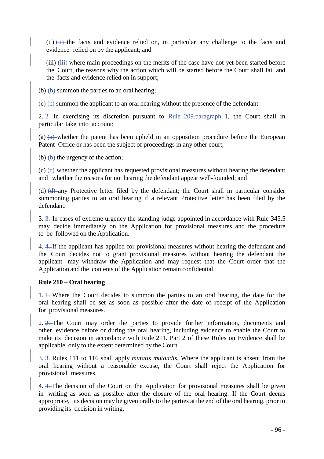(ii)  $(ii)$  the facts and evidence relied on, in particular any challenge to the facts and evidence relied on by the applicant; and

 $(iii)$   $(iii)$  where main proceedings on the merits of the case have not yet been started before the Court, the reasons why the action which will be started before the Court shall fail and the facts and evidence relied on in support;

(b)  $(b)$  summon the parties to an oral hearing;

(c)  $\left(\epsilon\right)$ -summon the applicant to an oral hearing without the presence of the defendant.

2. 2. In exercising its discretion pursuant to Rule 209.paragraph 1, the Court shall in particular take into account:

(a)  $\left(\frac{a}{b}\right)$  whether the patent has been upheld in an opposition procedure before the European Patent Office or has been the subject of proceedings in any other court;

(b)  $\leftrightarrow$  the urgency of the action;

(c)  $\left( \epsilon \right)$  whether the applicant has requested provisional measures without hearing the defendant and whether the reasons for not hearing the defendant appear well-founded; and

(d) (d) any Protective letter filed by the defendant; the Court shall in particular consider summoning parties to an oral hearing if a relevant Protective letter has been filed by the defendant.

3. 3. In cases of extreme urgency the standing judge appointed in accordance with Rule 345.5 may decide immediately on the Application for provisional measures and the procedure to be followed on the Application.

4. 4. If the applicant has applied for provisional measures without hearing the defendant and the Court decides not to grant provisional measures without hearing the defendant the applicant may withdraw the Application and may request that the Court order that the Application and the contents of the Application remain confidential.

#### **Rule 210 – Oral hearing**

1. 1. Where the Court decides to summon the parties to an oral hearing, the date for the oral hearing shall be set as soon as possible after the date of receipt of the Application for provisional measures.

2. 2. The Court may order the parties to provide further information, documents and other evidence before or during the oral hearing, including evidence to enable the Court to make its decision in accordance with Rule 211. Part 2 of these Rules on Evidence shall be applicable only to the extent determined by the Court.

3. 3. Rules 111 to 116 shall apply *mutatis mutandis*. Where the applicant is absent from the oral hearing without a reasonable excuse, the Court shall reject the Application for provisional measures.

4. 4. The decision of the Court on the Application for provisional measures shall be given in writing as soon as possible after the closure of the oral hearing. If the Court deems appropriate, its decision may be given orally to the parties at the end of the oral hearing, prior to providing its decision in writing.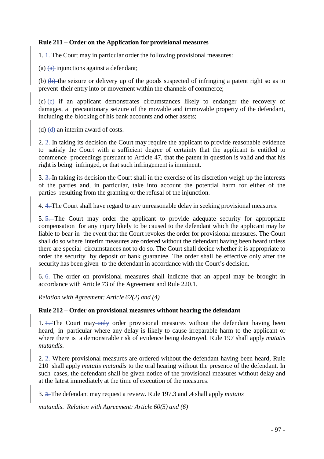## **Rule 211 – Order on the Application for provisional measures**

1. 1. The Court may in particular order the following provisional measures:

(a)  $\left(\frac{a}{b}\right)$  injunctions against a defendant;

(b)  $\leftrightarrow$  the seizure or delivery up of the goods suspected of infringing a patent right so as to prevent their entry into or movement within the channels of commerce;

(c)  $\left(\frac{c}{c}\right)$  if an applicant demonstrates circumstances likely to endanger the recovery of damages, a precautionary seizure of the movable and immovable property of the defendant, including the blocking of his bank accounts and other assets;

(d)  $\left(\frac{d}{dt}\right)$  an interim award of costs.

2. 2. In taking its decision the Court may require the applicant to provide reasonable evidence to satisfy the Court with a sufficient degree of certainty that the applicant is entitled to commence proceedings pursuant to Article 47, that the patent in question is valid and that his right is being infringed, or that such infringement is imminent.

3. 3. In taking its decision the Court shall in the exercise of its discretion weigh up the interests of the parties and, in particular, take into account the potential harm for either of the parties resulting from the granting or the refusal of the injunction.

4. 4. The Court shall have regard to any unreasonable delay in seeking provisional measures.

5. 5. The Court may order the applicant to provide adequate security for appropriate compensation for any injury likely to be caused to the defendant which the applicant may be liable to bear in the event that the Court revokes the order for provisional measures. The Court shall do so where interim measures are ordered without the defendant having been heard unless there are special circumstances not to do so. The Court shall decide whether it is appropriate to order the security by deposit or bank guarantee. The order shall be effective only after the security has been given to the defendant in accordance with the Court's decision.

6. 6. The order on provisional measures shall indicate that an appeal may be brought in accordance with Article 73 of the Agreement and Rule 220.1.

*Relation with Agreement: Article 62(2) and (4)*

#### **Rule 212 – Order on provisional measures without hearing the defendant**

1. 1. The Court may-only order provisional measures without the defendant having been heard, in particular where any delay is likely to cause irreparable harm to the applicant or where there is a demonstrable risk of evidence being destroyed. Rule 197 shall apply *mutatis mutandis*.

2. 2. Where provisional measures are ordered without the defendant having been heard, Rule 210 shall apply *mutatis mutandis* to the oral hearing without the presence of the defendant. In such cases, the defendant shall be given notice of the provisional measures without delay and at the latest immediately at the time of execution of the measures.

3. 3. The defendant may request a review. Rule 197.3 and .4 shall apply *mutatis*

*mutandis*. *Relation with Agreement: Article 60(5) and (6)*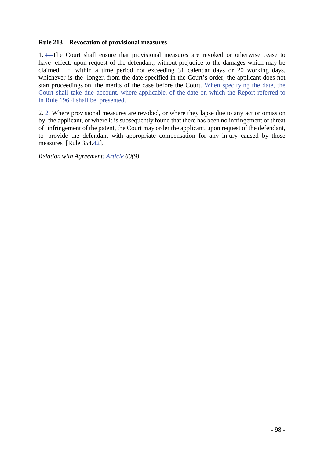### **Rule 213 – Revocation of provisional measures**

1. 1. The Court shall ensure that provisional measures are revoked or otherwise cease to have effect, upon request of the defendant, without prejudice to the damages which may be claimed, if, within a time period not exceeding 31 calendar days or 20 working days, whichever is the longer, from the date specified in the Court's order, the applicant does not start proceedings on the merits of the case before the Court. When specifying the date, the Court shall take due account, where applicable, of the date on which the Report referred to in Rule 196.4 shall be presented.

2. 2. Where provisional measures are revoked, or where they lapse due to any act or omission by the applicant, or where it is subsequently found that there has been no infringement or threat of infringement of the patent, the Court may order the applicant, upon request of the defendant, to provide the defendant with appropriate compensation for any injury caused by those measures [Rule 354.42].

*Relation with Agreement: Article 60(9).*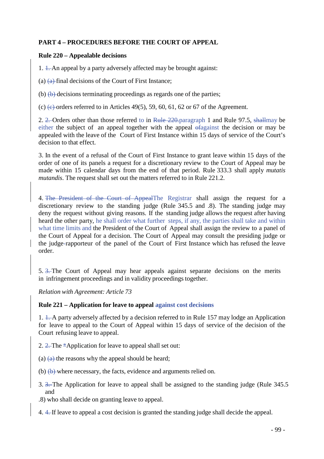# **PART 4 – PROCEDURES BEFORE THE COURT OF APPEAL**

### **Rule 220 – Appealable decisions**

1. 1. An appeal by a party adversely affected may be brought against:

(a)  $\left( a \right)$  final decisions of the Court of First Instance:

(b)  $\left(\frac{b}{c}\right)$  decisions terminating proceedings as regards one of the parties;

(c)  $\leftrightarrow$  orders referred to in Articles 49(5), 59, 60, 61, 62 or 67 of the Agreement.

2. 2. Orders other than those referred to in Rule 220 paragraph 1 and Rule 97.5, shallmay be either the subject of an appeal together with the appeal ofagainst the decision or may be appealed with the leave of the Court of First Instance within 15 days of service of the Court's decision to that effect.

3. In the event of a refusal of the Court of First Instance to grant leave within 15 days of the order of one of its panels a request for a discretionary review to the Court of Appeal may be made within 15 calendar days from the end of that period. Rule 333.3 shall apply *mutatis mutandis*. The request shall set out the matters referred to in Rule 221.2.

4. The President of the Court of AppealThe Registrar shall assign the request for a discretionary review to the standing judge (Rule 345.5 and .8). The standing judge may deny the request without giving reasons. If the standing judge allows the request after having heard the other party, he shall order what further steps, if any, the parties shall take and within what time limits and the President of the Court of Appeal shall assign the review to a panel of the Court of Appeal for a decision. The Court of Appeal may consult the presiding judge or the judge-rapporteur of the panel of the Court of First Instance which has refused the leave order.

5. 3. The Court of Appeal may hear appeals against separate decisions on the merits in infringement proceedings and in validity proceedings together.

*Relation with Agreement: Article 73*

#### **Rule 221 – Application for leave to appeal against cost decisions**

1. 1. A party adversely affected by a decision referred to in Rule 157 may lodge an Application for leave to appeal to the Court of Appeal within 15 days of service of the decision of the Court refusing leave to appeal.

2. 2. The \*Application for leave to appeal shall set out:

(a)  $\left(\frac{a}{b}\right)$  the reasons why the appeal should be heard;

(b) (b) where necessary, the facts, evidence and arguments relied on.

3. 3. The Application for leave to appeal shall be assigned to the standing judge (Rule 345.5 and

.8) who shall decide on granting leave to appeal.

4. 4. If leave to appeal a cost decision is granted the standing judge shall decide the appeal.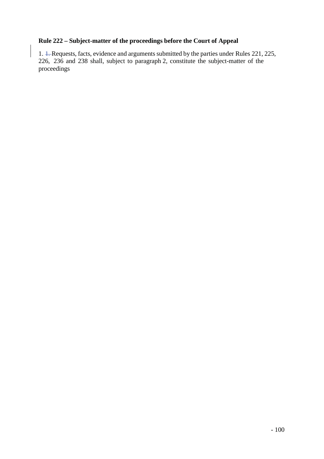# **Rule 222 – Subject-matter of the proceedings before the Court of Appeal**

1. 1. Requests, facts, evidence and arguments submitted by the parties under Rules 221, 225, 226, 236 and 238 shall, subject to paragraph 2, constitute the subject-matter of the proceedings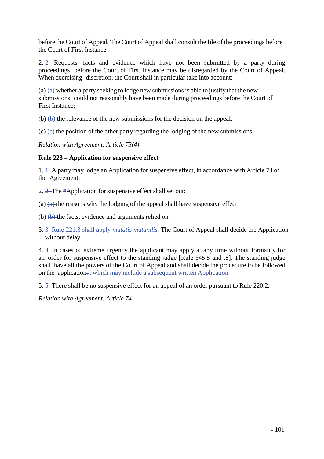before the Court of Appeal. The Court of Appeal shall consult the file of the proceedings before the Court of First Instance.

2. 2. Requests, facts and evidence which have not been submitted by a party during proceedings before the Court of First Instance may be disregarded by the Court of Appeal. When exercising discretion, the Court shall in particular take into account:

(a)  $\left(\frac{a}{a}\right)$  whether a party seeking to lodge new submissions is able to justify that the new submissions could not reasonably have been made during proceedings before the Court of First Instance;

(b)  $\left\langle \phi \right\rangle$  the relevance of the new submissions for the decision on the appeal;

(c)  $\left( \epsilon \right)$  the position of the other party regarding the lodging of the new submissions.

*Relation with Agreement: Article 73(4)*

## **Rule 223 – Application for suspensive effect**

1. 1. A party may lodge an Application for suspensive effect, in accordance with Article 74 of the Agreement.

2. 2. The \*Application for suspensive effect shall set out:

(a)  $\left(\frac{a}{b}\right)$  the reasons why the lodging of the appeal shall have suspensive effect;

(b)  $(b)$  the facts, evidence and arguments relied on.

3. 3. Rule 221.3 shall apply *mutatis mutandis*. The Court of Appeal shall decide the Application without delay.

4. 4. In cases of extreme urgency the applicant may apply at any time without formality for an order for suspensive effect to the standing judge [Rule 345.5 and .8]. The standing judge shall have all the powers of the Court of Appeal and shall decide the procedure to be followed on the application..., which may include a subsequent written Application.

5. 5. There shall be no suspensive effect for an appeal of an order pursuant to Rule 220.2.

*Relation with Agreement: Article 74*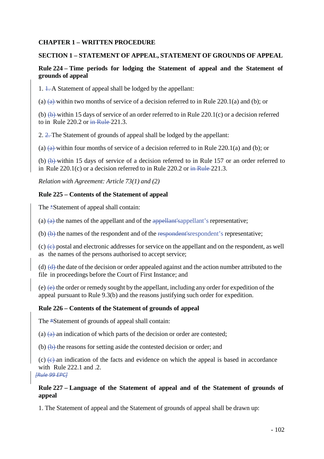## **CHAPTER 1 – WRITTEN PROCEDURE**

## **SECTION 1 – STATEMENT OF APPEAL, STATEMENT OF GROUNDS OF APPEAL**

# **Rule 224 – Time periods for lodging the Statement of appeal and the Statement of grounds of appeal**

1. 1. A Statement of appeal shall be lodged by the appellant:

(a)  $\left(\frac{a}{a}\right)$  within two months of service of a decision referred to in Rule 220.1(a) and (b); or

(b)  $\left(\frac{b}{c}\right)$  within 15 days of service of an order referred to in Rule 220.1(c) or a decision referred to in Rule 220.2 or  $\frac{1}{2}$  Rule 221.3.

2. 2. The Statement of grounds of appeal shall be lodged by the appellant:

(a)  $\left(\frac{a}{b}\right)$  within four months of service of a decision referred to in Rule 220.1(a) and (b); or

(b)  $(b)$  within 15 days of service of a decision referred to in Rule 157 or an order referred to in Rule  $220.1(c)$  or a decision referred to in Rule  $220.2$  or in Rule  $221.3$ .

*Relation with Agreement: Article 73(1) and (2)*

### **Rule 225 – Contents of the Statement of appeal**

The \*Statement of appeal shall contain:

(a)  $\left(\frac{a}{b}\right)$  the names of the appellant and of the appellant's appellant's representative;

(b) (b) the names of the respondent and of the respondent'srespondent's representative;

(c)  $\left(\epsilon\right)$  postal and electronic addresses for service on the appellant and on the respondent, as well as the names of the persons authorised to accept service;

(d) (d) the date of the decision or order appealed against and the action number attributed to the file in proceedings before the Court of First Instance; and

(e)  $(e)$  the order or remedy sought by the appellant, including any order for expedition of the appeal pursuant to Rule 9.3(b) and the reasons justifying such order for expedition.

#### **Rule 226 – Contents of the Statement of grounds of appeal**

The \*Statement of grounds of appeal shall contain:

(a)  $(a)$  an indication of which parts of the decision or order are contested;

(b) (b) the reasons for setting aside the contested decision or order; and

(c)  $\left(\epsilon\right)$  an indication of the facts and evidence on which the appeal is based in accordance with Rule 222.1 and .2.

*[Rule 99 EPC]* 

## **Rule 227 – Language of the Statement of appeal and of the Statement of grounds of appeal**

1. The Statement of appeal and the Statement of grounds of appeal shall be drawn up: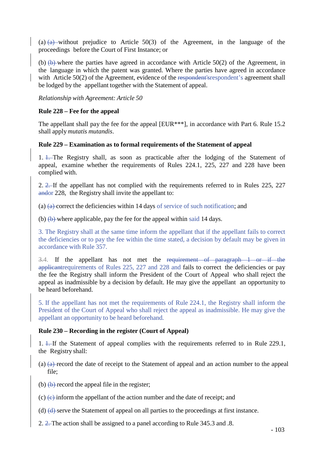(a)  $(a)$  without prejudice to Article 50(3) of the Agreement, in the language of the proceedings before the Court of First Instance; or

(b)  $(b)$  where the parties have agreed in accordance with Article 50(2) of the Agreement, in the language in which the patent was granted. Where the parties have agreed in accordance with Article 50(2) of the Agreement, evidence of the respondent's respondent's agreement shall be lodged by the appellant together with the Statement of appeal.

*Relationship with Agreement: Article 50*

### **Rule 228 – Fee for the appeal**

The appellant shall pay the fee for the appeal [EUR\*\*\*], in accordance with Part 6. Rule 15.2 shall apply *mutatis mutandis*.

### **Rule 229 – Examination as to formal requirements of the Statement of appeal**

1. 1. The Registry shall, as soon as practicable after the lodging of the Statement of appeal, examine whether the requirements of Rules 224.1, 225, 227 and 228 have been complied with.

2. 2. If the appellant has not complied with the requirements referred to in Rules 225, 227 andor 228, the Registry shall invite the appellant to:

(a)  $\left( a \right)$  correct the deficiencies within 14 days of service of such notification; and

(b) (b) where applicable, pay the fee for the appeal within said 14 days.

3. The Registry shall at the same time inform the appellant that if the appellant fails to correct the deficiencies or to pay the fee within the time stated, a decision by default may be given in accordance with Rule 357.

3.4. If the appellant has not met the requirement of paragraph 1 or if the applicant requirements of Rules 225, 227 and 228 and fails to correct the deficiencies or pay the fee the Registry shall inform the President of the Court of Appeal who shall reject the appeal as inadmissible by a decision by default. He may give the appellant an opportunity to be heard beforehand.

5. If the appellant has not met the requirements of Rule 224.1, the Registry shall inform the President of the Court of Appeal who shall reject the appeal as inadmissible. He may give the appellant an opportunity to be heard beforehand.

## **Rule 230 – Recording in the register (Court of Appeal)**

1. 1. If the Statement of appeal complies with the requirements referred to in Rule 229.1, the Registry shall:

- (a)  $(a)$  record the date of receipt to the Statement of appeal and an action number to the appeal file;
- (b)  $(b)$  record the appeal file in the register;
- $(c)$  (e) inform the appellant of the action number and the date of receipt; and
- (d) (d) serve the Statement of appeal on all parties to the proceedings at first instance.
- 2. 2. The action shall be assigned to a panel according to Rule 345.3 and .8.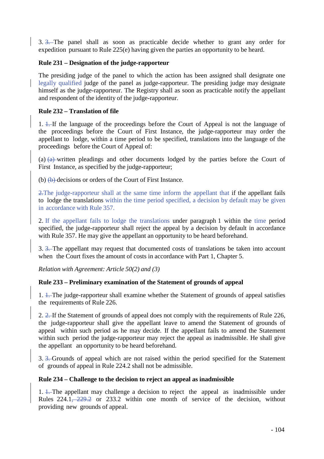3. 3. The panel shall as soon as practicable decide whether to grant any order for expedition pursuant to Rule 225(e) having given the parties an opportunity to be heard.

## **Rule 231 – Designation of the judge-rapporteur**

The presiding judge of the panel to which the action has been assigned shall designate one legally qualified judge of the panel as judge-rapporteur. The presiding judge may designate himself as the judge-rapporteur. The Registry shall as soon as practicable notify the appellant and respondent of the identity of the judge-rapporteur.

## **Rule 232 – Translation of file**

1. 1. If the language of the proceedings before the Court of Appeal is not the language of the proceedings before the Court of First Instance, the judge-rapporteur may order the appellant to lodge, within a time period to be specified, translations into the language of the proceedings before the Court of Appeal of:

(a)  $\left(\frac{a}{a}\right)$ -written pleadings and other documents lodged by the parties before the Court of First Instance, as specified by the judge-rapporteur;

(b) (b) decisions or orders of the Court of First Instance.

2.The judge-rapporteur shall at the same time inform the appellant that if the appellant fails to lodge the translations within the time period specified, a decision by default may be given in accordance with Rule 357.

2. If the appellant fails to lodge the translations under paragraph 1 within the time period specified, the judge-rapporteur shall reject the appeal by a decision by default in accordance with Rule 357. He may give the appellant an opportunity to be heard beforehand.

3. 3. The appellant may request that documented costs of translations be taken into account when the Court fixes the amount of costs in accordance with Part 1, Chapter 5.

*Relation with Agreement: Article 50(2) and (3)*

## **Rule 233 – Preliminary examination of the Statement of grounds of appeal**

1. 1. The judge-rapporteur shall examine whether the Statement of grounds of appeal satisfies the requirements of Rule 226.

2. 2. If the Statement of grounds of appeal does not comply with the requirements of Rule 226, the judge-rapporteur shall give the appellant leave to amend the Statement of grounds of appeal within such period as he may decide. If the appellant fails to amend the Statement within such period the judge-rapporteur may reject the appeal as inadmissible. He shall give the appellant an opportunity to be heard beforehand.

3. 3. Grounds of appeal which are not raised within the period specified for the Statement of grounds of appeal in Rule 224.2 shall not be admissible.

## **Rule 234 – Challenge to the decision to reject an appeal as inadmissible**

1. 1. The appellant may challenge a decision to reject the appeal as inadmissible under Rules  $224.1, -229.2$  or  $233.2$  within one month of service of the decision, without providing new grounds of appeal.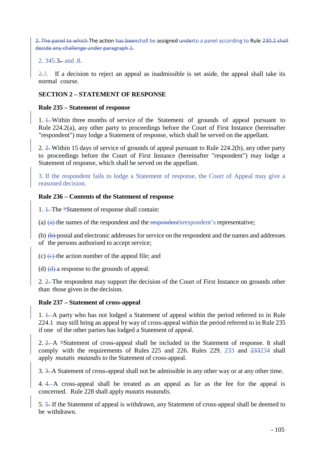2. The panel to which The action has beenshall be assigned underto a panel according to Rule 230.2 shall decide any challenge under paragraph 1.

### 2. 345.3. and .8.

2.3. If a decision to reject an appeal as inadmissible is set aside, the appeal shall take its normal course.

## **SECTION 2 – STATEMENT OF RESPONSE**

#### **Rule 235 – Statement of response**

1. 1. Within three months of service of the Statement of grounds of appeal pursuant to Rule 224.2(a), any other party to proceedings before the Court of First Instance (hereinafter "respondent") may lodge a Statement of response, which shall be served on the appellant.

2. 2. Within 15 days of service of grounds of appeal pursuant to Rule 224.2(b), any other party to proceedings before the Court of First Instance (hereinafter "respondent") may lodge a Statement of response, which shall be served on the appellant.

3. If the respondent fails to lodge a Statement of response, the Court of Appeal may give a reasoned decision.

## **Rule 236 – Contents of the Statement of response**

1. 1. The \*Statement of response shall contain:

(a)  $\left(\frac{a}{b}\right)$  the names of the respondent and the respondent's representative;

(b)  $\left(\frac{b}{c}\right)$  postal and electronic addresses for service on the respondent and the names and addresses of the persons authorised to accept service;

(c)  $\left( \frac{c}{c} \right)$  the action number of the appeal file; and

(d)  $\left(\frac{d}{dx}\right)$  a response to the grounds of appeal.

2. 2. The respondent may support the decision of the Court of First Instance on grounds other than those given in the decision.

#### **Rule 237 – Statement of cross-appeal**

1. 1. A party who has not lodged a Statement of appeal within the period referred to in Rule 224.1 may still bring an appeal by way of cross-appeal within the period referred to in Rule 235 if one of the other parties has lodged a Statement of appeal.

2. 2. A \*Statement of cross-appeal shall be included in the Statement of response. It shall comply with the requirements of Rules 225 and 226. Rules 229, 233 and 233234 shall apply *mutatis mutandis* to the Statement of cross-appeal.

3. 3. A Statement of cross-appeal shall not be admissible in any other way or at any other time.

4. 4. A cross-appeal shall be treated as an appeal as far as the fee for the appeal is concerned. Rule 228 shall apply *mutatis mutandis*.

5. 5. If the Statement of appeal is withdrawn, any Statement of cross-appeal shall be deemed to be withdrawn.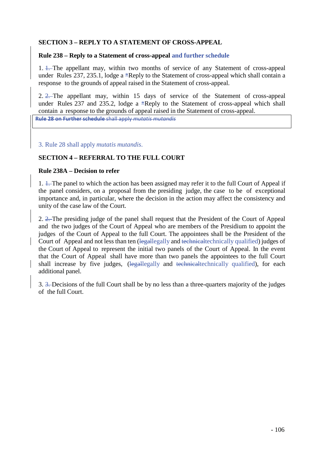## **SECTION 3 – REPLY TO A STATEMENT OF CROSS-APPEAL**

### **Rule 238 – Reply to a Statement of cross-appeal and further schedule**

1. 1. The appellant may, within two months of service of any Statement of cross-appeal under Rules 237, 235.1, lodge a  $*$ Reply to the Statement of cross-appeal which shall contain a response to the grounds of appeal raised in the Statement of cross-appeal.

2. 2. The appellant may, within 15 days of service of the Statement of cross-appeal under Rules 237 and 235.2, lodge a \*Reply to the Statement of cross-appeal which shall contain a response to the grounds of appeal raised in the Statement of cross-appeal.

**Rule 28 on Further schedule** shall apply *mutatis mutandis* 

## 3. Rule 28 shall apply *mutatis mutandis*.

## **SECTION 4 – REFERRAL TO THE FULL COURT**

### **Rule 238A – Decision to refer**

1. 1. The panel to which the action has been assigned may refer it to the full Court of Appeal if the panel considers, on a proposal from the presiding judge, the case to be of exceptional importance and, in particular, where the decision in the action may affect the consistency and unity of the case law of the Court.

2. 2. The presiding judge of the panel shall request that the President of the Court of Appeal and the two judges of the Court of Appeal who are members of the Presidium to appoint the judges of the Court of Appeal to the full Court. The appointees shall be the President of the Court of Appeal and not less than ten (legallegally and technicallechnically qualified) judges of the Court of Appeal to represent the initial two panels of the Court of Appeal. In the event that the Court of Appeal shall have more than two panels the appointees to the full Court shall increase by five judges, (legallegally and technicaltechnically qualified), for each additional panel.

3. 3. Decisions of the full Court shall be by no less than a three-quarters majority of the judges of the full Court.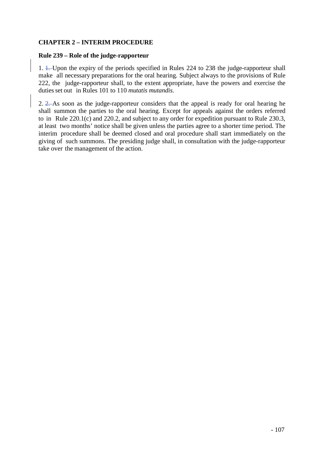## **CHAPTER 2 – INTERIM PROCEDURE**

### **Rule 239 – Role of the judge-rapporteur**

1. 1. Upon the expiry of the periods specified in Rules 224 to 238 the judge-rapporteur shall make all necessary preparations for the oral hearing. Subject always to the provisions of Rule 222, the judge-rapporteur shall, to the extent appropriate, have the powers and exercise the duties set out in Rules 101 to 110 *mutatis mutandis*.

2. 2. As soon as the judge-rapporteur considers that the appeal is ready for oral hearing he shall summon the parties to the oral hearing. Except for appeals against the orders referred to in Rule 220.1(c) and 220.2, and subject to any order for expedition pursuant to Rule 230.3, at least two months' notice shall be given unless the parties agree to a shorter time period. The interim procedure shall be deemed closed and oral procedure shall start immediately on the giving of such summons. The presiding judge shall, in consultation with the judge-rapporteur take over the management of the action.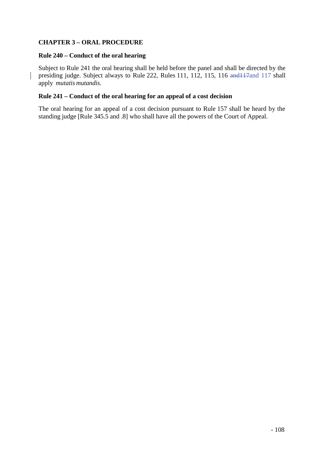## **CHAPTER 3 – ORAL PROCEDURE**

### **Rule 240 – Conduct of the oral hearing**

Subject to Rule 241 the oral hearing shall be held before the panel and shall be directed by the presiding judge. Subject always to Rule 222, Rules 111, 112, 115, 116 and117and 117 shall apply *mutatis mutandis*.

### **Rule 241 – Conduct of the oral hearing for an appeal of a cost decision**

The oral hearing for an appeal of a cost decision pursuant to Rule 157 shall be heard by the standing judge [Rule 345.5 and .8] who shall have all the powers of the Court of Appeal.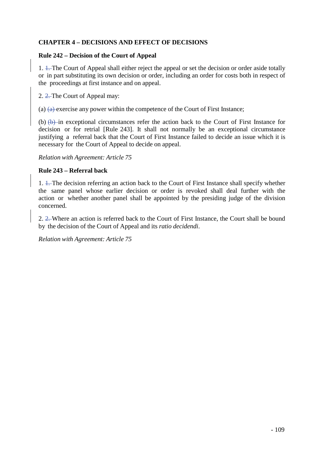## **CHAPTER 4 – DECISIONS AND EFFECT OF DECISIONS**

### **Rule 242 – Decision of the Court of Appeal**

1. 1. The Court of Appeal shall either reject the appeal or set the decision or order aside totally or in part substituting its own decision or order, including an order for costs both in respect of the proceedings at first instance and on appeal.

2. 2. The Court of Appeal may:

(a)  $(a)$  exercise any power within the competence of the Court of First Instance;

(b)  $(b)$  in exceptional circumstances refer the action back to the Court of First Instance for decision or for retrial [Rule 243]. It shall not normally be an exceptional circumstance justifying a referral back that the Court of First Instance failed to decide an issue which it is necessary for the Court of Appeal to decide on appeal.

*Relation with Agreement: Article 75*

### **Rule 243 – Referral back**

1. 1. The decision referring an action back to the Court of First Instance shall specify whether the same panel whose earlier decision or order is revoked shall deal further with the action or whether another panel shall be appointed by the presiding judge of the division concerned.

2. 2. Where an action is referred back to the Court of First Instance, the Court shall be bound by the decision of the Court of Appeal and its *ratio decidendi*.

*Relation with Agreement: Article 75*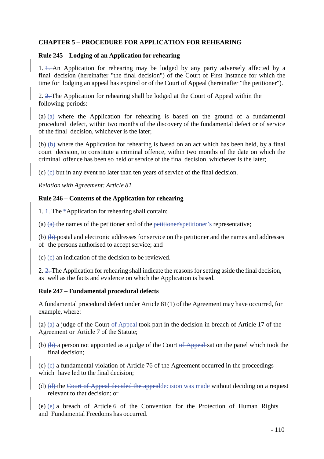## **CHAPTER 5 – PROCEDURE FOR APPLICATION FOR REHEARING**

### **Rule 245 – Lodging of an Application for rehearing**

1. 1. An Application for rehearing may be lodged by any party adversely affected by a final decision (hereinafter "the final decision") of the Court of First Instance for which the time for lodging an appeal has expired or of the Court of Appeal (hereinafter "the petitioner").

2. 2. The Application for rehearing shall be lodged at the Court of Appeal within the following periods:

(a)  $(a)$  where the Application for rehearing is based on the ground of a fundamental procedural defect, within two months of the discovery of the fundamental defect or of service of the final decision, whichever is the later;

(b) (b) where the Application for rehearing is based on an act which has been held, by a final court decision, to constitute a criminal offence, within two months of the date on which the criminal offence has been so held or service of the final decision, whichever is the later;

(c)  $\left(\epsilon\right)$  but in any event no later than ten years of service of the final decision.

*Relation with Agreement: Article 81*

### **Rule 246 – Contents of the Application for rehearing**

1. 1. The \*Application for rehearing shall contain:

(a)  $\left( a \right)$  the names of the petitioner and of the petitioner's petitioner's representative;

(b)  $(\theta)$  postal and electronic addresses for service on the petitioner and the names and addresses of the persons authorised to accept service; and

(c)  $\left( e \right)$  an indication of the decision to be reviewed.

2. 2. The Application for rehearing shall indicate the reasons for setting aside the final decision, as well as the facts and evidence on which the Application is based.

#### **Rule 247 – Fundamental procedural defects**

A fundamental procedural defect under Article 81(1) of the Agreement may have occurred, for example, where:

(a)  $(a)$  a judge of the Court of Appeal took part in the decision in breach of Article 17 of the Agreement or Article 7 of the Statute;

(b)  $(b)$  a person not appointed as a judge of the Court of Appeal sat on the panel which took the final decision;

(c)  $\left(\epsilon\right)$  a fundamental violation of Article 76 of the Agreement occurred in the proceedings which have led to the final decision:

(d) (d) the Court of Appeal decided the appealdecision was made without deciding on a request relevant to that decision; or

(e)  $(e)$  a breach of Article 6 of the Convention for the Protection of Human Rights and Fundamental Freedoms has occurred.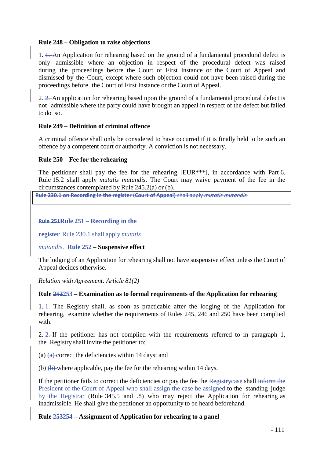### **Rule 248 – Obligation to raise objections**

1. 1. An Application for rehearing based on the ground of a fundamental procedural defect is only admissible where an objection in respect of the procedural defect was raised during the proceedings before the Court of First Instance or the Court of Appeal and dismissed by the Court, except where such objection could not have been raised during the proceedings before the Court of First Instance or the Court of Appeal.

2. 2. An application for rehearing based upon the ground of a fundamental procedural defect is not admissible where the party could have brought an appeal in respect of the defect but failed to do so.

### **Rule 249 – Definition of criminal offence**

A criminal offence shall only be considered to have occurred if it is finally held to be such an offence by a competent court or authority. A conviction is not necessary.

### **Rule 250 – Fee for the rehearing**

The petitioner shall pay the fee for the rehearing [EUR\*\*\*], in accordance with Part 6. Rule 15.2 shall apply *mutatis mutandis*. The Court may waive payment of the fee in the circumstances contemplated by Rule 245.2(a) or (b).

**Rule 230.1 on Recording in the register (Court of Appeal)** shall apply *mutatis mutandis*

### **Rule 251Rule 251 – Recording in the**

**register** Rule 230.1 shall apply *mutatis*

#### *mutandis*. **Rule 252 – Suspensive effect**

The lodging of an Application for rehearing shall not have suspensive effect unless the Court of Appeal decides otherwise.

*Relation with Agreement: Article 81(2)*

## **Rule 252253 – Examination as to formal requirements of the Application for rehearing**

1. 1. The Registry shall, as soon as practicable after the lodging of the Application for rehearing, examine whether the requirements of Rules 245, 246 and 250 have been complied with.

2. 2. If the petitioner has not complied with the requirements referred to in paragraph 1, the Registry shall invite the petitioner to:

(a) (a) correct the deficiencies within 14 days; and

(b) (b) where applicable, pay the fee for the rehearing within 14 days.

If the petitioner fails to correct the deficiencies or pay the fee the Registrycase shall inform the President of the Court of Appeal who shall assign the case be assigned to the standing judge by the Registrar (Rule 345.5 and .8) who may reject the Application for rehearing as inadmissible. He shall give the petitioner an opportunity to be heard beforehand.

## **Rule 253254 – Assignment of Application for rehearing to a panel**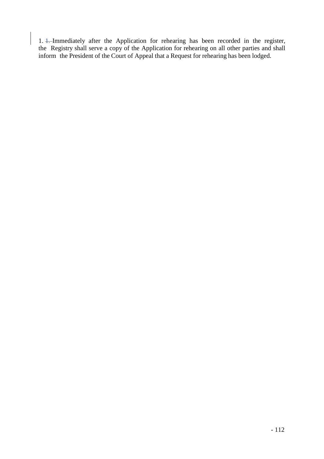1. 1. Immediately after the Application for rehearing has been recorded in the register, the Registry shall serve a copy of the Application for rehearing on all other parties and shall inform the President of the Court of Appeal that a Request for rehearing has been lodged.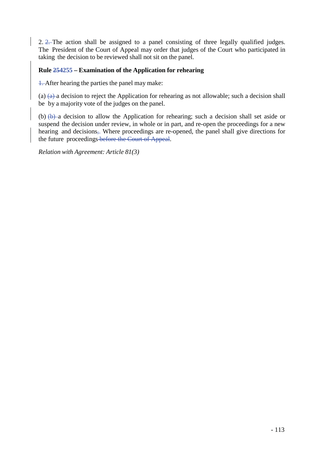2. 2. The action shall be assigned to a panel consisting of three legally qualified judges. The President of the Court of Appeal may order that judges of the Court who participated in taking the decision to be reviewed shall not sit on the panel.

## **Rule 254255 – Examination of the Application for rehearing**

1. After hearing the parties the panel may make:

(a)  $(a)$  a decision to reject the Application for rehearing as not allowable; such a decision shall be by a majority vote of the judges on the panel.

(b)  $(b)$  a decision to allow the Application for rehearing; such a decision shall set aside or suspend the decision under review, in whole or in part, and re-open the proceedings for a new hearing and decisions<sub>7</sub>. Where proceedings are re-opened, the panel shall give directions for the future proceedings before the Court of Appeal.

*Relation with Agreement: Article 81(3)*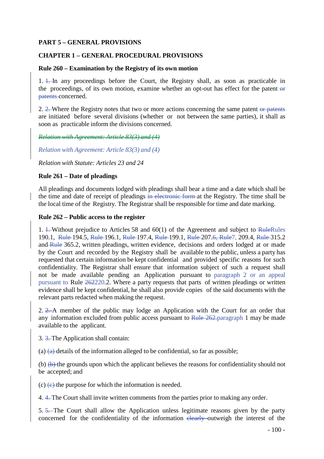## **PART 5 – GENERAL PROVISIONS**

### **CHAPTER 1 – GENERAL PROCEDURAL PROVISIONS**

#### **Rule 260 – Examination by the Registry of its own motion**

1. 1. In any proceedings before the Court, the Registry shall, as soon as practicable in the proceedings, of its own motion, examine whether an opt-out has effect for the patent of patents concerned.

2. 2. Where the Registry notes that two or more actions concerning the same patent or patents are initiated before several divisions (whether or not between the same parties), it shall as soon as practicable inform the divisions concerned.

*Relation with Agreement: Article 83(3) and (4)*

*Relation with Agreement: Article 83(3) and (4)*

*Relation with Statute: Articles 23 and 24*

### **Rule 261 – Date of pleadings**

All pleadings and documents lodged with pleadings shall bear a time and a date which shall be the time and date of receipt of pleadings in electronic form at the Registry. The time shall be the local time of the Registry. The Registrar shall be responsible for time and date marking.

#### **Rule 262 – Public access to the register**

1. 1. Without prejudice to Articles 58 and 60(1) of the Agreement and subject to RuleRules 190.1, Rule 194.5, Rule 196.1, Rule 197.4, Rule 199.1, Rule 207.6, Rule7, 209.4, Rule 315.2 and Rule 365.2, written pleadings, written evidence, decisions and orders lodged at or made by the Court and recorded by the Registry shall be available to the public, unless a party has requested that certain information be kept confidential and provided specific reasons for such confidentiality. The Registrar shall ensure that information subject of such a request shall not be made available pending an Application pursuant to paragraph 2 or an appeal pursuant to Rule 262220.2. Where a party requests that parts of written pleadings or written evidence shall be kept confidential, he shall also provide copies of the said documents with the relevant parts redacted when making the request.

2. 2. A member of the public may lodge an Application with the Court for an order that any information excluded from public access pursuant to Rule 262-paragraph 1 may be made available to the applicant.

3. 3. The Application shall contain:

(a)  $\left(\frac{a}{b}\right)$  details of the information alleged to be confidential, so far as possible;

(b) (b) the grounds upon which the applicant believes the reasons for confidentiality should not be accepted; and

(c)  $\left( \epsilon \right)$  the purpose for which the information is needed.

4. 4. The Court shall invite written comments from the parties prior to making any order.

5. 5. The Court shall allow the Application unless legitimate reasons given by the party concerned for the confidentiality of the information elearly outweigh the interest of the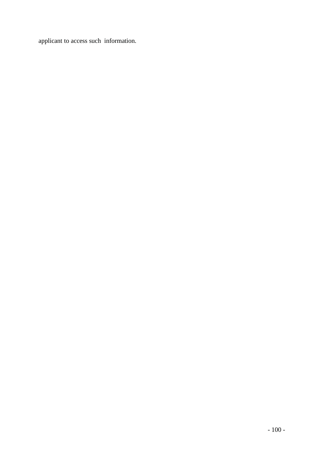applicant to access such information.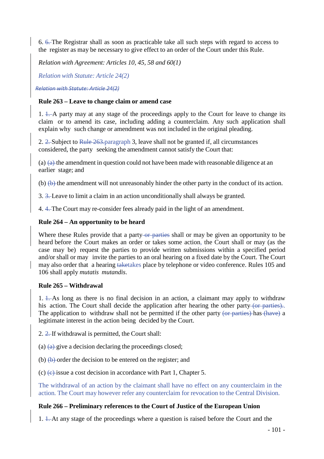6. 6. The Registrar shall as soon as practicable take all such steps with regard to access to the register as may be necessary to give effect to an order of the Court under this Rule.

*Relation with Agreement: Articles 10, 45, 58 and 60(1)*

*Relation with Statute: Article 24(2)*

*Relation with Statute: Article 24(2)* 

### **Rule 263 – Leave to change claim or amend case**

1. 1. A party may at any stage of the proceedings apply to the Court for leave to change its claim or to amend its case, including adding a counterclaim. Any such application shall explain why such change or amendment was not included in the original pleading.

2. 2. Subject to Rule 263.paragraph 3, leave shall not be granted if, all circumstances considered, the party seeking the amendment cannot satisfy the Court that:

(a)  $\left(\frac{a}{b}\right)$  the amendment in question could not have been made with reasonable diligence at an earlier stage; and

(b)  $\left(\frac{b}{c}\right)$  the amendment will not unreasonably hinder the other party in the conduct of its action.

3. 3. Leave to limit a claim in an action unconditionally shall always be granted.

4. 4. The Court may re-consider fees already paid in the light of an amendment.

### **Rule 264 – An opportunity to be heard**

Where these Rules provide that a party–or parties shall or may be given an opportunity to be heard before the Court makes an order or takes some action, the Court shall or may (as the case may be) request the parties to provide written submissions within a specified period and/or shall or may invite the parties to an oral hearing on a fixed date by the Court. The Court may also order that a hearing taketakes place by telephone or video conference. Rules 105 and 106 shall apply *mutatis mutandis*.

#### **Rule 265 – Withdrawal**

1. 1. As long as there is no final decision in an action, a claimant may apply to withdraw his action. The Court shall decide the application after hearing the other party (or parties).. The application to withdraw shall not be permitted if the other party (or parties) has (have) a legitimate interest in the action being decided by the Court.

2. 2. If withdrawal is permitted, the Court shall:

(a)  $\left(\frac{a}{b}\right)$  give a decision declaring the proceedings closed;

(b)  $\left(\frac{b}{c}\right)$  order the decision to be entered on the register; and

(c)  $\left(\frac{c}{c}\right)$  issue a cost decision in accordance with Part 1, Chapter 5.

The withdrawal of an action by the claimant shall have no effect on any counterclaim in the action. The Court may however refer any counterclaim for revocation to the Central Division.

#### **Rule 266 – Preliminary references to the Court of Justice of the European Union**

1. 1. At any stage of the proceedings where a question is raised before the Court and the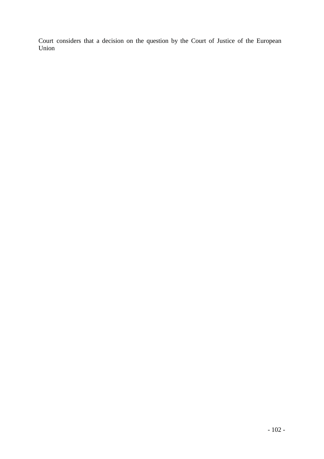Court considers that a decision on the question by the Court of Justice of the European Union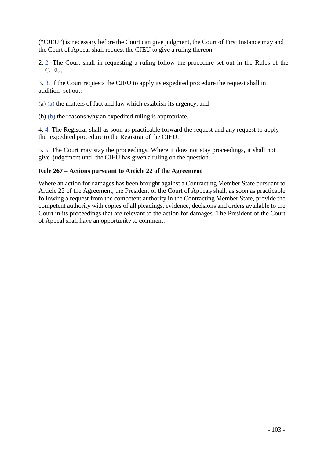("CJEU") is necessary before the Court can give judgment, the Court of First Instance may and the Court of Appeal shall request the CJEU to give a ruling thereon.

2. 2. The Court shall in requesting a ruling follow the procedure set out in the Rules of the CJEU.

3. 3. If the Court requests the CJEU to apply its expedited procedure the request shall in addition set out:

(a)  $\left(\frac{a}{b}\right)$  the matters of fact and law which establish its urgency; and

(b)  $\left(\frac{b}{b}\right)$  the reasons why an expedited ruling is appropriate.

4. 4. The Registrar shall as soon as practicable forward the request and any request to apply the expedited procedure to the Registrar of the CJEU.

5. 5. The Court may stay the proceedings. Where it does not stay proceedings, it shall not give judgement until the CJEU has given a ruling on the question.

### **Rule 267 – Actions pursuant to Article 22 of the Agreement**

Where an action for damages has been brought against a Contracting Member State pursuant to Article 22 of the Agreement, the President of the Court of Appeal, shall, as soon as practicable following a request from the competent authority in the Contracting Member State, provide the competent authority with copies of all pleadings, evidence, decisions and orders available to the Court in its proceedings that are relevant to the action for damages. The President of the Court of Appeal shall have an opportunity to comment.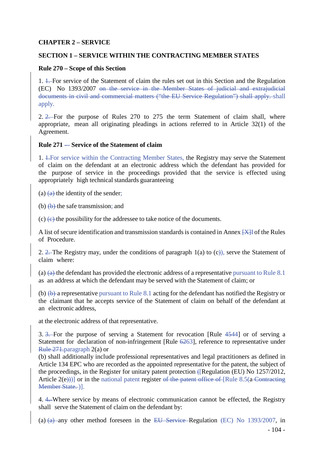## **CHAPTER 2 – SERVICE**

## **SECTION 1 – SERVICE WITHIN THE CONTRACTING MEMBER STATES**

## **Rule 270 – Scope of this Section**

1. 1. For service of the Statement of claim the rules set out in this Section and the Regulation (EC) No 1393/2007 on the service in the Member States of judicial and extrajudicial documents in civil and commercial matters ("the EU Service Regulation") shall apply. shall apply.

2. 2. For the purpose of Rules 270 to 275 the term Statement of claim shall, where appropriate, mean all originating pleadings in actions referred to in Article 32(1) of the Agreement.

### **Rule 271 -– Service of the Statement of claim**

1. 1.For service within the Contracting Member States, the Registry may serve the Statement of claim on the defendant at an electronic address which the defendant has provided for the purpose of service in the proceedings provided that the service is effected using appropriately high technical standards guaranteeing

(a)  $\left( a \right)$  the identity of the sender;

(b)  $\left( \frac{1}{2} \right)$  the safe transmission; and

 $(c)$  (c) the possibility for the addressee to take notice of the documents.

A list of secure identification and transmission standards is contained in Annex **[X]**I of the Rules of Procedure.

2. 2. The Registry may, under the conditions of paragraph  $1(a)$  to  $(c)$ ), serve the Statement of claim where:

(a)  $(a)$  the defendant has provided the electronic address of a representative pursuant to Rule 8.1 as an address at which the defendant may be served with the Statement of claim; or

(b)  $(\theta)$  a representative pursuant to Rule 8.1 acting for the defendant has notified the Registry or the claimant that he accepts service of the Statement of claim on behalf of the defendant at an electronic address,

at the electronic address of that representative.

3. 3. For the purpose of serving a Statement for revocation [Rule 4544] or of serving a Statement for declaration of non-infringement [Rule  $6263$ ], reference to representative under Rule 271.paragraph 2(a) or

(b) shall additionally include professional representatives and legal practitioners as defined in Article 134 EPC who are recorded as the appointed representative for the patent, the subject of the proceedings, in the Register for unitary patent protection ([Regulation (EU) No 1257/2012, Article  $2(e)$ )) or in the national patent register of the patent office of [Rule 8.5(a Contracting Member State. 1.

4. 4. Where service by means of electronic communication cannot be effected, the Registry shall serve the Statement of claim on the defendant by:

(a)  $(a)$  any other method foreseen in the EU Service Regulation (EC) No 1393/2007, in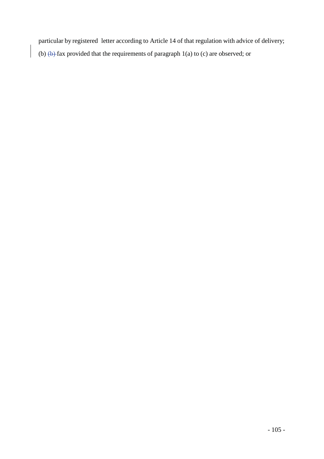particular by registered letter according to Article 14 of that regulation with advice of delivery; (b)  $(b)$  fax provided that the requirements of paragraph 1(a) to (c) are observed; or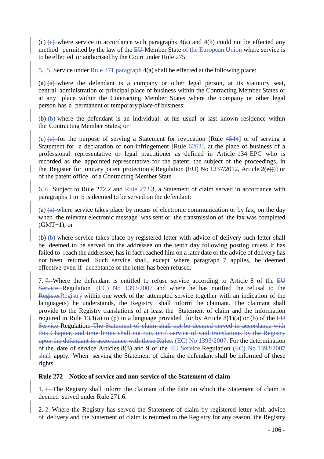(c)  $(e)$  where service in accordance with paragraphs 4(a) and 4(b) could not be effected any method permitted by the law of the EU-Member State of the European Union where service is to be effected or authorised by the Court under Rule 275.

5. 5. Service under Rule 271.paragraph 4(a) shall be effected at the following place:

(a)  $\left(\frac{a}{b}\right)$  where the defendant is a company or other legal person, at its statutory seat, central administration or principal place of business within the Contracting Member States or at any place within the Contracting Member States where the company or other legal person has a permanent or temporary place of business;

(b) (b) where the defendant is an individual: at his usual or last known residence within the Contracting Member States; or

(c)  $(e)$  for the purpose of serving a Statement for revocation [Rule 4544] or of serving a Statement for a declaration of non-infringement [Rule  $6263$ ], at the place of business of a professional representative or legal practitioner as defined in Article 134 EPC who is recorded as the appointed representative for the patent, the subject of the proceedings, in the Register for unitary patent protection ([Regulation (EU) No 1257/2012, Article  $2(e)$ )] or of the patent office of a Contracting Member State.

6. 6. Subject to Rule 272.2 and Rule 272.3, a Statement of claim served in accordance with paragraphs 1 to 5 is deemed to be served on the defendant:

(a)  $\left(\frac{a}{b}\right)$  where service takes place by means of electronic communication or by fax, on the day when the relevant electronic message was sent or the transmission of the fax was completed  $(GMT+1)$ ; or

(b) (b) where service takes place by registered letter with advice of delivery such letter shall be deemed to be served on the addressee on the tenth day following posting unless it has failed to reach the addressee, has in fact reached him on a later date or the advice of delivery has not been returned. Such service shall, except where paragraph 7 applies, be deemed effective even if acceptance of the letter has been refused.

7. 7. Where the defendant is entitled to refuse service according to Article 8 of the EU Service Regulation (EC) No 1393/2007 and where he has notified the refusal to the RegisterRegistry within one week of the attempted service together with an indication of the language(s) he understands, the Registry shall inform the claimant. The claimant shall provide to the Registry translations of at least the Statement of claim and the information required in Rule 13.1(a) to (p) in a language provided for by Article 8(1)(a) or (b) of the  $\overline{EU}$ Service Regulation. The Statement of claim shall not be deemed served in accordance with this Chapter, and time limits shall not run, until service of said translations by the Registry upon the defendant in accordance with these Rules. (EC) No 1393/2007. For the determination of the date of service Articles 8(3) and 9 of the EU Service Regulation (EC) No 1393/2007 shall apply. When serving the Statement of claim the defendant shall be informed of these rights.

#### **Rule 272 – Notice of service and non-service of the Statement of claim**

1. 1. The Registry shall inform the claimant of the date on which the Statement of claim is deemed served under Rule 271.6.

2. 2. Where the Registry has served the Statement of claim by registered letter with advice of delivery and the Statement of claim is returned to the Registry for any reason, the Registry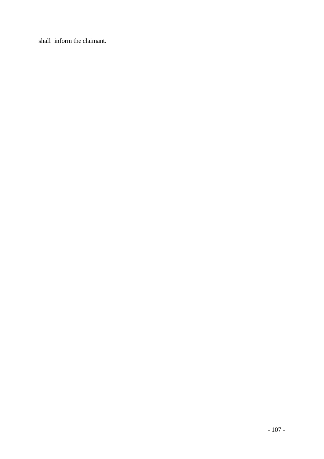shall inform the claimant.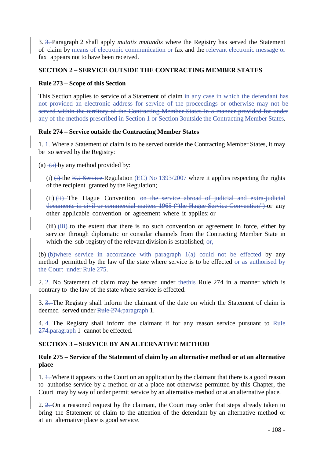3. 3. Paragraph 2 shall apply *mutatis mutandis* where the Registry has served the Statement of claim by means of electronic communication or fax and the relevant electronic message or fax appears not to have been received.

# **SECTION 2 – SERVICE OUTSIDE THE CONTRACTING MEMBER STATES**

#### **Rule 273 – Scope of this Section**

This Section applies to service of a Statement of claim in any case in which the defendant has not provided an electronic address for service of the proceedings or otherwise may not be served within the territory of the Contracting Member States in a manner provided for under any of the methods prescribed in Section 1 or Section 3outside the Contracting Member States.

### **Rule 274 – Service outside the Contracting Member States**

1. 1. Where a Statement of claim is to be served outside the Contracting Member States, it may be so served by the Registry:

(a)  $(a)$  +  $(a)$  by any method provided by:

(i)  $(i)$  the EU Service-Regulation (EC) No 1393/2007 where it applies respecting the rights of the recipient granted by the Regulation;

 $(ii)$   $(ii)$  The Hague Convention on the service abroad of judicial and extra-judicial documents in civil or commercial matters 1965 ("the Hague Service Convention") or any other applicable convention or agreement where it applies; or

(iii)  $(iii)$  to the extent that there is no such convention or agreement in force, either by service through diplomatic or consular channels from the Contracting Member State in which the sub-registry of the relevant division is established;  $-0r$ ,

(b)  $(\frac{b}{b})$ where service in accordance with paragraph 1(a) could not be effected by any method permitted by the law of the state where service is to be effected or as authorised by the Court under Rule 275.

2. 2. No Statement of claim may be served under thethis Rule 274 in a manner which is contrary to the law of the state where service is effected.

3. 3. The Registry shall inform the claimant of the date on which the Statement of claim is deemed served under Rule 274.paragraph 1.

4. 4. The Registry shall inform the claimant if for any reason service pursuant to Rule 274.paragraph 1 cannot be effected.

# **SECTION 3 – SERVICE BY AN ALTERNATIVE METHOD**

### **Rule 275 – Service of the Statement of claim by an alternative method or at an alternative place**

1. 1. Where it appears to the Court on an application by the claimant that there is a good reason to authorise service by a method or at a place not otherwise permitted by this Chapter, the Court may by way of order permit service by an alternative method or at an alternative place.

2. 2. On a reasoned request by the claimant, the Court may order that steps already taken to bring the Statement of claim to the attention of the defendant by an alternative method or at an alternative place is good service.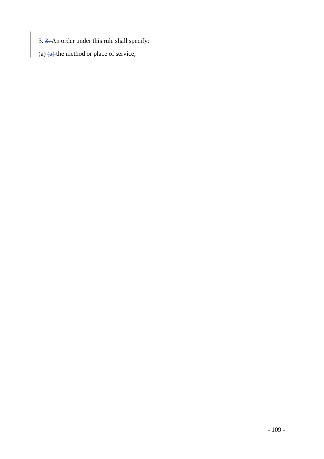- 3. 3. An order under this rule shall specify:
- (a)  $(a)$  the method or place of service;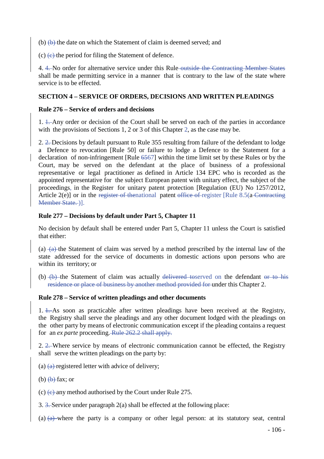- (b) (b) the date on which the Statement of claim is deemed served; and
- (c)  $\left( e \right)$  the period for filing the Statement of defence.

4. 4. No order for alternative service under this Rule outside the Contracting Member States shall be made permitting service in a manner that is contrary to the law of the state where service is to be effected.

### **SECTION 4 – SERVICE OF ORDERS, DECISIONS AND WRITTEN PLEADINGS**

#### **Rule 276 – Service of orders and decisions**

1. 1. Any order or decision of the Court shall be served on each of the parties in accordance with the provisions of Sections 1, 2 or 3 of this Chapter 2, as the case may be.

2. 2. Decisions by default pursuant to Rule 355 resulting from failure of the defendant to lodge a Defence to revocation [Rule 50] or failure to lodge a Defence to the Statement for a declaration of non-infringement [Rule 6567] within the time limit set by these Rules or by the Court, may be served on the defendant at the place of business of a professional representative or legal practitioner as defined in Article 134 EPC who is recorded as the appointed representative for the subject European patent with unitary effect, the subject of the proceedings, in the Register for unitary patent protection [Regulation (EU) No 1257/2012, Article 2(e)] or in the register of thenational patent office of register [Rule 8.5(a-Contracting Member State.)].

### **Rule 277 – Decisions by default under Part 5, Chapter 11**

No decision by default shall be entered under Part 5, Chapter 11 unless the Court is satisfied that either:

(a)  $\left(\frac{a}{b}\right)$  the Statement of claim was served by a method prescribed by the internal law of the state addressed for the service of documents in domestic actions upon persons who are within its territory; or

(b)  $(b)$  the Statement of claim was actually delivered toserved on the defendant or to his residence or place of business by another method provided for under this Chapter 2.

#### **Rule 278 – Service of written pleadings and other documents**

1. 1. As soon as practicable after written pleadings have been received at the Registry, the Registry shall serve the pleadings and any other document lodged with the pleadings on the other party by means of electronic communication except if the pleading contains a request for an *ex parte* proceeding. Rule 262.2 shall apply.

2. 2. Where service by means of electronic communication cannot be effected, the Registry shall serve the written pleadings on the party by:

- (a)  $\left( a \right)$  registered letter with advice of delivery;
- $(b)$   $(b)$  fax; or
- (c)  $\left(\frac{c}{c}\right)$  any method authorised by the Court under Rule 275.
- 3. 3. Service under paragraph 2(a) shall be effected at the following place:
- (a)  $(a)$  where the party is a company or other legal person: at its statutory seat, central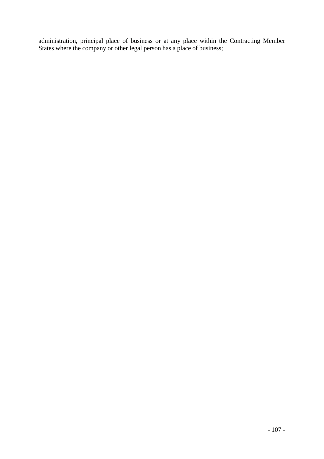administration, principal place of business or at any place within the Contracting Member States where the company or other legal person has a place of business;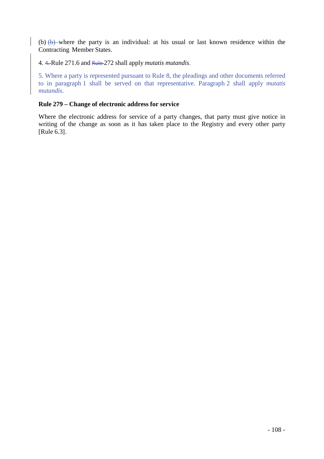(b) (b) where the party is an individual: at his usual or last known residence within the Contracting Member States.

4. 4. Rule 271.6 and Rule 272 shall apply *mutatis mutandis*.

5. Where a party is represented pursuant to Rule 8, the pleadings and other documents referred to in paragraph 1 shall be served on that representative. Paragraph 2 shall apply *mutatis mutandis*.

# **Rule 279 – Change of electronic address for service**

Where the electronic address for service of a party changes, that party must give notice in writing of the change as soon as it has taken place to the Registry and every other party [Rule 6.3].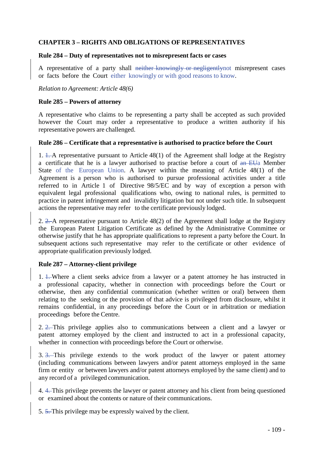# **CHAPTER 3 – RIGHTS AND OBLIGATIONS OF REPRESENTATIVES**

#### **Rule 284 – Duty of representatives not to misrepresent facts or cases**

A representative of a party shall neither knowingly or negligentlynot misrepresent cases or facts before the Court either knowingly or with good reasons to know.

*Relation to Agreement: Article 48(6)*

#### **Rule 285 – Powers of attorney**

A representative who claims to be representing a party shall be accepted as such provided however the Court may order a representative to produce a written authority if his representative powers are challenged.

#### **Rule 286 – Certificate that a representative is authorised to practice before the Court**

1. 1. A representative pursuant to Article 48(1) of the Agreement shall lodge at the Registry a certificate that he is a lawyer authorised to practise before a court of an EUa Member State of the European Union. A lawyer within the meaning of Article 48(1) of the Agreement is a person who is authorised to pursue professional activities under a title referred to in Article 1 of Directive 98/5/EC and by way of exception a person with equivalent legal professional qualifications who, owing to national rules, is permitted to practice in patent infringement and invalidity litigation but not under such title. In subsequent actions the representative may refer to the certificate previously lodged.

2. 2. A representative pursuant to Article 48(2) of the Agreement shall lodge at the Registry the European Patent Litigation Certificate as defined by the Administrative Committee or otherwise justify that he has appropriate qualifications to represent a party before the Court. In subsequent actions such representative may refer to the certificate or other evidence of appropriate qualification previously lodged.

#### **Rule 287 – Attorney-client privilege**

1. 1. Where a client seeks advice from a lawyer or a patent attorney he has instructed in a professional capacity, whether in connection with proceedings before the Court or otherwise, then any confidential communication (whether written or oral) between them relating to the seeking or the provision of that advice is privileged from disclosure, whilst it remains confidential, in any proceedings before the Court or in arbitration or mediation proceedings before the Centre.

2. 2. This privilege applies also to communications between a client and a lawyer or patent attorney employed by the client and instructed to act in a professional capacity, whether in connection with proceedings before the Court or otherwise.

3. 3. This privilege extends to the work product of the lawyer or patent attorney (including communications between lawyers and/or patent attorneys employed in the same firm or entity or between lawyers and/or patent attorneys employed by the same client) and to any record of a privileged communication.

4. 4. This privilege prevents the lawyer or patent attorney and his client from being questioned or examined about the contents or nature of their communications.

5. 5. This privilege may be expressly waived by the client.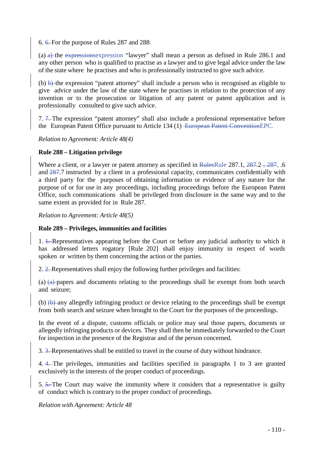6. 6. For the purpose of Rules 287 and 288:

(a) a) the expressionsexpression "lawyer" shall mean a person as defined in Rule 286.1 and any other person who is qualified to practise as a lawyer and to give legal advice under the law of the state where he practises and who is professionally instructed to give such advice.

(b)  $\theta$ ) the expression "patent attorney" shall include a person who is recognised as eligible to give advice under the law of the state where he practises in relation to the protection of any invention or to the prosecution or litigation of any patent or patent application and is professionally consulted to give such advice.

7. 7. The expression "patent attorney" shall also include a professional representative before the European Patent Office pursuant to Article 134 (1) European Patent ConventionEPC.

*Relation to Agreement: Article 48(4)*

# **Rule 288 – Litigation privilege**

Where a client, or a lawyer or patent attorney as specified in RulesRule 287.1, 287.2, 287, .6 and 287.7 instructed by a client in a professional capacity, communicates confidentially with a third party for the purposes of obtaining information or evidence of any nature for the purpose of or for use in any proceedings, including proceedings before the European Patent Office, such communications shall be privileged from disclosure in the same way and to the same extent as provided for in Rule 287.

*Relation to Agreement: Article 48(5)*

# **Rule 289 – Privileges, immunities and facilities**

1. 1. Representatives appearing before the Court or before any judicial authority to which it has addressed letters rogatory [Rule 202] shall enjoy immunity in respect of words spoken or written by them concerning the action or the parties.

2. 2. Representatives shall enjoy the following further privileges and facilities:

(a)  $\left(\frac{a}{b}\right)$  papers and documents relating to the proceedings shall be exempt from both search and seizure;

(b)  $(b)$  any allegedly infringing product or device relating to the proceedings shall be exempt from both search and seizure when brought to the Court for the purposes of the proceedings.

In the event of a dispute, customs officials or police may seal those papers, documents or allegedly infringing products or devices. They shall then be immediately forwarded to the Court for inspection in the presence of the Registrar and of the person concerned.

3. 3. Representatives shall be entitled to travel in the course of duty without hindrance.

4. 4. The privileges, immunities and facilities specified in paragraphs 1 to 3 are granted exclusively in the interests of the proper conduct of proceedings.

5. 5. The Court may waive the immunity where it considers that a representative is guilty of conduct which is contrary to the proper conduct of proceedings.

*Relation with Agreement: Article 48*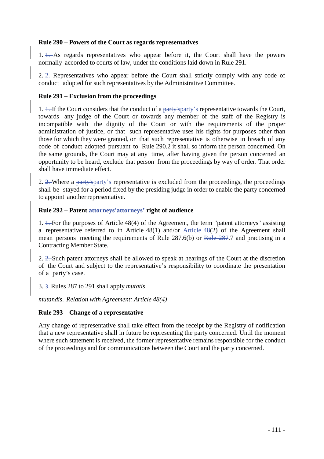### **Rule 290 – Powers of the Court as regards representatives**

1. 1. As regards representatives who appear before it, the Court shall have the powers normally accorded to courts of law, under the conditions laid down in Rule 291.

2. 2. Representatives who appear before the Court shall strictly comply with any code of conduct adopted for such representatives by the Administrative Committee.

# **Rule 291 – Exclusion from the proceedings**

1. 1. If the Court considers that the conduct of a party's party's representative towards the Court, towards any judge of the Court or towards any member of the staff of the Registry is incompatible with the dignity of the Court or with the requirements of the proper administration of justice, or that such representative uses his rights for purposes other than those for which they were granted, or that such representative is otherwise in breach of any code of conduct adopted pursuant to Rule 290.2 it shall so inform the person concerned. On the same grounds, the Court may at any time, after having given the person concerned an opportunity to be heard, exclude that person from the proceedings by way of order. That order shall have immediate effect.

2. 2. Where a party'sparty's representative is excluded from the proceedings, the proceedings shall be stayed for a period fixed by the presiding judge in order to enable the party concerned to appoint another representative.

### **Rule 292 – Patent attorneys'attorneys' right of audience**

1. 1. For the purposes of Article 48(4) of the Agreement, the term "patent attorneys" assisting a representative referred to in Article 48(1) and/or Article 48(2) of the Agreement shall mean persons meeting the requirements of Rule 287.6(b) or Rule 287.7 and practising in a Contracting Member State.

2. 2. Such patent attorneys shall be allowed to speak at hearings of the Court at the discretion of the Court and subject to the representative's responsibility to coordinate the presentation of a party's case.

3. 3. Rules 287 to 291 shall apply *mutatis*

*mutandis*. *Relation with Agreement: Article 48(4)*

#### **Rule 293 – Change of a representative**

Any change of representative shall take effect from the receipt by the Registry of notification that a new representative shall in future be representing the party concerned. Until the moment where such statement is received, the former representative remains responsible for the conduct of the proceedings and for communications between the Court and the party concerned.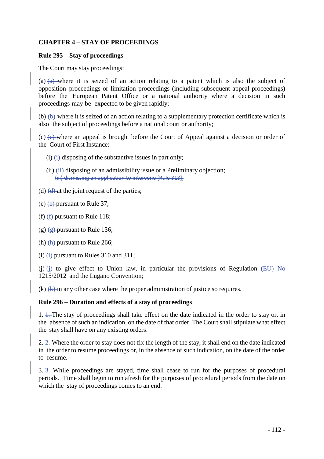# **CHAPTER 4 – STAY OF PROCEEDINGS**

#### **Rule 295 – Stay of proceedings**

The Court may stay proceedings:

(a)  $\left(\frac{a}{b}\right)$  where it is seized of an action relating to a patent which is also the subject of opposition proceedings or limitation proceedings (including subsequent appeal proceedings) before the European Patent Office or a national authority where a decision in such proceedings may be expected to be given rapidly;

(b)  $(\theta)$  where it is seized of an action relating to a supplementary protection certificate which is also the subject of proceedings before a national court or authority;

(c)  $(e)$  where an appeal is brought before the Court of Appeal against a decision or order of the Court of First Instance:

- (i)  $\leftrightarrow$  disposing of the substantive issues in part only;
- (ii)  $\overline{H}$  disposing of an admissibility issue or a Preliminary objection; (iii) dismissing an application to intervene [Rule 313];
- (d)  $\left(\frac{d}{dx}\right)$  at the joint request of the parties;
- (e)  $(e)$  pursuant to Rule 37;
- (f)  $(f)$  pursuant to Rule 118;
- (g)  $\left(\frac{1}{2}\right)$  pursuant to Rule 136;
- (h)  $(h)$  pursuant to Rule 266;
- (i)  $\leftrightarrow$  pursuant to Rules 310 and 311;

(j)  $\leftrightarrow$  to give effect to Union law, in particular the provisions of Regulation (EU) No 1215/2012 and the Lugano Convention;

(k)  $(k)$  in any other case where the proper administration of justice so requires.

#### **Rule 296 – Duration and effects of a stay of proceedings**

1. 1. The stay of proceedings shall take effect on the date indicated in the order to stay or, in the absence of such an indication, on the date of that order. The Court shall stipulate what effect the stay shall have on any existing orders.

2. 2. Where the order to stay does not fix the length of the stay, it shall end on the date indicated in the order to resume proceedings or, in the absence of such indication, on the date of the order to resume.

3. 3. While proceedings are stayed, time shall cease to run for the purposes of procedural periods. Time shall begin to run afresh for the purposes of procedural periods from the date on which the stay of proceedings comes to an end.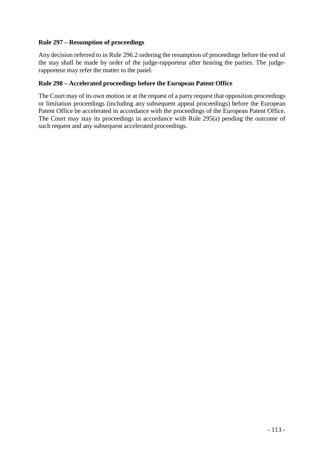# **Rule 297 – Resumption of proceedings**

Any decision referred to in Rule 296.2 ordering the resumption of proceedings before the end of the stay shall be made by order of the judge-rapporteur after hearing the parties. The judgerapporteur may refer the matter to the panel.

# **Rule 298 – Accelerated proceedings before the European Patent Office**

The Court may of its own motion or at the request of a party request that opposition proceedings or limitation proceedings (including any subsequent appeal proceedings) before the European Patent Office be accelerated in accordance with the proceedings of the European Patent Office. The Court may stay its proceedings in accordance with Rule 295(a) pending the outcome of such request and any subsequent accelerated proceedings.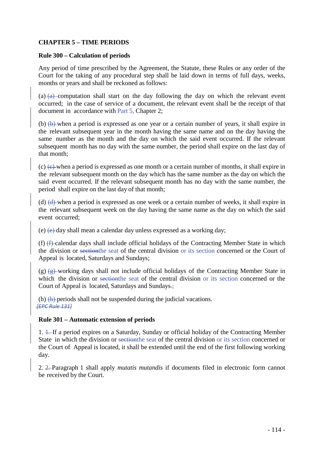# **CHAPTER 5 – TIME PERIODS**

#### **Rule 300 – Calculation of periods**

Any period of time prescribed by the Agreement, the Statute, these Rules or any order of the Court for the taking of any procedural step shall be laid down in terms of full days, weeks, months or years and shall be reckoned as follows:

(a)  $\left(\frac{a}{b}\right)$ -computation shall start on the day following the day on which the relevant event occurred; in the case of service of a document, the relevant event shall be the receipt of that document in accordance with Part 5, Chapter 2;

(b) (b) when a period is expressed as one year or a certain number of years, it shall expire in the relevant subsequent year in the month having the same name and on the day having the same number as the month and the day on which the said event occurred. If the relevant subsequent month has no day with the same number, the period shall expire on the last day of that month;

(c)  $\left( \epsilon \right)$  when a period is expressed as one month or a certain number of months, it shall expire in the relevant subsequent month on the day which has the same number as the day on which the said event occurred. If the relevant subsequent month has no day with the same number, the period shall expire on the last day of that month;

(d) (d) when a period is expressed as one week or a certain number of weeks, it shall expire in the relevant subsequent week on the day having the same name as the day on which the said event occurred;

(e)  $\left(\frac{e}{e}\right)$  day shall mean a calendar day unless expressed as a working day;

 $(f)$  (f)  $(f)$  calendar days shall include official holidays of the Contracting Member State in which the division or sectionthe seat of the central division or its section concerned or the Court of Appeal is located, Saturdays and Sundays;

(g)  $(g)$  working days shall not include official holidays of the Contracting Member State in which the division or sectionthe seat of the central division or its section concerned or the Court of Appeal is located, Saturdays and Sundays.;

(h)  $(h)$  periods shall not be suspended during the judicial vacations.  *[EPC Rule 131]* 

#### **Rule 301 – Automatic extension of periods**

1. 1. If a period expires on a Saturday, Sunday or official holiday of the Contracting Member State in which the division or sectionthe seat of the central division or its section concerned or the Court of Appeal is located, it shall be extended until the end of the first following working day.

2. 2. Paragraph 1 shall apply *mutatis mutandis* if documents filed in electronic form cannot be received by the Court.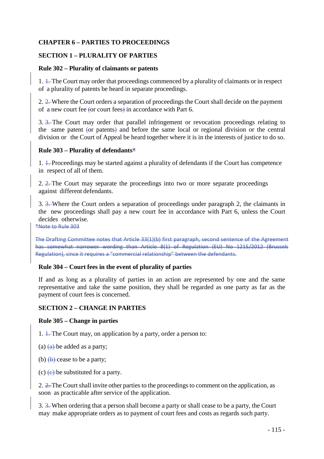# **CHAPTER 6 – PARTIES TO PROCEEDINGS**

# **SECTION 1 – PLURALITY OF PARTIES**

#### **Rule 302 – Plurality of claimants or patents**

1. 1. The Court may order that proceedings commenced by a plurality of claimants or in respect of a plurality of patents be heard in separate proceedings.

2. 2. Where the Court orders a separation of proceedings the Court shall decide on the payment of a new court fee (or court fees) in accordance with Part 6.

3. 3. The Court may order that parallel infringement or revocation proceedings relating to the same patent (or patents) and before the same local or regional division or the central division or the Court of Appeal be heard together where it is in the interests of justice to do so.

### **Rule 303 – Plurality of defendants\***

1. 1. Proceedings may be started against a plurality of defendants if the Court has competence in respect of all of them.

2. 2. The Court may separate the proceedings into two or more separate proceedings against different defendants.

3. 3. Where the Court orders a separation of proceedings under paragraph 2, the claimants in the new proceedings shall pay a new court fee in accordance with Part 6, unless the Court decides otherwise.

\*Note to Rule 303

The Drafting Committee notes that Article 33(1)(b) first paragraph, second sentence of the Agreement has somewhat narrower wording than Article 8(1) of Regulation (EU) No 1215/2012 (Brussels Regulation), since it requires a "commercial relationship" between the defendants.

#### **Rule 304 – Court fees in the event of plurality of parties**

If and as long as a plurality of parties in an action are represented by one and the same representative and take the same position, they shall be regarded as one party as far as the payment of court fees is concerned.

#### **SECTION 2 – CHANGE IN PARTIES**

#### **Rule 305 – Change in parties**

1. 1. The Court may, on application by a party, order a person to:

(a)  $\left(\frac{a}{b}\right)$  be added as a party;

(b)  $\left(\frac{b}{c}\right)$  cease to be a party;

(c)  $\left( e \right)$  be substituted for a party.

2. <del>2.</del> The Court shall invite other parties to the proceedings to comment on the application, as soon as practicable after service of the application.

3. 3. When ordering that a person shall become a party or shall cease to be a party, the Court may make appropriate orders as to payment of court fees and costs as regards such party.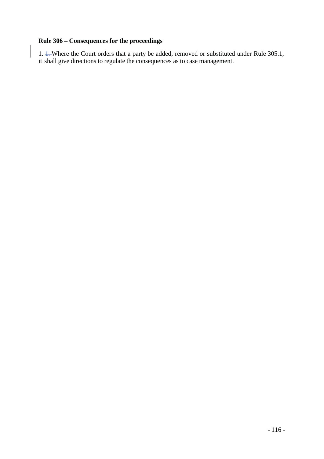# **Rule 306 – Consequences for the proceedings**

1. 1. Where the Court orders that a party be added, removed or substituted under Rule 305.1, it shall give directions to regulate the consequences as to case management.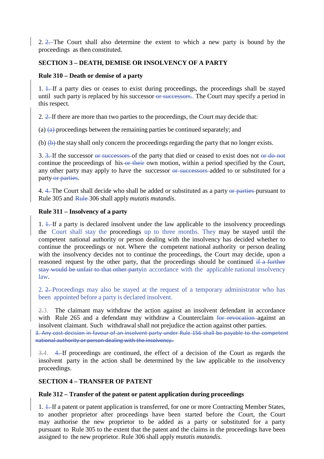2. 2. The Court shall also determine the extent to which a new party is bound by the proceedings as then constituted.

# **SECTION 3 – DEATH, DEMISE OR INSOLVENCY OF A PARTY**

# **Rule 310 – Death or demise of a party**

1. 1. If a party dies or ceases to exist during proceedings, the proceedings shall be stayed until such party is replaced by his successor-or successors.. The Court may specify a period in this respect.

2. 2. If there are more than two parties to the proceedings, the Court may decide that:

(a)  $(a)$  proceedings between the remaining parties be continued separately; and

(b) (b) the stay shall only concern the proceedings regarding the party that no longer exists.

3. 3. If the successor or successors of the party that died or ceased to exist does not or do not continue the proceedings of his-or their own motion, within a period specified by the Court, any other party may apply to have the successor or successors added to or substituted for a party-or parties.

4. 4. The Court shall decide who shall be added or substituted as a party or parties pursuant to Rule 305 and Rule 306 shall apply *mutatis mutandis*.

# **Rule 311 – Insolvency of a party**

1. 1. If a party is declared insolvent under the law applicable to the insolvency proceedings the Court shall stay the proceedings up to three months. They may be stayed until the competent national authority or person dealing with the insolvency has decided whether to continue the proceedings or not. Where the competent national authority or person dealing with the insolvency decides not to continue the proceedings, the Court may decide, upon a reasoned request by the other party, that the proceedings should be continued if a further stay would be unfair to that other partyin accordance with the applicable national insolvency law.

2. 2. Proceedings may also be stayed at the request of a temporary administrator who has been appointed before a party is declared insolvent.

2.3. The claimant may withdraw the action against an insolvent defendant in accordance with Rule 265 and a defendant may withdraw a Counterclaim for revocation against an insolvent claimant. Such withdrawal shall not prejudice the action against other parties.

3. Any cost decision in favour of an insolvent party under Rule 156 shall be payable to the competent national authority or person dealing with the insolvency.

3.4. 4. If proceedings are continued, the effect of a decision of the Court as regards the insolvent party in the action shall be determined by the law applicable to the insolvency proceedings.

# **SECTION 4 – TRANSFER OF PATENT**

#### **Rule 312 – Transfer of the patent or patent application during proceedings**

1. 1. If a patent or patent application is transferred, for one or more Contracting Member States, to another proprietor after proceedings have been started before the Court, the Court may authorise the new proprietor to be added as a party or substituted for a party pursuant to Rule 305 to the extent that the patent and the claims in the proceedings have been assigned to the new proprietor. Rule 306 shall apply *mutatis mutandis*.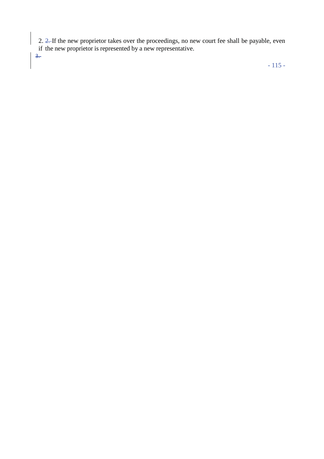2. 2. If the new proprietor takes over the proceedings, no new court fee shall be payable, even if the new proprietor is represented by a new representative.

3.

- 115 -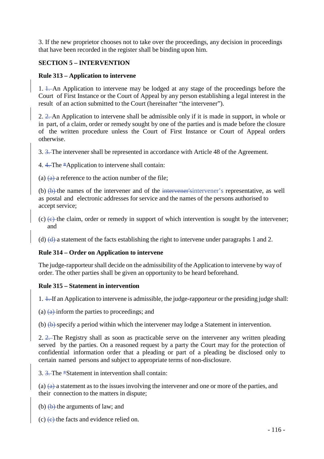3. If the new proprietor chooses not to take over the proceedings, any decision in proceedings that have been recorded in the register shall be binding upon him.

# **SECTION 5 – INTERVENTION**

# **Rule 313 – Application to intervene**

1. 1. An Application to intervene may be lodged at any stage of the proceedings before the Court of First Instance or the Court of Appeal by any person establishing a legal interest in the result of an action submitted to the Court (hereinafter "the intervener").

2. 2. An Application to intervene shall be admissible only if it is made in support, in whole or in part, of a claim, order or remedy sought by one of the parties and is made before the closure of the written procedure unless the Court of First Instance or Court of Appeal orders otherwise.

3. 3. The intervener shall be represented in accordance with Article 48 of the Agreement.

4. 4. The \*Application to intervene shall contain:

(a)  $\left( a \right)$  a reference to the action number of the file:

(b) (b) the names of the intervener and of the intervener'sintervener's representative, as well as postal and electronic addresses for service and the names of the persons authorised to accept service;

(c)  $\left(\text{c}\right)$  the claim, order or remedy in support of which intervention is sought by the intervener; and

(d)  $(d)$  a statement of the facts establishing the right to intervene under paragraphs 1 and 2.

# **Rule 314 – Order on Application to intervene**

The judge-rapporteur shall decide on the admissibility of the Application to intervene by way of order. The other parties shall be given an opportunity to be heard beforehand.

# **Rule 315 – Statement in intervention**

1. 1. If an Application to intervene is admissible, the judge-rapporteur or the presiding judge shall:

(a)  $\left(\frac{a}{b}\right)$  inform the parties to proceedings; and

(b) (b) specify a period within which the intervener may lodge a Statement in intervention.

2. 2. The Registry shall as soon as practicable serve on the intervener any written pleading served by the parties. On a reasoned request by a party the Court may for the protection of confidential information order that a pleading or part of a pleading be disclosed only to certain named persons and subject to appropriate terms of non-disclosure.

3. 3. The \*Statement in intervention shall contain:

(a)  $(a)$  a statement as to the issues involving the intervener and one or more of the parties, and their connection to the matters in dispute;

- (b)  $\left(\frac{b}{c}\right)$  the arguments of law; and
- $(c)$  (e) the facts and evidence relied on.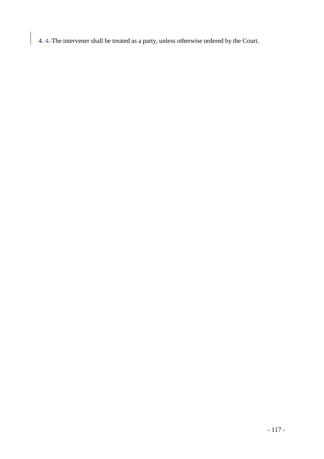4. 4. The intervener shall be treated as a party, unless otherwise ordered by the Court.

 $\vert$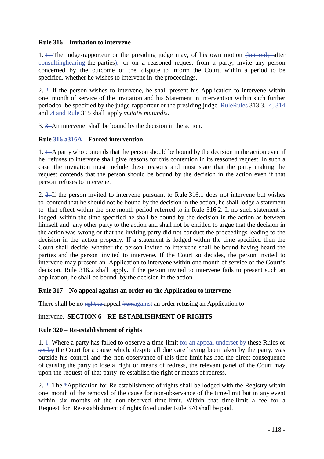#### **Rule 316 – Invitation to intervene**

1. 1. The judge-rapporteur or the presiding judge may, of his own motion (but only after consultinghearing the parties), or on a reasoned request from a party, invite any person concerned by the outcome of the dispute to inform the Court, within a period to be specified, whether he wishes to intervene in the proceedings.

2. 2. If the person wishes to intervene, he shall present his Application to intervene within one month of service of the invitation and his Statement in intervention within such further period to be specified by the judge-rapporteur or the presiding judge. RuleRules 313.3, .4, 314 and .4 and Rule 315 shall apply *mutatis mutandis*.

3. 3. An intervener shall be bound by the decision in the action.

### **Rule 316 a316A – Forced intervention**

1. 1. A party who contends that the person should be bound by the decision in the action even if he refuses to intervene shall give reasons for this contention in its reasoned request. In such a case the invitation must include these reasons and must state that the party making the request contends that the person should be bound by the decision in the action even if that person refuses to intervene.

2. 2. If the person invited to intervene pursuant to Rule 316.1 does not intervene but wishes to contend that he should not be bound by the decision in the action, he shall lodge a statement to that effect within the one month period referred to in Rule 316.2. If no such statement is lodged within the time specified he shall be bound by the decision in the action as between himself and any other party to the action and shall not be entitled to argue that the decision in the action was wrong or that the inviting party did not conduct the proceedings leading to the decision in the action properly. If a statement is lodged within the time specified then the Court shall decide whether the person invited to intervene shall be bound having heard the parties and the person invited to intervene. If the Court so decides, the person invited to intervene may present an Application to intervene within one month of service of the Court's decision. Rule 316.2 shall apply. If the person invited to intervene fails to present such an application, he shall be bound by the decision in the action.

#### **Rule 317 – No appeal against an order on the Application to intervene**

There shall be no right to appeal fromagainst an order refusing an Application to

# intervene. **SECTION 6 – RE-ESTABLISHMENT OF RIGHTS**

#### **Rule 320 – Re-establishment of rights**

1. 1. Where a party has failed to observe a time-limit for an appeal underset by these Rules or set by the Court for a cause which, despite all due care having been taken by the party, was outside his control and the non-observance of this time limit has had the direct consequence of causing the party to lose a right or means of redress, the relevant panel of the Court may upon the request of that party re-establish the right or means of redress.

2. 2. The \*Application for Re-establishment of rights shall be lodged with the Registry within one month of the removal of the cause for non-observance of the time-limit but in any event within six months of the non-observed time-limit. Within that time-limit a fee for a Request for Re-establishment of rights fixed under Rule 370 shall be paid.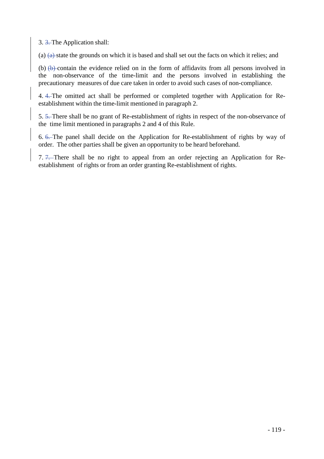3. 3. The Application shall:

(a)  $(a)$  state the grounds on which it is based and shall set out the facts on which it relies; and

(b)  $(b)$  contain the evidence relied on in the form of affidavits from all persons involved in the non-observance of the time-limit and the persons involved in establishing the precautionary measures of due care taken in order to avoid such cases of non-compliance.

4. 4. The omitted act shall be performed or completed together with Application for Reestablishment within the time-limit mentioned in paragraph 2.

5. 5. There shall be no grant of Re-establishment of rights in respect of the non-observance of the time limit mentioned in paragraphs 2 and 4 of this Rule.

6. 6. The panel shall decide on the Application for Re-establishment of rights by way of order. The other parties shall be given an opportunity to be heard beforehand.

7. 7. There shall be no right to appeal from an order rejecting an Application for Reestablishment of rights or from an order granting Re-establishment of rights.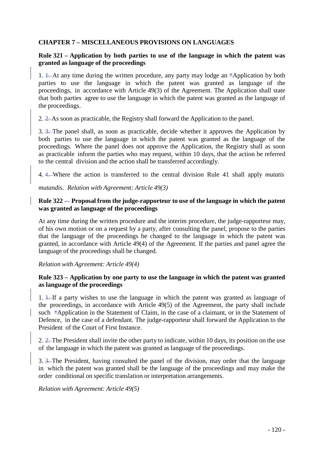# **CHAPTER 7 – MISCELLANEOUS PROVISIONS ON LANGUAGES**

#### **Rule 321 – Application by both parties to use of the language in which the patent was granted as language of the proceedings**

1.  $\ddagger$ . At any time during the written procedure, any party may lodge an \*Application by both parties to use the language in which the patent was granted as language of the proceedings, in accordance with Article 49(3) of the Agreement. The Application shall state that both parties agree to use the language in which the patent was granted as the language of the proceedings.

2. 2. As soon as practicable, the Registry shall forward the Application to the panel.

3. 3. The panel shall, as soon as practicable, decide whether it approves the Application by both parties to use the language in which the patent was granted as the language of the proceedings. Where the panel does not approve the Application, the Registry shall as soon as practicable inform the parties who may request, within 10 days, that the action be referred to the central division and the action shall be transferred accordingly.

4. 4. Where the action is transferred to the central division Rule 41 shall apply *mutatis*

*mutandis*. *Relation with Agreement: Article 49(3)*

### **Rule 322 -– Proposal from the judge-rapporteur to use of the language in which the patent was granted as language of the proceedings**

At any time during the written procedure and the interim procedure, the judge-rapporteur may, of his own motion or on a request by a party, after consulting the panel, propose to the parties that the language of the proceedings be changed to the language in which the patent was granted, in accordance with Article 49(4) of the Agreement. If the parties and panel agree the language of the proceedings shall be changed.

*Relation with Agreement: Article 49(4)*

### **Rule 323 – Application by one party to use the language in which the patent was granted as language of the proceedings**

1. 1. If a party wishes to use the language in which the patent was granted as language of the proceedings, in accordance with Article 49(5) of the Agreement, the party shall include such \*Application in the Statement of Claim, in the case of a claimant, or in the Statement of Defence, in the case of a defendant. The judge-rapporteur shall forward the Application to the President of the Court of First Instance.

2. 2. The President shall invite the other party to indicate, within 10 days, its position on the use of the language in which the patent was granted as language of the proceedings.

3. 3. The President, having consulted the panel of the division, may order that the language in which the patent was granted shall be the language of the proceedings and may make the order conditional on specific translation or interpretation arrangements.

*Relation with Agreement: Article 49(5)*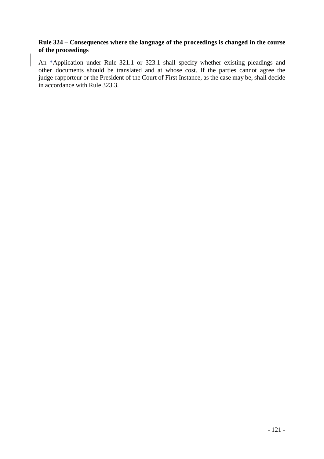# **Rule 324 – Consequences where the language of the proceedings is changed in the course of the proceedings**

An \*Application under Rule 321.1 or 323.1 shall specify whether existing pleadings and other documents should be translated and at whose cost. If the parties cannot agree the judge-rapporteur or the President of the Court of First Instance, as the case may be, shall decide in accordance with Rule 323.3.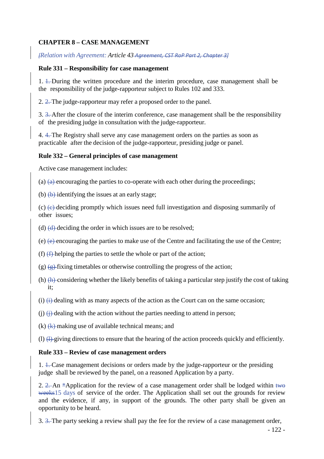# **CHAPTER 8 – CASE MANAGEMENT**

*[Relation with Agreement: Article 43 Agreement, CST RoP Part 2, Chapter 3]*

# **Rule 331 – Responsibility for case management**

1. 1. During the written procedure and the interim procedure, case management shall be the responsibility of the judge-rapporteur subject to Rules 102 and 333.

2. 2. The judge-rapporteur may refer a proposed order to the panel.

3. 3. After the closure of the interim conference, case management shall be the responsibility of the presiding judge in consultation with the judge-rapporteur.

4. 4. The Registry shall serve any case management orders on the parties as soon as practicable after the decision of the judge-rapporteur, presiding judge or panel.

### **Rule 332 – General principles of case management**

Active case management includes:

(a)  $\left(\frac{a}{b}\right)$  encouraging the parties to co-operate with each other during the proceedings;

(b)  $\left(\frac{b}{c}\right)$  identifying the issues at an early stage;

(c)  $\left(\epsilon\right)$  deciding promptly which issues need full investigation and disposing summarily of other issues;

(d)  $\left(\frac{d}{dx}\right)$  deciding the order in which issues are to be resolved;

(e)  $(e)$  encouraging the parties to make use of the Centre and facilitating the use of the Centre;

(f)  $(f)$  helping the parties to settle the whole or part of the action;

(g)  $\left(\frac{g}{g}\right)$ -fixing timetables or otherwise controlling the progress of the action;

- (h)  $(h)$  considering whether the likely benefits of taking a particular step justify the cost of taking it;
- (i)  $\leftrightarrow$  dealing with as many aspects of the action as the Court can on the same occasion;
- (i)  $\leftrightarrow$  dealing with the action without the parties needing to attend in person;

(k)  $(k)$  making use of available technical means; and

(l)  $(1)$  giving directions to ensure that the hearing of the action proceeds quickly and efficiently.

# **Rule 333 – Review of case management orders**

1. 1. Case management decisions or orders made by the judge-rapporteur or the presiding judge shall be reviewed by the panel, on a reasoned Application by a party.

2. 2. An \*Application for the review of a case management order shall be lodged within two weeks15 days of service of the order. The Application shall set out the grounds for review and the evidence, if any, in support of the grounds. The other party shall be given an opportunity to be heard.

3. 3. The party seeking a review shall pay the fee for the review of a case management order,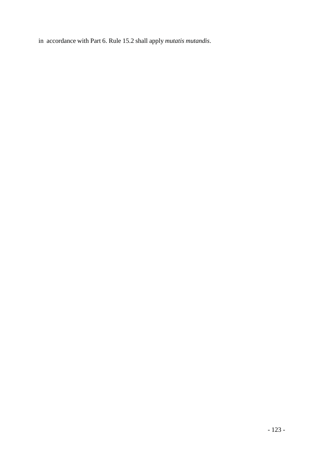in accordance with Part 6. Rule 15.2 shall apply *mutatis mutandis*.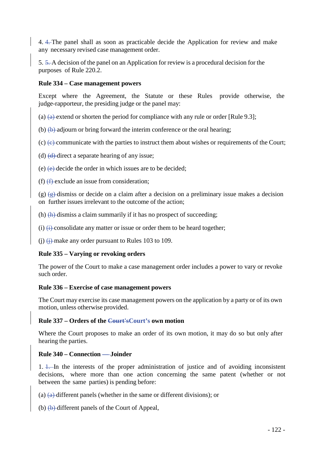4. 4. The panel shall as soon as practicable decide the Application for review and make any necessary revised case management order.

5. 5. A decision of the panel on an Application for review is a procedural decision for the purposes of Rule 220.2.

# **Rule 334 – Case management powers**

Except where the Agreement, the Statute or these Rules provide otherwise, the judge-rapporteur, the presiding judge or the panel may:

(a)  $(a)$  extend or shorten the period for compliance with any rule or order [Rule 9.3];

(b)  $\left(\frac{b}{c}\right)$  adjourn or bring forward the interim conference or the oral hearing;

(c)  $\left(\epsilon\right)$  communicate with the parties to instruct them about wishes or requirements of the Court;

(d)  $(d)$  direct a separate hearing of any issue;

(e)  $\left( e \right)$  decide the order in which issues are to be decided;

(f)  $(f)$  exclude an issue from consideration;

(g)  $\left(\frac{\alpha}{2}\right)$  dismiss or decide on a claim after a decision on a preliminary issue makes a decision on further issues irrelevant to the outcome of the action;

(h)  $(h)$  dismiss a claim summarily if it has no prospect of succeeding;

(i)  $\overline{(+)}$  consolidate any matter or issue or order them to be heard together;

(i)  $\leftrightarrow$  make any order pursuant to Rules 103 to 109.

# **Rule 335 – Varying or revoking orders**

The power of the Court to make a case management order includes a power to vary or revoke such order.

#### **Rule 336 – Exercise of case management powers**

The Court may exercise its case management powers on the application by a party or of its own motion, unless otherwise provided.

#### **Rule 337 – Orders of the Court'sCourt's own motion**

Where the Court proposes to make an order of its own motion, it may do so but only after hearing the parties.

#### **Rule 340 – Connection — Joinder**

1. 1. In the interests of the proper administration of justice and of avoiding inconsistent decisions, where more than one action concerning the same patent (whether or not between the same parties) is pending before:

(a)  $\left(\frac{a}{b}\right)$  different panels (whether in the same or different divisions); or

(b) (b) different panels of the Court of Appeal,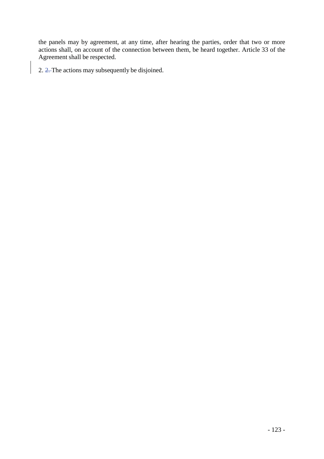the panels may by agreement, at any time, after hearing the parties, order that two or more actions shall, on account of the connection between them, be heard together. Article 33 of the Agreement shall be respected.

2. 2. The actions may subsequently be disjoined.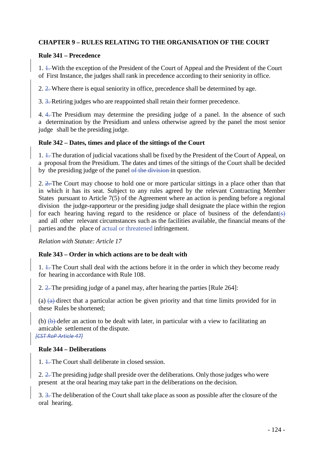# **CHAPTER 9 – RULES RELATING TO THE ORGANISATION OF THE COURT**

# **Rule 341 – Precedence**

1. 1. With the exception of the President of the Court of Appeal and the President of the Court of First Instance, the judges shall rank in precedence according to their seniority in office.

2. 2. Where there is equal seniority in office, precedence shall be determined by age.

3. 3. Retiring judges who are reappointed shall retain their former precedence.

4. 4. The Presidium may determine the presiding judge of a panel. In the absence of such a determination by the Presidium and unless otherwise agreed by the panel the most senior judge shall be the presiding judge.

### **Rule 342 – Dates, times and place of the sittings of the Court**

1. 1. The duration of judicial vacations shall be fixed by the President of the Court of Appeal, on a proposal from the Presidium. The dates and times of the sittings of the Court shall be decided by the presiding judge of the panel of the division in question.

2. 2. The Court may choose to hold one or more particular sittings in a place other than that in which it has its seat. Subject to any rules agreed by the relevant Contracting Member States pursuant to Article 7(5) of the Agreement where an action is pending before a regional division the judge-rapporteur or the presiding judge shall designate the place within the region for each hearing having regard to the residence or place of business of the defendant( $\epsilon$ ) and all other relevant circumstances such as the facilities available, the financial means of the parties and the place of actual or threatened infringement.

*Relation with Statute: Article 17*

#### **Rule 343 – Order in which actions are to be dealt with**

1. 1. The Court shall deal with the actions before it in the order in which they become ready for hearing in accordance with Rule 108.

2. 2. The presiding judge of a panel may, after hearing the parties [Rule 264]:

(a)  $\left(\frac{a}{b}\right)$  direct that a particular action be given priority and that time limits provided for in these Rules be shortened;

(b)  $\leftrightarrow$  defer an action to be dealt with later, in particular with a view to facilitating an amicable settlement of the dispute.

*[CST RoP Article 47]* 

# **Rule 344 – Deliberations**

1. 1. The Court shall deliberate in closed session.

2. 2. The presiding judge shall preside over the deliberations. Only those judges who were present at the oral hearing may take part in the deliberations on the decision.

3. 3. The deliberation of the Court shall take place as soon as possible after the closure of the oral hearing.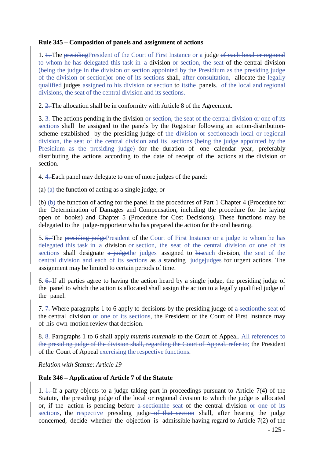# **Rule 345 – Composition of panels and assignment of actions**

1. 1. The presidingPresident of the Court of First Instance or a judge of each local or regional to whom he has delegated this task in a division-or section, the seat of the central division (being the judge in the division or section appointed by the Presidium as the presiding judge of the division or section) or one of its sections shall, after consultation, allocate the legally qualified judges assigned to his division or section to itsthe panels. of the local and regional divisions, the seat of the central division and its sections.

2. 2. The allocation shall be in conformity with Article 8 of the Agreement.

3. 3. The actions pending in the division or section, the seat of the central division or one of its sections shall be assigned to the panels by the Registrar following an action-distributionscheme established by the presiding judge of the division or sectioneach local or regional division, the seat of the central division and its sections (being the judge appointed by the Presidium as the presiding judge) for the duration of one calendar year, preferably distributing the actions according to the date of receipt of the actions at the division or section.

4. 4. Each panel may delegate to one of more judges of the panel:

(a)  $\left($ a $\right)$  the function of acting as a single judge; or

(b) (b) the function of acting for the panel in the procedures of Part 1 Chapter 4 (Procedure for the Determination of Damages and Compensation, including the procedure for the laying open of books) and Chapter 5 (Procedure for Cost Decisions). These functions may be delegated to the judge-rapporteur who has prepared the action for the oral hearing.

5. 5. The presiding judgePresident of the Court of First Instance or a judge to whom he has delegated this task in a division-or section, the seat of the central division or one of its sections shall designate a judgethe judges assigned to hiseach division, the seat of the central division and each of its sections as a standing judgejudges for urgent actions. The assignment may be limited to certain periods of time.

6. 6. If all parties agree to having the action heard by a single judge, the presiding judge of the panel to which the action is allocated shall assign the action to a legally qualified judge of the panel.

7. 7. Where paragraphs 1 to 6 apply to decisions by the presiding judge of a section the seat of the central division or one of its sections, the President of the Court of First Instance may of his own motion review that decision.

8. 8. Paragraphs 1 to 6 shall apply *mutatis mutandis* to the Court of Appeal. All references to the presiding judge of the division shall, regarding the Court of Appeal, refer to; the President of the Court of Appeal exercising the respective functions.

*Relation with Statute: Article 19*

# **Rule 346 – Application of Article 7 of the Statute**

1. 1. If a party objects to a judge taking part in proceedings pursuant to Article 7(4) of the Statute, the presiding judge of the local or regional division to which the judge is allocated or, if the action is pending before a sectionthe seat of the central division or one of its sections, the respective presiding judge of that section shall, after hearing the judge concerned, decide whether the objection is admissible having regard to Article 7(2) of the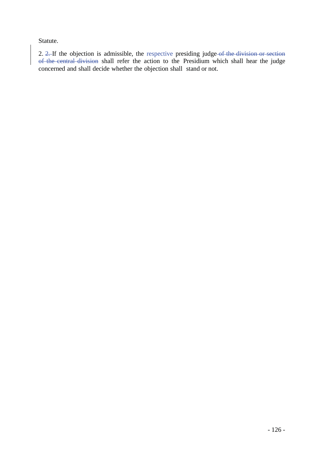Statute.

2. 2. If the objection is admissible, the respective presiding judge of the division or section of the central division shall refer the action to the Presidium which shall hear the judge concerned and shall decide whether the objection shall stand or not.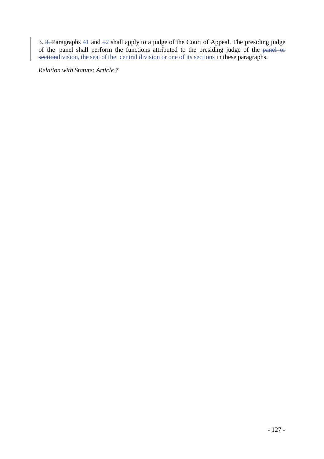3. 3. Paragraphs 41 and 52 shall apply to a judge of the Court of Appeal. The presiding judge of the panel shall perform the functions attributed to the presiding judge of the panel or sectiondivision, the seat of the central division or one of its sections in these paragraphs.

*Relation with Statute: Article 7*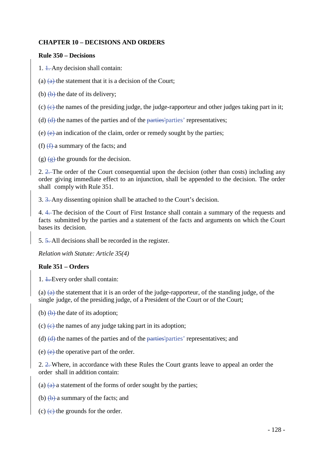# **CHAPTER 10 – DECISIONS AND ORDERS**

#### **Rule 350 – Decisions**

1. 1. Any decision shall contain:

(a)  $\left($ a $\right)$  the statement that it is a decision of the Court;

(b)  $\left(\frac{1}{2}\right)$  the date of its delivery:

(c)  $\left(\frac{c}{c}\right)$  the names of the presiding judge, the judge-rapporteur and other judges taking part in it;

(d)  $(d)$  the names of the parties and of the parties' parties' representatives;

(e)  $(e)$  an indication of the claim, order or remedy sought by the parties;

(f)  $(f)$  a summary of the facts; and

(g)  $\left(\frac{1}{2}\right)$  the grounds for the decision.

2. 2. The order of the Court consequential upon the decision (other than costs) including any order giving immediate effect to an injunction, shall be appended to the decision. The order shall comply with Rule 351.

3. 3. Any dissenting opinion shall be attached to the Court's decision.

4. 4. The decision of the Court of First Instance shall contain a summary of the requests and facts submitted by the parties and a statement of the facts and arguments on which the Court bases its decision.

5. 5. All decisions shall be recorded in the register.

*Relation with Statute: Article 35(4)*

# **Rule 351 – Orders**

1. 1. Every order shall contain:

(a)  $\left(\frac{a}{b}\right)$  the statement that it is an order of the judge-rapporteur, of the standing judge, of the single judge, of the presiding judge, of a President of the Court or of the Court;

(b)  $\left(\frac{b}{c}\right)$  the date of its adoption;

(c)  $\left( \epsilon \right)$  the names of any judge taking part in its adoption;

(d) (d) the names of the parties and of the parties'parties' representatives; and

(e)  $\left(\frac{e}{e}\right)$  the operative part of the order.

2. 2. Where, in accordance with these Rules the Court grants leave to appeal an order the order shall in addition contain:

(a)  $(a)$  a statement of the forms of order sought by the parties;

(b)  $\left(\frac{b}{c}\right)$  a summary of the facts; and

(c)  $\left( e \right)$  the grounds for the order.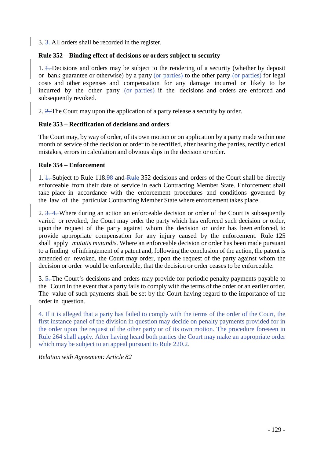3. 3. All orders shall be recorded in the register.

# **Rule 352 – Binding effect of decisions or orders subject to security**

1. 1. Decisions and orders may be subject to the rendering of a security (whether by deposit or bank guarantee or otherwise) by a party (or parties) to the other party (or parties) for legal costs and other expenses and compensation for any damage incurred or likely to be incurred by the other party (or parties) if the decisions and orders are enforced and subsequently revoked.

2. 2. The Court may upon the application of a party release a security by order.

### **Rule 353 – Rectification of decisions and orders**

The Court may, by way of order, of its own motion or on application by a party made within one month of service of the decision or order to be rectified, after hearing the parties, rectify clerical mistakes, errors in calculation and obvious slips in the decision or order.

#### **Rule 354 – Enforcement**

1. 1. Subject to Rule 118.98 and Rule 352 decisions and orders of the Court shall be directly enforceable from their date of service in each Contracting Member State. Enforcement shall take place in accordance with the enforcement procedures and conditions governed by the law of the particular Contracting Member State where enforcement takes place.

2. 3. 4. Where during an action an enforceable decision or order of the Court is subsequently varied or revoked, the Court may order the party which has enforced such decision or order, upon the request of the party against whom the decision or order has been enforced, to provide appropriate compensation for any injury caused by the enforcement. Rule 125 shall apply *mutatis mutandis*. Where an enforceable decision or order has been made pursuant to a finding of infringement of a patent and, following the conclusion of the action, the patent is amended or revoked, the Court may order, upon the request of the party against whom the decision or order would be enforceable, that the decision or order ceases to be enforceable.

3. 5. The Court's decisions and orders may provide for periodic penalty payments payable to the Court in the event that a party fails to comply with the terms of the order or an earlier order. The value of such payments shall be set by the Court having regard to the importance of the order in question.

4. If it is alleged that a party has failed to comply with the terms of the order of the Court, the first instance panel of the division in question may decide on penalty payments provided for in the order upon the request of the other party or of its own motion. The procedure foreseen in Rule 264 shall apply. After having heard both parties the Court may make an appropriate order which may be subject to an appeal pursuant to Rule 220.2.

*Relation with Agreement: Article 82*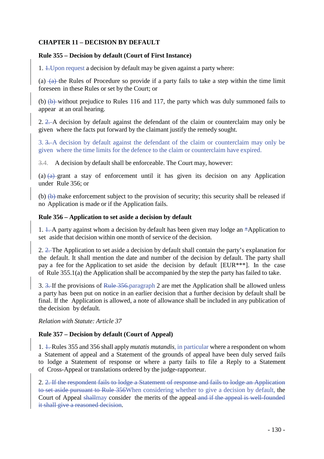# **CHAPTER 11 – DECISION BY DEFAULT**

# **Rule 355 – Decision by default (Court of First Instance)**

1.  $\pm$ Upon request a decision by default may be given against a party where:

(a)  $\left( \phi \right)$  the Rules of Procedure so provide if a party fails to take a step within the time limit foreseen in these Rules or set by the Court; or

(b)  $(b)$  without prejudice to Rules 116 and 117, the party which was duly summoned fails to appear at an oral hearing.

2. 2. A decision by default against the defendant of the claim or counterclaim may only be given where the facts put forward by the claimant justify the remedy sought.

3. 3. A decision by default against the defendant of the claim or counterclaim may only be given where the time limits for the defence to the claim or counterclaim have expired.

3.4. A decision by default shall be enforceable. The Court may, however:

(a)  $(a)$  grant a stay of enforcement until it has given its decision on any Application under Rule 356; or

(b) (b) make enforcement subject to the provision of security; this security shall be released if no Application is made or if the Application fails.

#### **Rule 356 – Application to set aside a decision by default**

1.  $\pm$  A party against whom a decision by default has been given may lodge an \*Application to set aside that decision within one month of service of the decision.

2. 2. The Application to set aside a decision by default shall contain the party's explanation for the default. It shall mention the date and number of the decision by default. The party shall pay a fee for the Application to set aside the decision by default [EUR\*\*\*]. In the case of Rule 355.1(a) the Application shall be accompanied by the step the party has failed to take.

3. 3. If the provisions of Rule 356.paragraph 2 are met the Application shall be allowed unless a party has been put on notice in an earlier decision that a further decision by default shall be final. If the Application is allowed, a note of allowance shall be included in any publication of the decision by default.

*Relation with Statute: Article 37*

# **Rule 357 – Decision by default (Court of Appeal)**

1. 1. Rules 355 and 356 shall apply *mutatis mutandis*, in particular where a respondent on whom a Statement of appeal and a Statement of the grounds of appeal have been duly served fails to lodge a Statement of response or where a party fails to file a Reply to a Statement of Cross-Appeal or translations ordered by the judge-rapporteur.

2. 2. If the respondent fails to lodge a Statement of response and fails to lodge an Application to set aside pursuant to Rule 356When considering whether to give a decision by default, the Court of Appeal shallmay consider the merits of the appeal and if the appeal is well-founded it shall give a reasoned decision.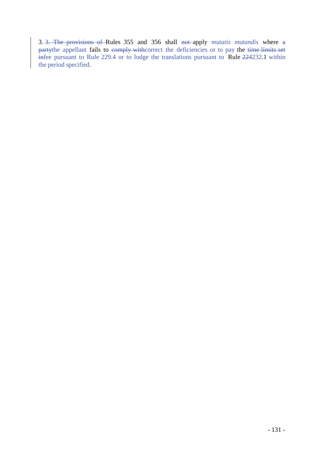3. 3. The provisions of Rules 355 and 356 shall not apply *mutatis mutandis* where a partythe appellant fails to comply withcorrect the deficiencies or to pay the time limits set infee pursuant to Rule 229.4 or to lodge the translations pursuant to Rule 224232.1 within the period specified.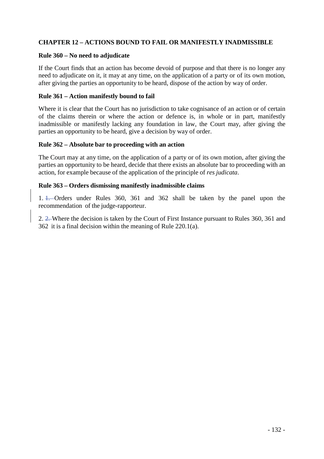# **CHAPTER 12 – ACTIONS BOUND TO FAIL OR MANIFESTLY INADMISSIBLE**

### **Rule 360 – No need to adjudicate**

If the Court finds that an action has become devoid of purpose and that there is no longer any need to adjudicate on it, it may at any time, on the application of a party or of its own motion, after giving the parties an opportunity to be heard, dispose of the action by way of order.

### **Rule 361 – Action manifestly bound to fail**

Where it is clear that the Court has no jurisdiction to take cognisance of an action or of certain of the claims therein or where the action or defence is, in whole or in part, manifestly inadmissible or manifestly lacking any foundation in law, the Court may, after giving the parties an opportunity to be heard, give a decision by way of order.

### **Rule 362 – Absolute bar to proceeding with an action**

The Court may at any time, on the application of a party or of its own motion, after giving the parties an opportunity to be heard, decide that there exists an absolute bar to proceeding with an action, for example because of the application of the principle of *res judicata*.

### **Rule 363 – Orders dismissing manifestly inadmissible claims**

1. 1. Orders under Rules 360, 361 and 362 shall be taken by the panel upon the recommendation of the judge-rapporteur.

2. 2. Where the decision is taken by the Court of First Instance pursuant to Rules 360, 361 and 362 it is a final decision within the meaning of Rule 220.1(a).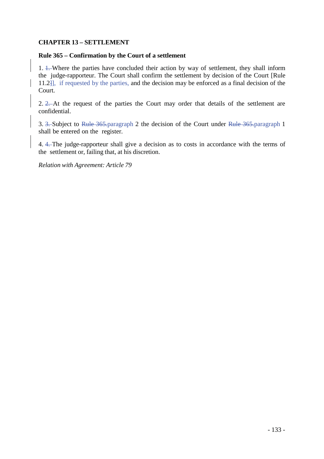# **CHAPTER 13 – SETTLEMENT**

## **Rule 365 – Confirmation by the Court of a settlement**

1. 1. Where the parties have concluded their action by way of settlement, they shall inform the judge-rapporteur. The Court shall confirm the settlement by decision of the Court [Rule 11.2]], if requested by the parties, and the decision may be enforced as a final decision of the Court.

2. 2. At the request of the parties the Court may order that details of the settlement are confidential.

3. 3. Subject to Rule 365.paragraph 2 the decision of the Court under Rule 365.paragraph 1 shall be entered on the register.

4. 4. The judge-rapporteur shall give a decision as to costs in accordance with the terms of the settlement or, failing that, at his discretion.

*Relation with Agreement: Article 79*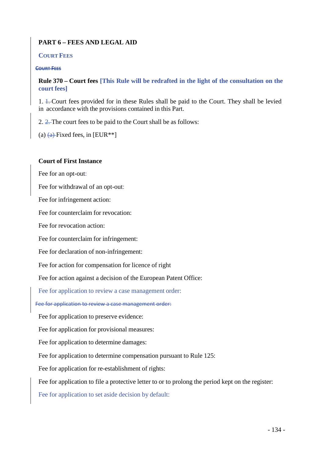# **PART 6 – FEES AND LEGAL AID**

## **COURT FEES**

#### **COURT FEES**

**Rule 370 – Court fees [This Rule will be redrafted in the light of the consultation on the court fees]**

1. 1. Court fees provided for in these Rules shall be paid to the Court. They shall be levied in accordance with the provisions contained in this Part.

2. 2. The court fees to be paid to the Court shall be as follows:

(a)  $\left( a \right)$  Fixed fees, in [EUR\*\*]

## **Court of First Instance**

Fee for an opt-out:

Fee for withdrawal of an opt-out:

Fee for infringement action:

Fee for counterclaim for revocation:

Fee for revocation action:

Fee for counterclaim for infringement:

Fee for declaration of non-infringement:

Fee for action for compensation for licence of right

Fee for action against a decision of the European Patent Office:

Fee for application to review a case management order:

Fee for application to review a case management order:

Fee for application to preserve evidence:

Fee for application for provisional measures:

Fee for application to determine damages:

Fee for application to determine compensation pursuant to Rule 125:

Fee for application for re-establishment of rights:

Fee for application to file a protective letter to or to prolong the period kept on the register:

Fee for application to set aside decision by default: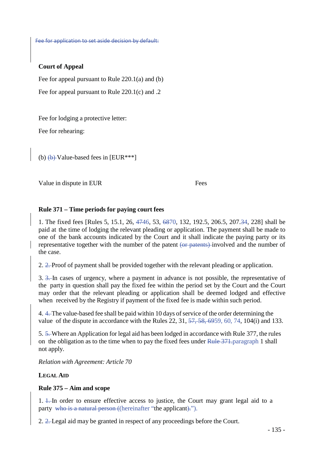Fee for application to set aside decision by default:

# **Court of Appeal**

Fee for appeal pursuant to Rule 220.1(a) and (b)

Fee for appeal pursuant to Rule 220.1(c) and .2

Fee for lodging a protective letter:

Fee for rehearing:

(b)  $(b)$  Value-based fees in [EUR\*\*\*]

Value in dispute in EUR Fees

## **Rule 371 – Time periods for paying court fees**

1. The fixed fees [Rules 5, 15.1, 26, 4746, 53, 6870, 132, 192.5, 206.5, 207.34, 228] shall be paid at the time of lodging the relevant pleading or application. The payment shall be made to one of the bank accounts indicated by the Court and it shall indicate the paying party or its representative together with the number of the patent (or patents) involved and the number of the case.

2. 2. Proof of payment shall be provided together with the relevant pleading or application.

3. 3. In cases of urgency, where a payment in advance is not possible, the representative of the party in question shall pay the fixed fee within the period set by the Court and the Court may order that the relevant pleading or application shall be deemed lodged and effective when received by the Registry if payment of the fixed fee is made within such period.

4. 4. The value-based fee shall be paid within 10 days of service of the order determining the value of the dispute in accordance with the Rules 22, 31, 57, 58, 6959, 60, 74, 104(i) and 133.

5. 5. Where an Application for legal aid has been lodged in accordance with Rule 377, the rules on the obligation as to the time when to pay the fixed fees under Rule 371.paragraph 1 shall not apply.

*Relation with Agreement: Article 70*

#### **LEGAL AID**

#### **Rule 375 – Aim and scope**

1. 1. In order to ensure effective access to justice, the Court may grant legal aid to a party who is a natural person ((hereinafter "the applicant).").

2. 2. Legal aid may be granted in respect of any proceedings before the Court.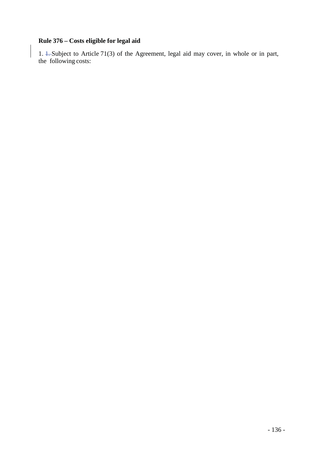# **Rule 376 – Costs eligible for legal aid**

1. 1. Subject to Article 71(3) of the Agreement, legal aid may cover, in whole or in part, the following costs: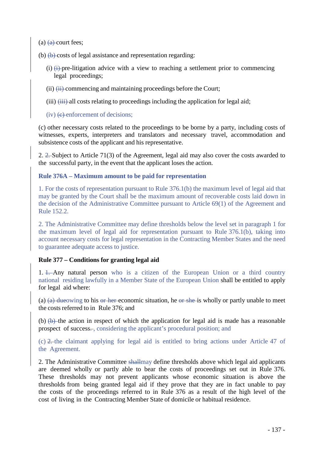(a)  $(a)$  court fees;

(b)  $(b)$  costs of legal assistance and representation regarding:

- (i)  $\leftrightarrow$  pre-litigation advice with a view to reaching a settlement prior to commencing legal proceedings;
- $(ii)$   $(iii)$  commencing and maintaining proceedings before the Court;
- $(iii)$   $(iii)$  all costs relating to proceedings including the application for legal aid;

 $(iv)$  ( $\epsilon$ ) enforcement of decisions;

(c) other necessary costs related to the proceedings to be borne by a party, including costs of witnesses, experts, interpreters and translators and necessary travel, accommodation and subsistence costs of the applicant and his representative.

2. 2. Subject to Article 71(3) of the Agreement, legal aid may also cover the costs awarded to the successful party, in the event that the applicant loses the action.

## **Rule 376A – Maximum amount to be paid for representation**

1. For the costs of representation pursuant to Rule 376.1(b) the maximum level of legal aid that may be granted by the Court shall be the maximum amount of recoverable costs laid down in the decision of the Administrative Committee pursuant to Article 69(1) of the Agreement and Rule 152.2.

2. The Administrative Committee may define thresholds below the level set in paragraph 1 for the maximum level of legal aid for representation pursuant to Rule 376.1(b), taking into account necessary costs for legal representation in the Contracting Member States and the need to guarantee adequate access to justice.

#### **Rule 377 – Conditions for granting legal aid**

1. 1. Any natural person who is a citizen of the European Union or a third country national residing lawfully in a Member State of the European Union shall be entitled to apply for legal aid where:

(a)  $\left(\frac{a}{b}\right)$  dueowing to his or her economic situation, he or she is wholly or partly unable to meet the costs referred to in Rule 376; and

(b)  $(b)$  the action in respect of which the application for legal aid is made has a reasonable prospect of success-, considering the applicant's procedural position; and

(c) 2. the claimant applying for legal aid is entitled to bring actions under Article 47 of the Agreement.

2. The Administrative Committee shallmay define thresholds above which legal aid applicants are deemed wholly or partly able to bear the costs of proceedings set out in Rule 376. These thresholds may not prevent applicants whose economic situation is above the thresholds from being granted legal aid if they prove that they are in fact unable to pay the costs of the proceedings referred to in Rule 376 as a result of the high level of the cost of living in the Contracting Member State of domicile or habitual residence.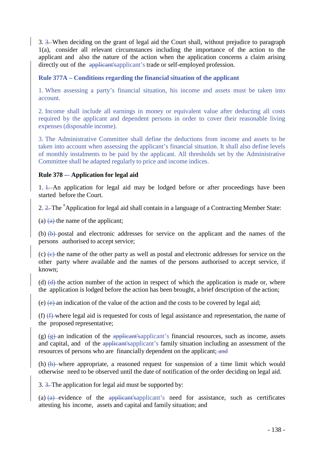3. 3. When deciding on the grant of legal aid the Court shall, without prejudice to paragraph 1(a), consider all relevant circumstances including the importance of the action to the applicant and also the nature of the action when the application concerns a claim arising directly out of the applicant's applicant's trade or self-employed profession.

## **Rule 377A – Conditions regarding the financial situation of the applicant**

1. When assessing a party's financial situation, his income and assets must be taken into account.

2. Income shall include all earnings in money or equivalent value after deducting all costs required by the applicant and dependent persons in order to cover their reasonable living expenses (disposable income).

3. The Administrative Committee shall define the deductions from income and assets to be taken into account when assessing the applicant's financial situation. It shall also define levels of monthly instalments to be paid by the applicant. All thresholds set by the Administrative Committee shall be adapted regularly to price and income indices.

## **Rule 378 -– Application for legal aid**

1. 1. An application for legal aid may be lodged before or after proceedings have been started before the Court.

2. 2. The **\*** Application for legal aid shall contain in a language of a Contracting Member State:

(a)  $\left(\frac{a}{b}\right)$  the name of the applicant;

(b) (b) postal and electronic addresses for service on the applicant and the names of the persons authorised to accept service;

 $(c)$  (e) the name of the other party as well as postal and electronic addresses for service on the other party where available and the names of the persons authorised to accept service, if known;

(d)  $(d)$  the action number of the action in respect of which the application is made or, where the application is lodged before the action has been brought, a brief description of the action;

(e)  $\left(\frac{e}{e}\right)$  an indication of the value of the action and the costs to be covered by legal aid;

(f)  $(f)$  where legal aid is requested for costs of legal assistance and representation, the name of the proposed representative;

(g)  $(g)$  an indication of the applicant's applicant's financial resources, such as income, assets and capital, and of the applicant'sapplicant's family situation including an assessment of the resources of persons who are financially dependent on the applicant; and

(h) (h) where appropriate, a reasoned request for suspension of a time limit which would otherwise need to be observed until the date of notification of the order deciding on legal aid.

3. 3. The application for legal aid must be supported by:

(a)  $(a)$  evidence of the applicant's need for assistance, such as certificates attesting his income, assets and capital and family situation; and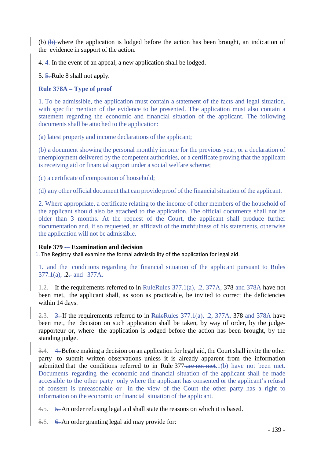(b) (b) where the application is lodged before the action has been brought, an indication of the evidence in support of the action.

4. 4. In the event of an appeal, a new application shall be lodged.

5. 5. Rule 8 shall not apply.

# **Rule 378A – Type of proof**

1. To be admissible, the application must contain a statement of the facts and legal situation, with specific mention of the evidence to be presented. The application must also contain a statement regarding the economic and financial situation of the applicant. The following documents shall be attached to the application:

(a) latest property and income declarations of the applicant;

(b) a document showing the personal monthly income for the previous year, or a declaration of unemployment delivered by the competent authorities, or a certificate proving that the applicant is receiving aid or financial support under a social welfare scheme;

(c) a certificate of composition of household;

(d) any other official document that can provide proof of the financial situation of the applicant.

2. Where appropriate, a certificate relating to the income of other members of the household of the applicant should also be attached to the application. The official documents shall not be older than 3 months. At the request of the Court, the applicant shall produce further documentation and, if so requested, an affidavit of the truthfulness of his statements, otherwise the application will not be admissible.

## **Rule 379 -– Examination and decision**

1. The Registry shall examine the formal admissibility of the application for legal aid-

1. and the conditions regarding the financial situation of the applicant pursuant to Rules  $377.1(a)$ , .2- and  $377A$ .

1.2. If the requirements referred to in RuleRules 377.1(a), .2, 377A, 378 and 378A have not been met, the applicant shall, as soon as practicable, be invited to correct the deficiencies within 14 days.

2.3. 3. If the requirements referred to in RuleRules 377.1(a), .2, 377A, 378 and 378A have been met, the decision on such application shall be taken, by way of order, by the judgerapporteur or, where the application is lodged before the action has been brought, by the standing judge.

3.4. 4. Before making a decision on an application for legal aid, the Court shall invite the other party to submit written observations unless it is already apparent from the information submitted that the conditions referred to in Rule  $377$ -are not met. 1(b) have not been met. Documents regarding the economic and financial situation of the applicant shall be made accessible to the other party only where the applicant has consented or the applicant's refusal of consent is unreasonable or in the view of the Court the other party has a right to information on the economic or financial situation of the applicant.

4.5. 5. An order refusing legal aid shall state the reasons on which it is based.

5.6. 6. An order granting legal aid may provide for: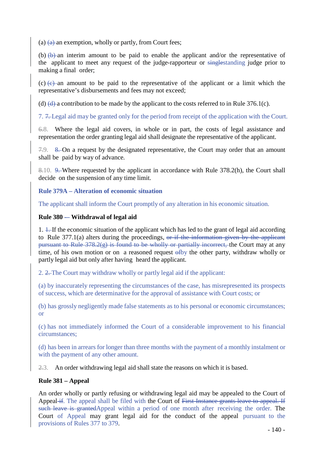(a)  $\left(\frac{a}{a}\right)$  an exemption, wholly or partly, from Court fees;

(b)  $(\phi)$  an interim amount to be paid to enable the applicant and/or the representative of the applicant to meet any request of the judge-rapporteur or singlestanding judge prior to making a final order;

(c)  $(e)$  an amount to be paid to the representative of the applicant or a limit which the representative's disbursements and fees may not exceed;

(d)  $(d)$  a contribution to be made by the applicant to the costs referred to in Rule 376.1(c).

7. 7. Legal aid may be granted only for the period from receipt of the application with the Court.

6.8. Where the legal aid covers, in whole or in part, the costs of legal assistance and representation the order granting legal aid shall designate the representative of the applicant.

7.9. 8. On a request by the designated representative, the Court may order that an amount shall be paid by way of advance.

8.10. 9. Where requested by the applicant in accordance with Rule 378.2(h), the Court shall decide on the suspension of any time limit.

**Rule 379A – Alteration of economic situation**

The applicant shall inform the Court promptly of any alteration in his economic situation.

## **Rule 380 -– Withdrawal of legal aid**

1. 1. If the economic situation of the applicant which has led to the grant of legal aid according to Rule  $377.1(a)$  alters during the proceedings, or if the information given by the applicant pursuant to Rule  $378.2(g)$  is found to be wholly or partially incorrect, the Court may at any time, of his own motion or on a reasoned request  $\theta$  folly the other party, withdraw wholly or partly legal aid but only after having heard the applicant.

2. 2. The Court may withdraw wholly or partly legal aid if the applicant:

(a) by inaccurately representing the circumstances of the case, has misrepresented its prospects of success, which are determinative for the approval of assistance with Court costs; or

(b) has grossly negligently made false statements as to his personal or economic circumstances; or

(c) has not immediately informed the Court of a considerable improvement to his financial circumstances;

(d) has been in arrears for longer than three months with the payment of a monthly instalment or with the payment of any other amount.

2.3. An order withdrawing legal aid shall state the reasons on which it is based.

#### **Rule 381 – Appeal**

An order wholly or partly refusing or withdrawing legal aid may be appealed to the Court of Appeal if. The appeal shall be filed with the Court of First Instance grants leave to appeal. If such leave is grantedAppeal within a period of one month after receiving the order. The Court of Appeal may grant legal aid for the conduct of the appeal pursuant to the provisions of Rules 377 to 379.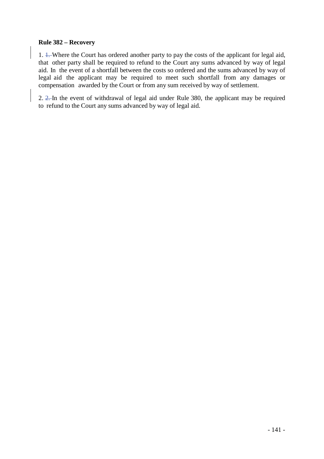# **Rule 382 – Recovery**

1. 1. Where the Court has ordered another party to pay the costs of the applicant for legal aid, that other party shall be required to refund to the Court any sums advanced by way of legal aid. In the event of a shortfall between the costs so ordered and the sums advanced by way of legal aid the applicant may be required to meet such shortfall from any damages or compensation awarded by the Court or from any sum received by way of settlement.

2. 2. In the event of withdrawal of legal aid under Rule 380, the applicant may be required to refund to the Court any sums advanced by way of legal aid.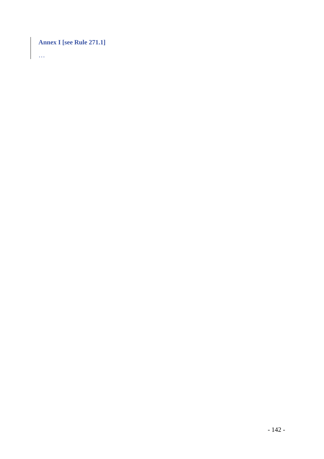**Annex I [see Rule 271.1]**

…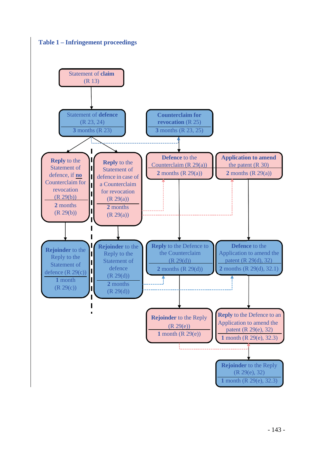